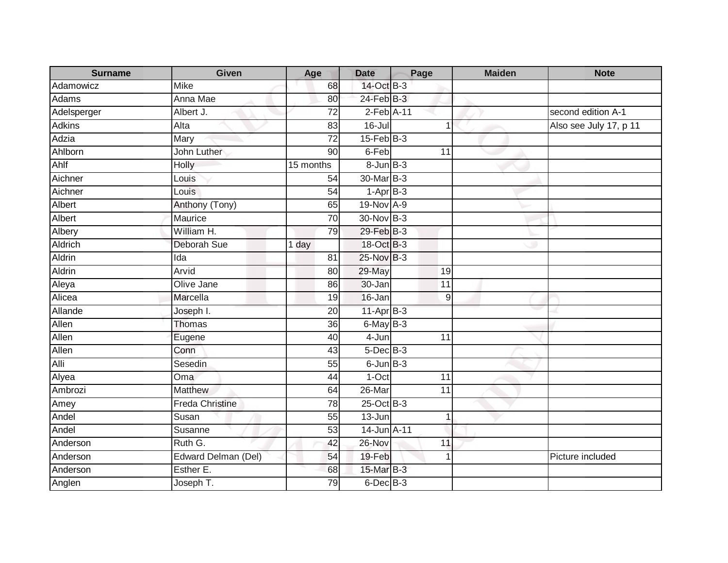| <b>Surname</b> | Given                  | Age             | <b>Date</b>       | Page            | <b>Maiden</b> | <b>Note</b>            |
|----------------|------------------------|-----------------|-------------------|-----------------|---------------|------------------------|
| Adamowicz      | <b>Mike</b>            | 68              | 14-Oct B-3        |                 |               |                        |
| Adams          | Anna Mae               | 80              | $24$ -Feb $B-3$   |                 |               |                        |
| Adelsperger    | Albert J.              | 72              | 2-Feb A-11        |                 |               | second edition A-1     |
| <b>Adkins</b>  | Alta                   | 83              | $16 -$ Jul        | 1               |               | Also see July 17, p 11 |
| Adzia          | Mary                   | 72              | $15$ -Feb $ B-3 $ |                 |               |                        |
| Ahlborn        | John Luther            | 90              | 6-Feb             | 11              |               |                        |
| Ahlf           | <b>Holly</b>           | 15 months       | $8 - Jun$ $B-3$   |                 |               |                        |
| Aichner        | Louis                  | 54              | 30-Mar B-3        |                 |               |                        |
| Aichner        | Louis                  | $\overline{54}$ | $1-AprB-3$        |                 |               |                        |
| Albert         | Anthony (Tony)         | 65              | 19-Nov A-9        |                 |               |                        |
| Albert         | Maurice                | 70              | 30-Nov B-3        |                 |               |                        |
| Albery         | William H.             | 79              | 29-Feb B-3        |                 |               |                        |
| Aldrich        | Deborah Sue            | 1 day           | 18-Oct B-3        |                 |               |                        |
| <b>Aldrin</b>  | Ida                    | $\overline{81}$ | 25-Nov B-3        |                 |               |                        |
| Aldrin         | Arvid                  | 80              | 29-May            | 19              |               |                        |
| Aleya          | Olive Jane             | 86              | 30-Jan            | $\overline{11}$ |               |                        |
| Alicea         | Marcella               | 19              | 16-Jan            | 9               |               |                        |
| Allande        | Joseph I.              | 20              | $11-Apr$ B-3      |                 |               |                        |
| Allen          | Thomas                 | $\overline{36}$ | $6$ -May $B-3$    |                 |               |                        |
| Allen          | Eugene                 | 40              | 4-Jun             | 11              |               |                        |
| Allen          | Conn                   | 43              | $5$ -Dec $B$ -3   |                 |               |                        |
| Alli           | Sesedin                | 55              | $6$ -Jun $B-3$    |                 |               |                        |
| Alyea          | Oma                    | 44              | $1-Oct$           | 11              |               |                        |
| Ambrozi        | <b>Matthew</b>         | 64              | $26$ -Mar         | 11              |               |                        |
| Amey           | <b>Freda Christine</b> | 78              | $25$ -Oct B-3     |                 |               |                        |
| Andel          | Susan                  | 55              | $13 - Jun$        | 1               |               |                        |
| Andel          | Susanne                | 53              | 14-Jun A-11       |                 |               |                        |
| Anderson       | Ruth G.                | 42              | 26-Nov            | 11              |               |                        |
| Anderson       | Edward Delman (Del)    | 54              | 19-Feb            | 1               |               | Picture included       |
| Anderson       | Esther E.              | 68              | 15-Mar B-3        |                 |               |                        |
| Anglen         | Joseph T.              | 79              | $6$ -Dec $B$ -3   |                 |               |                        |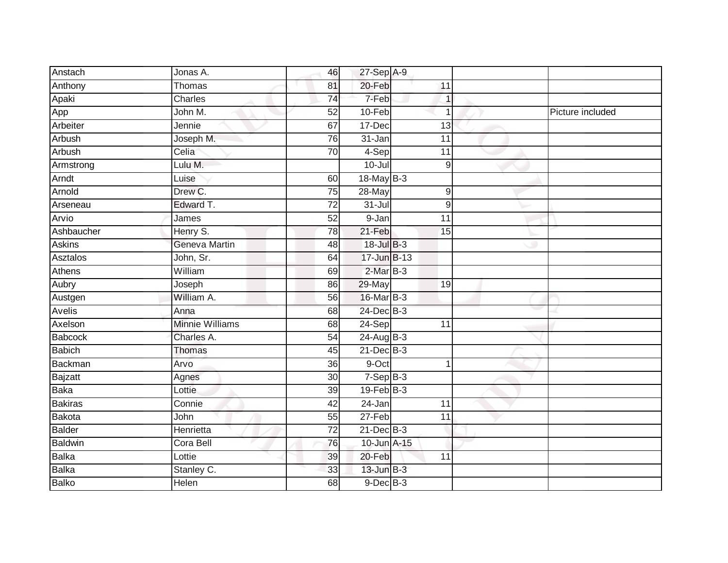| Anstach        | Jonas A.               | 46              | 27-Sep A-9      |                  |                  |
|----------------|------------------------|-----------------|-----------------|------------------|------------------|
| Anthony        | Thomas                 | 81              | 20-Feb          | 11               |                  |
| Apaki          | Charles                | $\overline{74}$ | 7-Feb           | 1                |                  |
| App            | John M.                | 52              | 10-Feb          | 1                | Picture included |
| Arbeiter       | Jennie                 | 67              | 17-Dec          | 13               |                  |
| Arbush         | Joseph M.              | 76              | 31-Jan          | 11               |                  |
| Arbush         | Celia                  | 70              | 4-Sep           | 11               |                  |
| Armstrong      | Lulu M.                |                 | $10 -$ Jul      | 9                |                  |
| Arndt          | Luise                  | 60              | 18-May B-3      |                  |                  |
| Arnold         | Drew C.                | $\overline{75}$ | 28-May          | $\boldsymbol{9}$ |                  |
| Arseneau       | Edward T.              | 72              | $31 -$ Jul      | $\boldsymbol{9}$ |                  |
| Arvio          | James                  | 52              | 9-Jan           | 11               |                  |
| Ashbaucher     | Henry S.               | 78              | 21-Feb          | 15               |                  |
| <b>Askins</b>  | Geneva Martin          | 48              | 18-Jul B-3      |                  |                  |
| Asztalos       | John, Sr.              | 64              | 17-Jun B-13     |                  |                  |
| Athens         | William                | 69              | 2-Mar B-3       |                  |                  |
| Aubry          | Joseph                 | 86              | 29-May          | 19               |                  |
| Austgen        | William A.             | 56              | 16-Mar B-3      |                  |                  |
| Avelis         | Anna                   | 68              | 24-Dec B-3      |                  |                  |
| Axelson        | <b>Minnie Williams</b> | 68              | $24-Sep$        | $\overline{11}$  |                  |
| Babcock        | Charles A.             | 54              | $24$ -Aug B-3   |                  |                  |
| <b>Babich</b>  | <b>Thomas</b>          | 45              | $21$ -Dec $B-3$ |                  |                  |
| Backman        | Arvo                   | 36              | 9-Oct           | 4                |                  |
| Bajzatt        | Agnes                  | 30 <sup>°</sup> | $7-Sep$ B-3     |                  |                  |
| Baka           | Lottie                 | 39              | $19$ -Feb $B-3$ |                  |                  |
| <b>Bakiras</b> | Connie                 | 42              | 24-Jan          | 11               |                  |
| Bakota         | John                   | 55              | $27-Feb$        | 11               |                  |
| <b>Balder</b>  | Henrietta              | $\overline{72}$ | $21$ -Dec $B-3$ |                  |                  |
| <b>Baldwin</b> | Cora Bell              | 76              | 10-Jun A-15     |                  |                  |
| Balka          | Lottie                 | 39              | 20-Feb          | 11               |                  |
| <b>Balka</b>   | Stanley C.             | 33              | $13$ -Jun $B-3$ |                  |                  |
| <b>Balko</b>   | <b>Helen</b>           | $\overline{68}$ | $9$ -Dec $B$ -3 |                  |                  |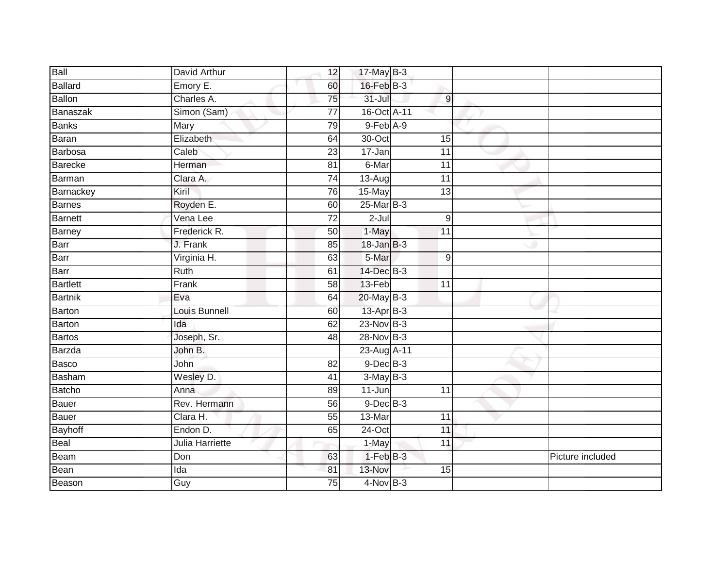| Ball            | David Arthur    | 12              | 17-May B-3       |                  |                  |
|-----------------|-----------------|-----------------|------------------|------------------|------------------|
| <b>Ballard</b>  | Emory E.        | 60              | $16$ -Feb $B-3$  |                  |                  |
| <b>Ballon</b>   | Charles A.      | 75              | $31 -$ Jul       | $\overline{9}$   |                  |
| Banaszak        | Simon (Sam)     | 77              | 16-Oct A-11      |                  |                  |
| <b>Banks</b>    | <b>Mary</b>     | 79              | $9$ -Feb $A-9$   |                  |                  |
| Baran           | Elizabeth       | 64              | 30-Oct           | 15               |                  |
| <b>Barbosa</b>  | Caleb           | 23              | 17-Jan           | 11               |                  |
| Barecke         | Herman          | 81              | 6-Mar            | 11               |                  |
| Barman          | Clara A.        | 74              | 13-Aug           | 11               |                  |
| Barnackey       | Kiril           | 76              | 15-May           | $\overline{13}$  |                  |
| <b>Barnes</b>   | Royden E.       | 60              | 25-Mar B-3       |                  |                  |
| <b>Barnett</b>  | Vena Lee        | $\overline{72}$ | $2 -$ Jul        | $\boldsymbol{9}$ |                  |
| Barney          | Frederick R.    | 50              | 1-May            | 11               |                  |
| Barr            | J. Frank        | 85              | $18 - Jan$ $B-3$ |                  |                  |
| Barr            | Virginia H.     | 63              | 5-Mar            | $9\,$            |                  |
| Barr            | Ruth            | 61              | 14-Dec B-3       |                  |                  |
| <b>Bartlett</b> | Frank           | 58              | 13-Feb           | $\overline{11}$  |                  |
| <b>Bartnik</b>  | Eva             | 64              | 20-May B-3       |                  |                  |
| Barton          | Louis Bunnell   | 60              | 13-Apr B-3       |                  |                  |
| Barton          | Ida             | 62              | $23-Nov$ B-3     |                  |                  |
| <b>Bartos</b>   | Joseph, Sr.     | 48              | $28-Nov$ B-3     |                  |                  |
| Barzda          | John B.         |                 | 23-Aug A-11      |                  |                  |
| <b>Basco</b>    | John            | 82              | $9$ -Dec $B$ -3  |                  |                  |
| Basham          | Wesley D.       | 41              | $3-MayB-3$       |                  |                  |
| <b>Batcho</b>   | Anna            | 89              | $11 - Jun$       | 11               |                  |
| <b>Bauer</b>    | Rev. Hermann    | 56              | $9$ -Dec $B$ -3  |                  |                  |
| Bauer           | Clara H.        | 55              | 13-Mar           | 11               |                  |
| <b>Bayhoff</b>  | Endon D.        | 65              | 24-Oct           | 11               |                  |
| Beal            | Julia Harriette |                 | 1-May            | 11               |                  |
| Beam            | Don             | 63              | $1 - Feb$ $B-3$  |                  | Picture included |
| Bean            | Ida             | 81              | 13-Nov           | 15               |                  |
| Beason          | Guy             | $\overline{75}$ | $4$ -Nov B-3     |                  |                  |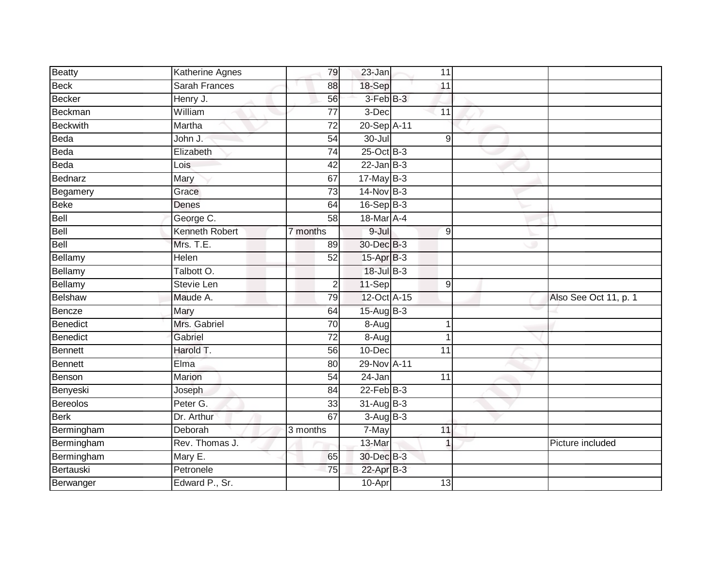| Beatty          | Katherine Agnes       | 79              | 23-Jan          | 11               |                       |
|-----------------|-----------------------|-----------------|-----------------|------------------|-----------------------|
| <b>Beck</b>     | <b>Sarah Frances</b>  | 88              | 18-Sep          | 11               |                       |
| <b>Becker</b>   | Henry J.              | 56              | 3-Feb B-3       |                  |                       |
| Beckman         | William               | 77              | 3-Dec           | 11               |                       |
| <b>Beckwith</b> | Martha                | $\overline{72}$ | 20-Sep A-11     |                  |                       |
| Beda            | John J.               | 54              | $30 -$ Jul      | 9                |                       |
| Beda            | Elizabeth             | $\overline{74}$ | 25-Oct B-3      |                  |                       |
| Beda            | Lois                  | 42              | $22$ -Jan B-3   |                  |                       |
| Bednarz         | Mary                  | 67              | $17$ -May B-3   |                  |                       |
| Begamery        | Grace                 | 73              | 14-Nov B-3      |                  |                       |
| <b>Beke</b>     | Denes                 | 64              | $16-Sep$ B-3    |                  |                       |
| Bell            | George C.             | 58              | 18-Mar A-4      |                  |                       |
| Bell            | <b>Kenneth Robert</b> | 7 months        | 9-Jul           | 9                |                       |
| Bell            | Mrs. T.E.             | 89              | 30-Dec B-3      |                  |                       |
| Bellamy         | Helen                 | 52              | 15-Apr B-3      |                  |                       |
| Bellamy         | Talbott O.            |                 | 18-Jul B-3      |                  |                       |
| Bellamy         | <b>Stevie Len</b>     | $\overline{2}$  | 11-Sep          | $\boldsymbol{9}$ |                       |
| <b>Belshaw</b>  | Maude A.              | 79              | 12-Oct A-15     |                  | Also See Oct 11, p. 1 |
| <b>Bencze</b>   | Mary                  | 64              | $15-Auq$ B-3    |                  |                       |
| <b>Benedict</b> | Mrs. Gabriel          | $\overline{70}$ | 8-Aug           | 1                |                       |
| <b>Benedict</b> | Gabriel               | $\overline{72}$ | $8-Aug$         | 1                |                       |
| <b>Bennett</b>  | Harold T.             | 56              | 10-Dec          | 11               |                       |
| <b>Bennett</b>  | Elma                  | 80              | 29-Nov A-11     |                  |                       |
| Benson          | Marion                | 54              | 24-Jan          | 11               |                       |
| Benyeski        | Joseph                | 84              | $22$ -Feb $B-3$ |                  |                       |
| <b>Bereolos</b> | Peter G.              | 33              | 31-Aug B-3      |                  |                       |
| <b>Berk</b>     | Dr. Arthur            | 67              | $3-AugB-3$      |                  |                       |
| Bermingham      | Deborah               | 3 months        | 7-May           | 11               |                       |
| Bermingham      | Rev. Thomas J.        |                 | 13-Mar          | $\overline{1}$   | Picture included      |
| Bermingham      | Mary $E$ .            | 65              | 30-Dec B-3      |                  |                       |
| Bertauski       | Petronele             | 75              | 22-Apr B-3      |                  |                       |
| Berwanger       | Edward P., Sr.        |                 | 10-Apr          | $\overline{13}$  |                       |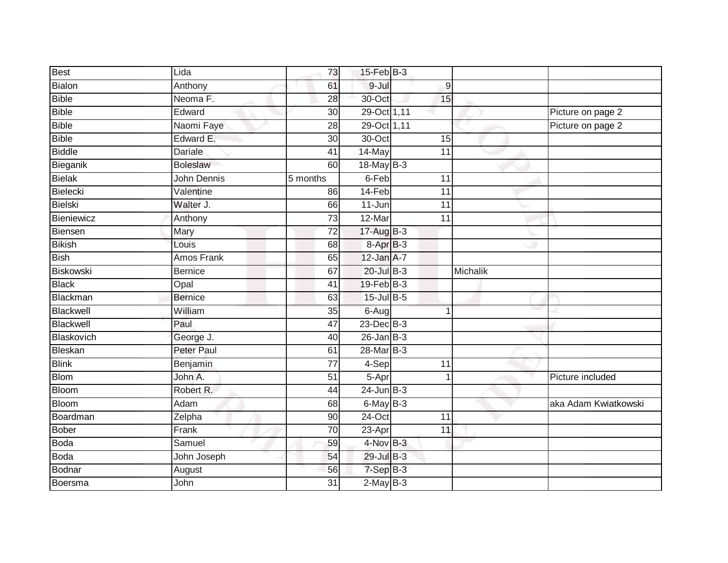| <b>Best</b>   | Lida              | 73                   | $15$ -Feb $B$ -3    |                  |          |                      |
|---------------|-------------------|----------------------|---------------------|------------------|----------|----------------------|
| Bialon        | Anthony           | 61                   | 9-Jul               | $\boldsymbol{9}$ |          |                      |
| <b>Bible</b>  | Neoma F.          | 28                   | 30-Oct              | 15               |          |                      |
| <b>Bible</b>  | Edward            | 30                   | 29-Oct 1,11         |                  |          | Picture on page 2    |
| Bible         | Naomi Faye        | $\overline{28}$      | 29-Oct 1,11         |                  |          | Picture on page 2    |
| Bible         | Edward E.         | 30                   | 30-Oct              | 15               |          |                      |
| <b>Biddle</b> | Dariale           | 41                   | 14-May              | 11               |          |                      |
| Bieganik      | <b>Boleslaw</b>   | 60                   | 18-May B-3          |                  |          |                      |
| <b>Bielak</b> | John Dennis       | $\frac{1}{5}$ months | 6-Feb               | 11               |          |                      |
| Bielecki      | Valentine         | 86                   | 14-Feb              | 11               |          |                      |
| Bielski       | Walter J.         | 66                   | 11-Jun              | 11               |          |                      |
| Bieniewicz    | Anthony           | $\overline{73}$      | 12-Mar              | 11               |          |                      |
| Biensen       | Mary              | 72                   | $17$ -Aug B-3       |                  |          |                      |
| <b>Bikish</b> | Louis             | 68                   | 8-Apr B-3           |                  |          |                      |
| Bish          | <b>Amos Frank</b> | 65                   | 12-Jan A-7          |                  |          |                      |
| Biskowski     | <b>Bernice</b>    | 67                   | 20-Jul B-3          |                  | Michalik |                      |
| <b>Black</b>  | Opal              | $\overline{41}$      | 19-Feb B-3          |                  |          |                      |
| Blackman      | <b>Bernice</b>    | 63                   | 15-Jul B-5          |                  |          |                      |
| Blackwell     | William           | 35                   | 6-Aug               |                  |          |                      |
| Blackwell     | Paul              | 47                   | $23$ -Dec $B-3$     |                  |          |                      |
| Blaskovich    | George J.         | 40                   | $26$ -Jan $B-3$     |                  |          |                      |
| Bleskan       | Peter Paul        | 61                   | 28-Mar B-3          |                  |          |                      |
| <b>Blink</b>  | Benjamin          | 77                   | 4-Sep               | 11               |          |                      |
| <b>Blom</b>   | John A.           | 51                   | $\overline{5}$ -Apr | $\mathbf 1$      |          | Picture included     |
| Bloom         | Robert R.         | 44                   | $24$ -Jun $B-3$     |                  |          |                      |
| <b>Bloom</b>  | Adam              | 68                   | 6-May B-3           |                  |          | aka Adam Kwiatkowski |
| Boardman      | Zelpha            | 90                   | $24$ -Oct           | 11               |          |                      |
| Bober         | Frank             | 70                   | 23-Apr              | 11               |          |                      |
| <b>Boda</b>   | Samuel            | 59                   | $4$ -Nov $B-3$      |                  |          |                      |
| <b>Boda</b>   | John Joseph       | 54                   | 29-Jul B-3          |                  |          |                      |
| Bodnar        | August            | 56                   | $7-SepB-3$          |                  |          |                      |
| Boersma       | John              | $\overline{31}$      | $2-May$ B-3         |                  |          |                      |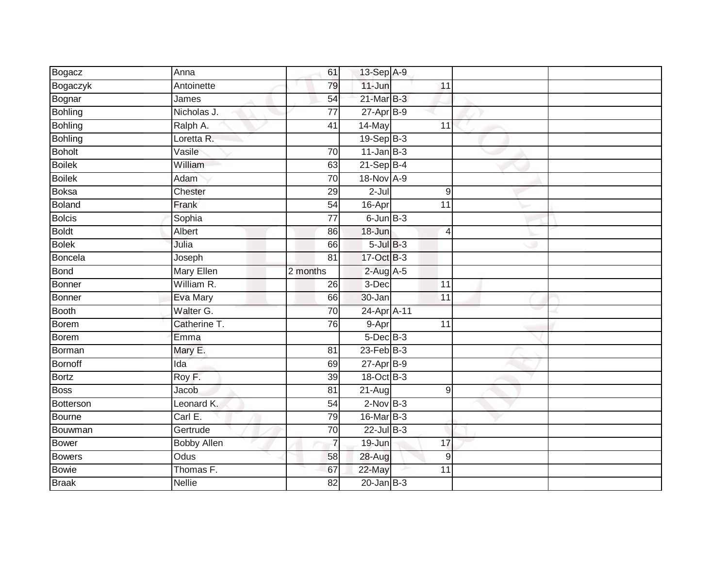| Bogacz         | Anna          | 61              | 13-Sep A-9        |                 |  |
|----------------|---------------|-----------------|-------------------|-----------------|--|
| Bogaczyk       | Antoinette    | 79              | 11-Jun            | 11              |  |
| Bognar         | James         | 54              | $21$ -Mar $B-3$   |                 |  |
| Bohling        | Nicholas J.   | $\overline{77}$ | $27$ -Apr $B-9$   |                 |  |
| <b>Bohling</b> | Ralph A.      | $\overline{41}$ | 14-May            | $\overline{11}$ |  |
| <b>Bohling</b> | Loretta R.    |                 | $19-Sep$ B-3      |                 |  |
| <b>Boholt</b>  | Vasile        | 70              | $11$ -Jan B-3     |                 |  |
| <b>Boilek</b>  | William       | 63              | $21-Sep$ B-4      |                 |  |
| <b>Boilek</b>  | Adam          | 70              | 18-Nov A-9        |                 |  |
| <b>Boksa</b>   | Chester       | 29              | $2-Jul$           | $\overline{9}$  |  |
| Boland         | Frank         | 54              | 16-Apr            | $\overline{11}$ |  |
| <b>Bolcis</b>  | Sophia        | $\overline{77}$ | $6$ -Jun $B-3$    |                 |  |
| <b>Boldt</b>   | Albert        | 86              | 18-Jun            | $\overline{4}$  |  |
| <b>Bolek</b>   | Julia         | 66              | $5$ -Jul $B-3$    |                 |  |
| Boncela        | Joseph        | $\overline{81}$ | 17-Oct B-3        |                 |  |
| <b>Bond</b>    | Mary Ellen    | 2 months        | $2$ -Aug $A$ -5   |                 |  |
| Bonner         | William R.    | $\overline{26}$ | 3-Dec             | $\overline{11}$ |  |
| Bonner         | Eva Mary      | 66              | 30-Jan            | 11              |  |
| Booth          | Walter G.     | 70              | 24-Apr A-11       |                 |  |
| Borem          | Catherine T.  | 76              | 9-Apr             | $\overline{11}$ |  |
| Borem          | Emma          |                 | $5$ -Dec $B$ -3   |                 |  |
| Borman         | Mary E.       | 81              | $23$ -Feb $ B-3 $ |                 |  |
| Bornoff        | Ida           | 69              | $27$ -Apr $B-9$   |                 |  |
| <b>Bortz</b>   | Roy F.        | 39              | 18-Oct B-3        |                 |  |
| <b>Boss</b>    | Jacob         | 81              | $21-Aug$          | $\overline{9}$  |  |
| Botterson      | Leonard K.    | 54              | $2$ -Nov $B-3$    |                 |  |
| Bourne         | Carl E.       | 79              | 16-Mar B-3        |                 |  |
| Bouwman        | Gertrude      | 70              | $22$ -Jul $B-3$   |                 |  |
| Bower          | Bobby Allen   | $\overline{7}$  | 19-Jun            | 17              |  |
| Bowers         | Odus          | 58              | 28-Aug            | $\mathsf g$     |  |
| <b>Bowie</b>   | Thomas F.     | 67              | 22-May            | 11              |  |
| <b>Braak</b>   | <b>Nellie</b> | 82              | $20$ -Jan $B-3$   |                 |  |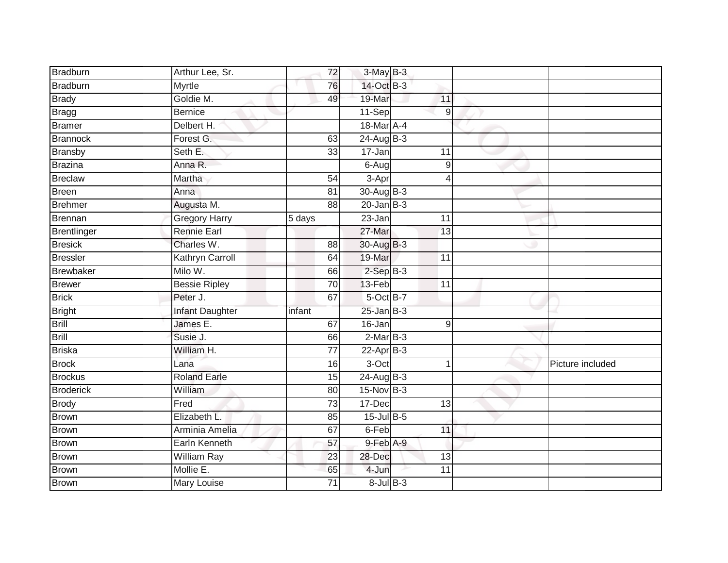| <b>Bradburn</b>  | Arthur Lee, Sr.      |        | $3-May$ B-3<br>72              |                 |                 |                  |
|------------------|----------------------|--------|--------------------------------|-----------------|-----------------|------------------|
| <b>Bradburn</b>  | Myrtle               |        | 14-Oct B-3<br>76               |                 |                 |                  |
| <b>Brady</b>     | Goldie M.            |        | 19-Mar<br>49                   |                 | 11              |                  |
| Bragg            | <b>Bernice</b>       |        | $11-Sep$                       |                 | 9               |                  |
| <b>Bramer</b>    | Delbert H.           |        | 18-Mar A-4                     |                 |                 |                  |
| <b>Brannock</b>  | Forest G.            |        | 24-Aug B-3<br>63               |                 |                 |                  |
| <b>Bransby</b>   | Seth E.              |        | $17 - Jan$<br>33               |                 | 11              |                  |
| Brazina          | Anna R.              |        | 6-Aug                          |                 | $\overline{9}$  |                  |
| Breclaw          | Martha               |        | 3-Apr<br>54                    |                 |                 |                  |
| Breen            | Anna                 |        | 30-Aug B-3<br>$\overline{81}$  |                 |                 |                  |
| <b>Brehmer</b>   | Augusta M.           |        | $20$ -Jan B-3<br>88            |                 |                 |                  |
| Brennan          | <b>Gregory Harry</b> | 5 days | 23-Jan                         |                 | $\overline{11}$ |                  |
| Brentlinger      | <b>Rennie Earl</b>   |        | 27-Mar                         |                 | 13              |                  |
| <b>Bresick</b>   | Charles W.           |        | 30-Aug B-3<br>88               |                 |                 |                  |
| <b>Bressler</b>  | Kathryn Carroll      |        | 19-Mar<br>64                   |                 | 11              |                  |
| Brewbaker        | Milo W.              |        | $2-SepB-3$<br>66               |                 |                 |                  |
| <b>Brewer</b>    | <b>Bessie Ripley</b> |        | $\overline{70}$<br>13-Feb      |                 | 11              |                  |
| <b>Brick</b>     | Peter J.             |        | 5-Oct B-7<br>67                |                 |                 |                  |
| <b>Bright</b>    | Infant Daughter      | infant | $25$ -Jan B-3                  |                 |                 |                  |
| Brill            | James E.             |        | $16 - Jan$<br>67               |                 | $\overline{9}$  |                  |
| <b>Brill</b>     | Susie J.             |        | $2-MarB-3$<br>66               |                 |                 |                  |
| <b>Briska</b>    | William H.           |        | $\overline{77}$<br>$22-AprB-3$ |                 |                 |                  |
| <b>Brock</b>     | Lana                 |        | 3-Oct<br>16                    |                 |                 | Picture included |
| <b>Brockus</b>   | <b>Roland Earle</b>  |        | $24$ -Aug B-3<br>15            |                 |                 |                  |
| <b>Broderick</b> | William              |        | $15$ -Nov $B-3$<br>80          |                 |                 |                  |
| <b>Brody</b>     | Fred                 |        | $\overline{73}$<br>17-Dec      |                 | 13              |                  |
| <b>Brown</b>     | Elizabeth L.         |        | $15$ -Jul $B$ -5<br>85         |                 |                 |                  |
| <b>Brown</b>     | Arminia Amelia       |        | 6-Feb<br>67                    |                 | 11              |                  |
| <b>Brown</b>     | Earln Kenneth        |        | 9-Feb A-9<br>57                |                 |                 |                  |
| Brown            | William Ray          |        | 23<br>28-Dec                   |                 | 13              |                  |
| Brown            | Mollie E.            |        | 4-Jun<br>65                    |                 | 11              |                  |
| <b>Brown</b>     | <b>Mary Louise</b>   |        | $\overline{71}$                | $8$ -Jul $B$ -3 |                 |                  |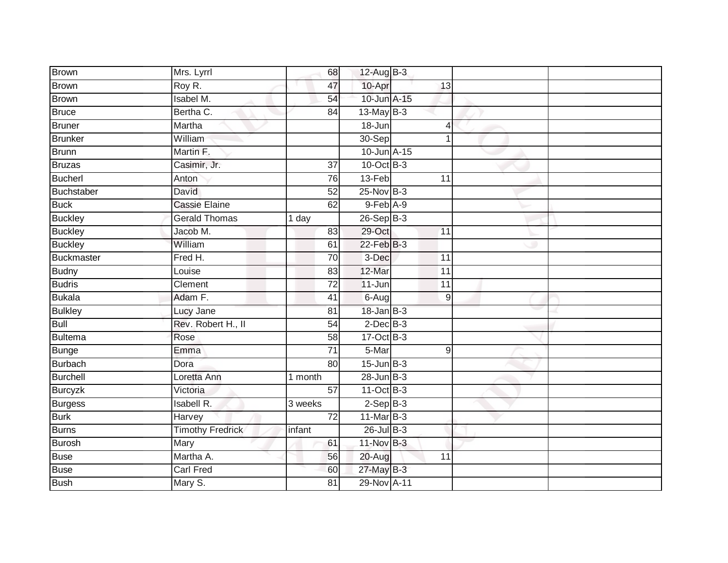| Brown             | Mrs. Lyrrl              | 68              | 12-Aug $B-3$     |                 |  |
|-------------------|-------------------------|-----------------|------------------|-----------------|--|
| <b>Brown</b>      | Roy R.                  | 47              | 10-Apr           | 13              |  |
| <b>Brown</b>      | Isabel M.               | 54              | 10-Jun A-15      |                 |  |
| <b>Bruce</b>      | Bertha C.               | 84              | $13$ -May B-3    |                 |  |
| <b>Bruner</b>     | Martha                  |                 | $18 - Jun$       | $\overline{4}$  |  |
| <b>Brunker</b>    | William                 |                 | $30-Sep$         | 1               |  |
| <b>Brunn</b>      | Martin F.               |                 | 10-Jun A-15      |                 |  |
| <b>Bruzas</b>     | Casimir, Jr.            | $\overline{37}$ | 10-Oct B-3       |                 |  |
| <b>Bucherl</b>    | Anton                   | 76              | 13-Feb           | $\overline{11}$ |  |
| Buchstaber        | David                   | $\overline{52}$ | 25-Nov B-3       |                 |  |
| <b>Buck</b>       | <b>Cassie Elaine</b>    | 62              | 9-Feb A-9        |                 |  |
| <b>Buckley</b>    | <b>Gerald Thomas</b>    | 1 day           | $26 - SepB-3$    |                 |  |
| <b>Buckley</b>    | Jacob M.                | 83              | 29-Oct           | 11              |  |
| <b>Buckley</b>    | William                 | 61              | $22$ -Feb $B-3$  |                 |  |
| <b>Buckmaster</b> | Fred H.                 | 70              | 3-Dec            | 11              |  |
| <b>Budny</b>      | Louise                  | 83              | 12-Mar           | 11              |  |
| <b>Budris</b>     | Clement                 | $\overline{72}$ | $11 - Jun$       | $\overline{11}$ |  |
| <b>Bukala</b>     | Adam F.                 | 41              | $6 - Aug$        | 9               |  |
| <b>Bulkley</b>    | Lucy Jane               | 81              | $18 - Jan$ $B-3$ |                 |  |
| <b>Bull</b>       | Rev. Robert H., II      | $\overline{54}$ | $2$ -Dec $B-3$   |                 |  |
| <b>Bultema</b>    | Rose                    | 58              | 17-Oct B-3       |                 |  |
| <b>Bunge</b>      | Emma                    | $\overline{71}$ | 5-Mar            | 9               |  |
| <b>Burbach</b>    | Dora                    | 80              | $15$ -Jun $B-3$  |                 |  |
| <b>Burchell</b>   | Loretta Ann             | 1 month         | $28$ -Jun $B-3$  |                 |  |
| <b>Burcyzk</b>    | Victoria                | 57              | 11-Oct B-3       |                 |  |
| <b>Burgess</b>    | <b>Isabell R.</b>       | 3 weeks         | $2-SepB-3$       |                 |  |
| <b>Burk</b>       | Harvey                  | $\overline{72}$ | $11$ -Mar $B-3$  |                 |  |
| <b>Burns</b>      | <b>Timothy Fredrick</b> | infant          | $26$ -Jul B-3    |                 |  |
| <b>Burosh</b>     | Mary                    | 61              | 11-Nov B-3       |                 |  |
| <b>Buse</b>       | Martha A.               | 56              | 20-Aug           | 11              |  |
| <b>Buse</b>       | <b>Carl Fred</b>        | 60              | 27-May B-3       |                 |  |
| <b>Bush</b>       | Mary S.                 | $\overline{81}$ | 29-Nov A-11      |                 |  |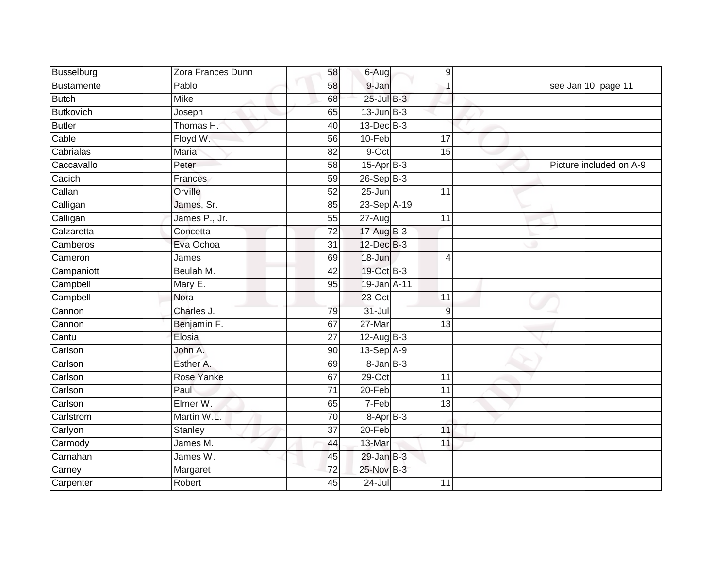| Busselburg       | Zora Frances Dunn | 58              | 6-Aug           | $\hbox{9}$      |                         |
|------------------|-------------------|-----------------|-----------------|-----------------|-------------------------|
| Bustamente       | Pablo             | 58              | 9-Jan           |                 | see Jan 10, page 11     |
| <b>Butch</b>     | <b>Mike</b>       | 68              | 25-Jul B-3      |                 |                         |
| <b>Butkovich</b> | Joseph            | 65              | $13$ -Jun $B-3$ |                 |                         |
| <b>Butler</b>    | Thomas H.         | 40              | $13$ -Dec $B-3$ |                 |                         |
| Cable            | Floyd W.          | 56              | $10-Feb$        | 17              |                         |
| Cabrialas        | Maria             | 82              | 9-Oct           | 15              |                         |
| Caccavallo       | Peter             | 58              | $15-AprB-3$     |                 | Picture included on A-9 |
| Cacich           | <b>Frances</b>    | 59              | 26-Sep B-3      |                 |                         |
| Callan           | Orville           | 52              | $25 - Jun$      | 11              |                         |
| Calligan         | James, Sr.        | 85              | 23-Sep A-19     |                 |                         |
| Calligan         | James P., Jr.     | 55              | 27-Aug          | 11              |                         |
| Calzaretta       | Concetta          | 72              | 17-Aug B-3      |                 |                         |
| Camberos         | Eva Ochoa         | 31              | 12-Dec B-3      |                 |                         |
| Cameron          | James             | 69              | 18-Jun          | 4               |                         |
| Campaniott       | Beulah M.         | 42              | 19-Oct B-3      |                 |                         |
| Campbell         | Mary E.           | $\overline{95}$ | 19-Jan A-11     |                 |                         |
| Campbell         | Nora              |                 | $23$ -Oct       | 11              |                         |
| Cannon           | Charles J.        | 79              | $31 -$ Jul      | 9               |                         |
| Cannon           | Benjamin F.       | 67              | $27 - Mar$      | $\overline{13}$ |                         |
| Cantu            | Elosia            | 27              | 12-Aug B-3      |                 |                         |
| Carlson          | John A.           | 90              | 13-Sep A-9      |                 |                         |
| Carlson          | Esther A.         | 69              | $8$ -Jan $B$ -3 |                 |                         |
| Carlson          | Rose Yanke        | 67              | $29$ -Oct       | 11              |                         |
| Carlson          | Paul              | $\overline{71}$ | 20-Feb          | 11              |                         |
| Carlson          | Elmer W.          | 65              | 7-Feb           | 13              |                         |
| Carlstrom        | Martin W.L.       | 70              | 8-Apr B-3       |                 |                         |
| Carlyon          | Stanley           | 37              | 20-Feb          | 11              |                         |
| Carmody          | James M.          | 44              | 13-Mar          | 11              |                         |
| Carnahan         | James W.          | 45              | 29-Jan B-3      |                 |                         |
| Carney           | Margaret          | 72              | 25-Nov B-3      |                 |                         |
| Carpenter        | Robert            | 45              | $24 -$ Jul      | 11              |                         |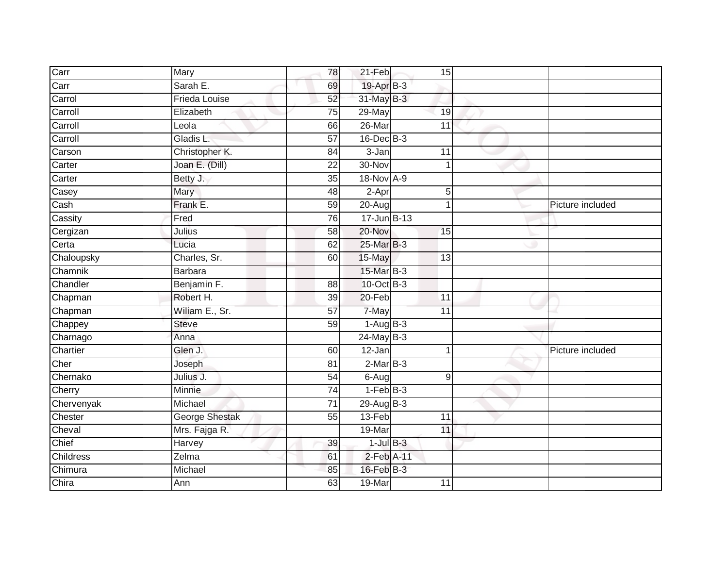| Carr       | Mary                  | 78              | 21-Feb          |                 | 15              |                  |
|------------|-----------------------|-----------------|-----------------|-----------------|-----------------|------------------|
| Carr       | Sarah E.              | 69              | 19-Apr B-3      |                 |                 |                  |
| Carrol     | <b>Frieda Louise</b>  | 52              | $31$ -May $B-3$ |                 |                 |                  |
| Carroll    | Elizabeth             | 75              | 29-May          |                 | 19              |                  |
| Carroll    | Leola                 | 66              | $26$ -Mar       |                 | $\overline{11}$ |                  |
| Carroll    | Gladis L.             | 57              | $16$ -Dec $B-3$ |                 |                 |                  |
| Carson     | Christopher K.        | 84              | 3-Jan           | 11              |                 |                  |
| Carter     | Joan E. (Dill)        | 22              | 30-Nov          |                 |                 |                  |
| Carter     | Betty J.              | 35              | 18-Nov A-9      |                 |                 |                  |
| Casey      | Mary                  | 48              | 2-Apr           |                 | $5\,$           |                  |
| Cash       | Frank E.              | 59              | 20-Aug          |                 |                 | Picture included |
| Cassity    | Fred                  | 76              | 17-Jun B-13     |                 |                 |                  |
| Cergizan   | Julius                | 58              | $20 - Nov$      |                 | 15              |                  |
| Certa      | Lucia                 | 62              | 25-Mar B-3      |                 |                 |                  |
| Chaloupsky | Charles, Sr.          | 60              | 15-May          |                 | 13              |                  |
| Chamnik    | <b>Barbara</b>        |                 | 15-Mar B-3      |                 |                 |                  |
| Chandler   | Benjamin F.           | $\overline{88}$ | 10-Oct B-3      |                 |                 |                  |
| Chapman    | Robert H.             | 39              | $20 - Feb$      | 11              |                 |                  |
| Chapman    | Wiliam E., Sr.        | 57              | 7-May           | 11              |                 |                  |
| Chappey    | <b>Steve</b>          | 59              | $1-AugB-3$      |                 |                 |                  |
| Charnago   | Anna                  |                 | 24-May B-3      |                 |                 |                  |
| Chartier   | Glen J.               | 60              | $12-Jan$        |                 |                 | Picture included |
| Cher       | Joseph                | 81              | $2$ -Mar $B-3$  |                 |                 |                  |
| Chernako   | Julius J.             | 54              | 6-Aug           |                 | 9               |                  |
| Cherry     | Minnie                | 74              | $1-FebB-3$      |                 |                 |                  |
| Chervenyak | Michael               | $\overline{71}$ | $29$ -Aug B-3   |                 |                 |                  |
| Chester    | <b>George Shestak</b> | 55              | 13-Feb          | $\overline{11}$ |                 |                  |
| Cheval     | Mrs. Fajga R.         |                 | 19-Mar          |                 | 11              |                  |
| Chief      | Harvey                | 39              | $1$ -Jul $B-3$  |                 |                 |                  |
| Childress  | Zelma                 | 61              | 2-Feb A-11      |                 |                 |                  |
| Chimura    | Michael               | 85              | $16$ -Feb $B-3$ |                 |                 |                  |
| Chira      | Ann                   | 63              | $19-Mar$        | 11              |                 |                  |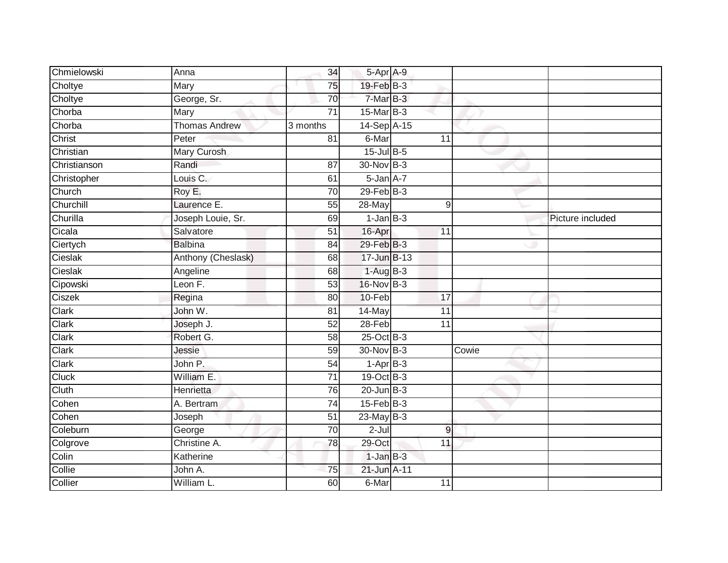| Chmielowski  | Anna                 | 34              | 5-Apr A-9        |                 |       |                  |
|--------------|----------------------|-----------------|------------------|-----------------|-------|------------------|
| Choltye      | Mary                 | 75              | $19$ -Feb $B-3$  |                 |       |                  |
| Choltye      | George, Sr.          | 70              | $7-MarB-3$       |                 |       |                  |
| Chorba       | Mary                 | $\overline{71}$ | 15-Mar B-3       |                 |       |                  |
| Chorba       | <b>Thomas Andrew</b> | 3 months        | 14-Sep A-15      |                 |       |                  |
| Christ       | Peter                | 81              | 6-Mar            | 11              |       |                  |
| Christian    | Mary Curosh          |                 | $15$ -Jul B-5    |                 |       |                  |
| Christianson | Randi                | 87              | 30-Nov B-3       |                 |       |                  |
| Christopher  | Louis C.             | 61              | $5 - Jan A - 7$  |                 |       |                  |
| Church       | Roy E.               | 70              | $29$ -Feb $B-3$  |                 |       |                  |
| Churchill    | Laurence E.          | 55              | 28-May           | 9               |       |                  |
| Churilla     | Joseph Louie, Sr.    | 69              | $1$ -Jan $B-3$   |                 |       | Picture included |
| Cicala       | Salvatore            | 51              | 16-Apr           | 11              |       |                  |
| Ciertych     | <b>Balbina</b>       | 84              | 29-Feb B-3       |                 |       |                  |
| Cieslak      | Anthony (Cheslask)   | 68              | 17-Jun B-13      |                 |       |                  |
| Cieslak      | Angeline             | 68              | $1-AugB-3$       |                 |       |                  |
| Cipowski     | Leon F.              | $\overline{53}$ | 16-Nov B-3       |                 |       |                  |
| Ciszek       | Regina               | 80              | 10-Feb           | $\overline{17}$ |       |                  |
| Clark        | John W.              | 81              | 14-May           | 11              |       |                  |
| Clark        | Joseph J.            | $\overline{52}$ | $28-Feb$         | 11              |       |                  |
| Clark        | Robert G.            | 58              | $25$ -Oct $B-3$  |                 |       |                  |
| Clark        | Jessie               | $\overline{59}$ | 30-Nov B-3       |                 | Cowie |                  |
| <b>Clark</b> | John P.              | 54              | $1-AprB-3$       |                 |       |                  |
| <b>Cluck</b> | William E.           | 71              | 19-Oct B-3       |                 |       |                  |
| Cluth        | Henrietta            | 76              | $20$ -Jun $B-3$  |                 |       |                  |
| Cohen        | A. Bertram           | 74              | $15 - Feb$ $B-3$ |                 |       |                  |
| Cohen        | Joseph               | $\overline{51}$ | $23$ -May B-3    |                 |       |                  |
| Coleburn     | George               | $\overline{70}$ | $2$ -Jul         | $9$             |       |                  |
| Colgrove     | Christine A.         | 78              | 29-Oct           | 11              |       |                  |
| Colin        | Katherine            |                 | $1$ -Jan $B-3$   |                 |       |                  |
| Collie       | John A.              | 75              | 21-Jun A-11      |                 |       |                  |
| Collier      | William L.           | 60              | 6-Mar            | $\overline{11}$ |       |                  |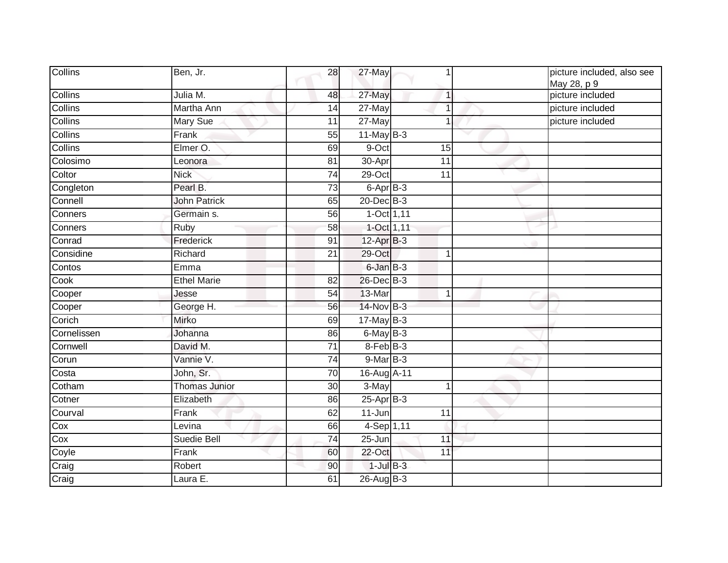| Collins     | Ben, Jr.             | 28              | 27-May          |                 | picture included, also see<br>May 28, p 9 |
|-------------|----------------------|-----------------|-----------------|-----------------|-------------------------------------------|
| Collins     | Julia M.             | 48              | 27-May          | $\mathbf{1}$    | picture included                          |
| Collins     | Martha Ann           | 14              | $27$ -May       |                 | picture included                          |
| Collins     | <b>Mary Sue</b>      | 11              | 27-May          | 1               | picture included                          |
| Collins     | Frank                | 55              | $11$ -May B-3   |                 |                                           |
| Collins     | Elmer O.             | 69              | 9-Oct           | 15              |                                           |
| Colosimo    | Leonora              | 81              | $30-Apr$        | 11              |                                           |
| Coltor      | <b>Nick</b>          | $\overline{74}$ | 29-Oct          | $\overline{11}$ |                                           |
| Congleton   | Pearl B.             | 73              | 6-Apr B-3       |                 |                                           |
| Connell     | <b>John Patrick</b>  | 65              | 20-Dec B-3      |                 |                                           |
| Conners     | Germain s.           | 56              | $1-Oct$ 1,11    |                 |                                           |
| Conners     | Ruby                 | 58              | 1-Oct 1,11      |                 |                                           |
| Conrad      | Frederick            | 91              | $12-Apr$ B-3    |                 |                                           |
| Considine   | Richard              | 21              | 29-Oct          |                 |                                           |
| Contos      | Emma                 |                 | 6-Jan B-3       |                 |                                           |
| Cook        | <b>Ethel Marie</b>   | 82              | 26-Dec B-3      |                 |                                           |
| Cooper      | Jesse                | 54              | 13-Mar          | 1               |                                           |
| Cooper      | George H.            | 56              | 14-Nov B-3      |                 |                                           |
| Corich      | Mirko                | 69              | $17$ -May $B-3$ |                 |                                           |
| Cornelissen | Johanna              | 86              | $6$ -May $B-3$  |                 |                                           |
| Cornwell    | David M.             | 71              | 8-Feb B-3       |                 |                                           |
| Corun       | Vannie V.            | 74              | $9$ -Mar $B-3$  |                 |                                           |
| Costa       | John, Sr.            | 70              | 16-Aug A-11     |                 |                                           |
| Cotham      | <b>Thomas Junior</b> | 30              | 3-May           | 1               |                                           |
| Cotner      | Elizabeth            | 86              | $25$ -Apr $B-3$ |                 |                                           |
| Courval     | Frank                | 62              | $11$ -Jun       | 11              |                                           |
| Cox         | Levina               | 66              | 4-Sep 1,11      |                 |                                           |
| Cox         | Suedie Bell          | 74              | 25-Jun          | 11              |                                           |
| Coyle       | Frank                | 60              | 22-Oct          | 11              |                                           |
| Craig       | Robert               | 90              | $1$ -Jul $B-3$  |                 |                                           |
| Craig       | Laura E.             | 61              | 26-Aug B-3      |                 |                                           |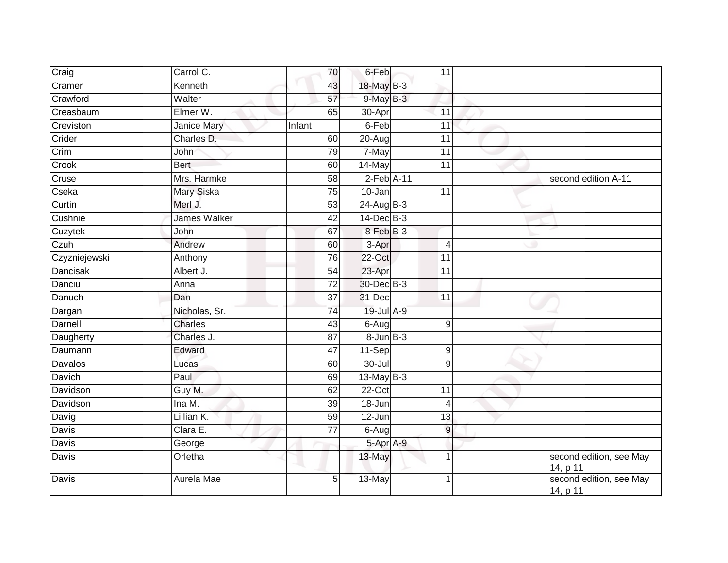| Craig           | Carrol C.          | 70              | 6-Feb             | 11              |                                     |
|-----------------|--------------------|-----------------|-------------------|-----------------|-------------------------------------|
| Cramer          | Kenneth            | 43              | 18-May B-3        |                 |                                     |
| Crawford        | Walter             | $\overline{57}$ | $9$ -May B-3      |                 |                                     |
| Creasbaum       | Elmer W.           | 65              | 30-Apr            | 11              |                                     |
| Creviston       | <b>Janice Mary</b> | Infant          | 6-Feb             | $\overline{11}$ |                                     |
| Crider          | Charles D.         | 60              | 20-Aug            | 11              |                                     |
| Crim            | John               | 79              | 7-May             | $\overline{11}$ |                                     |
| Crook           | <b>Bert</b>        | 60              | 14-May            | 11              |                                     |
| Cruse           | Mrs. Harmke        | 58              | $2$ -Feb $A-11$   |                 | second edition A-11                 |
| Cseka           | <b>Mary Siska</b>  | $\overline{75}$ | $10 - Jan$        | $\overline{11}$ |                                     |
| Curtin          | Merl J.            | $\overline{53}$ | $24$ -Aug $B-3$   |                 |                                     |
| Cushnie         | James Walker       | $\overline{42}$ | $14$ -Dec $B-3$   |                 |                                     |
| Cuzytek         | John               | 67              | 8-Feb B-3         |                 |                                     |
| Czuh            | Andrew             | 60              | 3-Apr             | $\overline{4}$  |                                     |
| Czyzniejewski   | Anthony            | 76              | $22$ -Oct         | $\overline{11}$ |                                     |
| <b>Dancisak</b> | Albert J.          | 54              | 23-Apr            | 11              |                                     |
| Danciu          | Anna               | $\overline{72}$ | 30-Dec B-3        |                 |                                     |
| Danuch          | Dan                | 37              | 31-Dec            | $\overline{11}$ |                                     |
| Dargan          | Nicholas, Sr.      | $\overline{74}$ | 19-Jul A-9        |                 |                                     |
| Darnell         | Charles            | 43              | $6 - Aug$         | 9               |                                     |
| Daugherty       | Charles J.         | 87              | $8 - Jun$ $B - 3$ |                 |                                     |
| Daumann         | Edward             | 47              | 11-Sep            | 9               |                                     |
| Davalos         | Lucas              | 60              | $30 -$ Jul        | 9               |                                     |
| Davich          | Paul               | 69              | 13-May $B-3$      |                 |                                     |
| Davidson        | Guy M.             | 62              | $22-Oct$          | $\overline{11}$ |                                     |
| Davidson        | Ina M.             | 39              | 18-Jun            | $\overline{4}$  |                                     |
| Davig           | Lillian K.         | 59              | 12-Jun            | 13              |                                     |
| <b>Davis</b>    | Clara E.           | 77              | 6-Aug             | $\overline{9}$  |                                     |
| Davis           | George             |                 | 5-Apr A-9         |                 |                                     |
| Davis           | Orletha            |                 | 13-May            | 1               | second edition, see May<br>14, p 11 |
| Davis           | Aurela Mae         | 5               | 13-May            | 1               | second edition, see May<br>14, p 11 |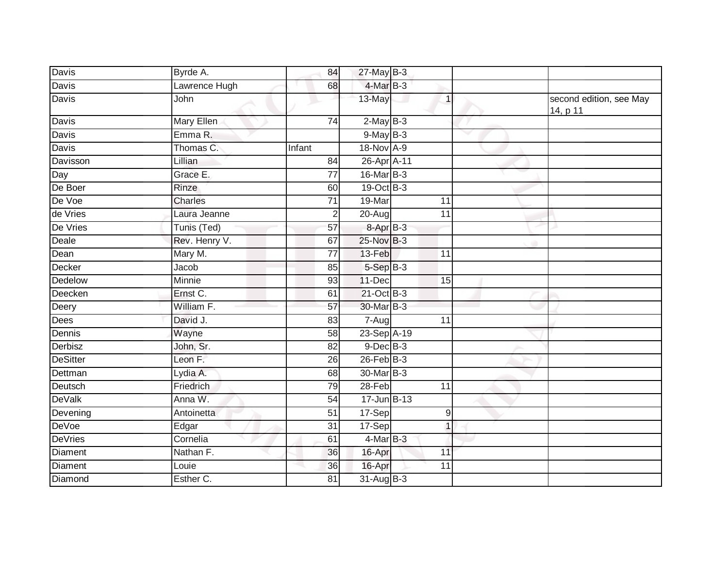| Davis           | Byrde A.      | 84              | $27$ -May B-3   |              |                                     |
|-----------------|---------------|-----------------|-----------------|--------------|-------------------------------------|
| <b>Davis</b>    | Lawrence Hugh | 68              | 4-Mar B-3       |              |                                     |
| <b>Davis</b>    | John          |                 | 13-May          | $\mathbf{1}$ | second edition, see May<br>14, p 11 |
| Davis           | Mary Ellen    | 74              | $2$ -May $B-3$  |              |                                     |
| Davis           | Emma R.       |                 | $9$ -May B-3    |              |                                     |
| Davis           | Thomas C.     | Infant          | 18-Nov A-9      |              |                                     |
| Davisson        | Lillian       | 84              | 26-Apr A-11     |              |                                     |
| Day             | Grace E.      | $\overline{77}$ | $16$ -Mar $B-3$ |              |                                     |
| De Boer         | Rinze         | 60              | 19-Oct B-3      |              |                                     |
| De Voe          | Charles       | 71              | 19-Mar          | 11           |                                     |
| de Vries        | Laura Jeanne  | $\overline{2}$  | 20-Aug          | 11           |                                     |
| De Vries        | Tunis (Ted)   | 57              | $8 - Apr$ $B-3$ |              |                                     |
| Deale           | Rev. Henry V. | 67              | 25-Nov B-3      |              |                                     |
| Dean            | Mary M.       | 77              | 13-Feb          | 11           |                                     |
| Decker          | Jacob         | 85              | 5-Sep B-3       |              |                                     |
| Dedelow         | Minnie        | 93              | 11-Dec          | 15           |                                     |
| Deecken         | Ernst C.      | 61              | 21-Oct B-3      |              |                                     |
| Deery           | William F.    | 57              | 30-Mar B-3      |              |                                     |
| Dees            | David J.      | 83              | $7 - Aug$       | 11           |                                     |
| Dennis          | Wayne         | 58              | 23-Sep A-19     |              |                                     |
| Derbisz         | John, Sr.     | 82              | $9$ -Dec $B$ -3 |              |                                     |
| <b>DeSitter</b> | Leon F.       | 26              | $26$ -Feb $B-3$ |              |                                     |
| Dettman         | Lydia A.      | 68              | 30-Mar B-3      |              |                                     |
| Deutsch         | Friedrich     | 79              | 28-Feb          | 11           |                                     |
| <b>DeValk</b>   | Anna W.       | $\overline{54}$ | 17-Jun B-13     |              |                                     |
| Devening        | Antoinetta    | 51              | 17-Sep          | 9            |                                     |
| <b>DeVoe</b>    | Edgar         | $\overline{31}$ | 17-Sep          | $\mathbf{1}$ |                                     |
| <b>DeVries</b>  | Cornelia      | 61              | 4-Mar B-3       |              |                                     |
| <b>Diament</b>  | Nathan F.     | 36              | 16-Apr          | 11           |                                     |
| Diament         | Louie         | 36              | 16-Apr          | 11           |                                     |
| Diamond         | Esther C.     | 81              | 31-Aug B-3      |              |                                     |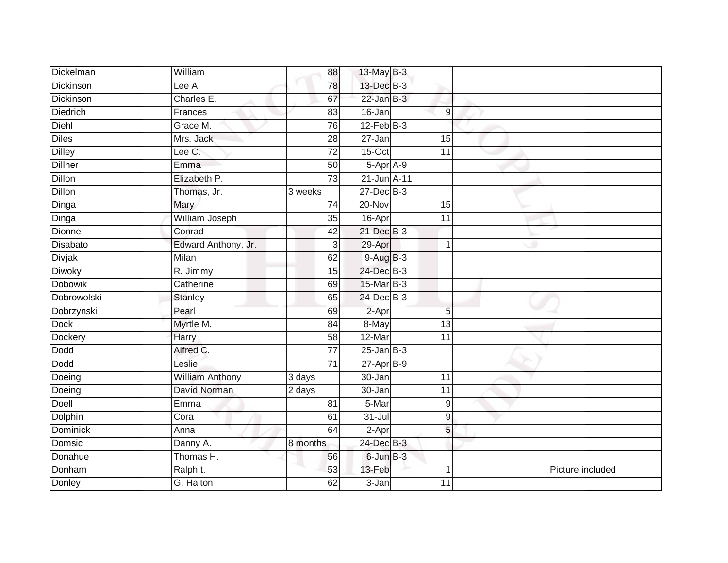| Dickelman       | William                | 88              | 13-May B-3      |                 |                  |
|-----------------|------------------------|-----------------|-----------------|-----------------|------------------|
| Dickinson       | Lee A.                 | 78              | 13-Dec B-3      |                 |                  |
| Dickinson       | Charles E.             | 67              | $22$ -Jan B-3   |                 |                  |
| <b>Diedrich</b> | Frances                | 83              | $16 - Jan$      | 9               |                  |
| Diehl           | Grace M.               | 76              | $12$ -Feb $B-3$ |                 |                  |
| <b>Diles</b>    | Mrs. Jack              | 28              | $27 - Jan$      | 15              |                  |
| <b>Dilley</b>   | Lee C.                 | $\overline{72}$ | 15-Oct          | 11              |                  |
| <b>Dillner</b>  | Emma                   | 50              | 5-Apr A-9       |                 |                  |
| Dillon          | Elizabeth P.           | 73              | 21-Jun A-11     |                 |                  |
| <b>Dillon</b>   | Thomas, Jr.            | 3 weeks         | 27-Dec B-3      |                 |                  |
| Dinga           | Mary                   | 74              | 20-Nov          | 15              |                  |
| Dinga           | William Joseph         | 35              | 16-Apr          | 11              |                  |
| <b>Dionne</b>   | Conrad                 | 42              | 21-Dec B-3      |                 |                  |
| Disabato        | Edward Anthony, Jr.    | $\overline{3}$  | 29-Apr          | 1               |                  |
| Divjak          | Milan                  | 62              | $9-AugB-3$      |                 |                  |
| <b>Diwoky</b>   | R. Jimmy               | 15              | 24-Dec B-3      |                 |                  |
| <b>Dobowik</b>  | Catherine              | 69              | 15-Mar B-3      |                 |                  |
| Dobrowolski     | Stanley                | 65              | 24-Dec B-3      |                 |                  |
| Dobrzynski      | Pearl                  | 69              | $2-Apr$         | $\overline{5}$  |                  |
| Dock            | Myrtle M.              | $\overline{84}$ | 8-May           | $\overline{13}$ |                  |
| Dockery         | Harry                  | 58              | 12-Mar          | 11              |                  |
| Dodd            | Alfred C.              | $\overline{77}$ | $25$ -Jan B-3   |                 |                  |
| Dodd            | Leslie                 | $\overline{71}$ | $27 - Apr$ B-9  |                 |                  |
| Doeing          | <b>William Anthony</b> | 3 days          | 30-Jan          | 11              |                  |
| Doeing          | David Norman           | 2 days          | 30-Jan          | 11              |                  |
| Doell           | Emma                   | $\overline{81}$ | 5-Mar           | 9               |                  |
| Dolphin         | Cora                   | 61              | $31 -$ Jul      | 9               |                  |
| <b>Dominick</b> | Anna                   | 64              | $2-Apr$         | 5               |                  |
| Domsic          | Danny A.               | 8 months        | 24-Dec B-3      |                 |                  |
| Donahue         | Thomas H.              | 56              | 6-Jun B-3       |                 |                  |
| Donham          | Ralph t.               | 53              | 13-Feb          | 1               | Picture included |
| Donley          | G. Halton              | 62              | 3-Jan           | 11              |                  |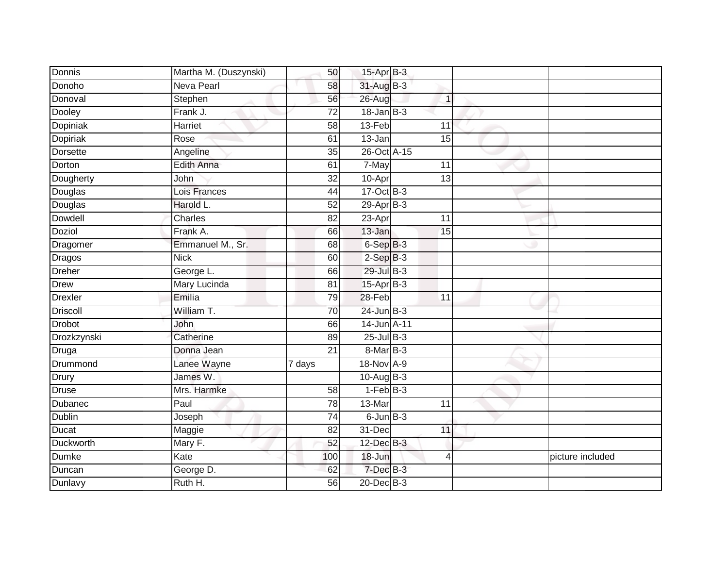| Donnis         | Martha M. (Duszynski)          | 50              | 15-Apr B-3       |                 |                  |
|----------------|--------------------------------|-----------------|------------------|-----------------|------------------|
| Donoho         | <b>Neva Pearl</b>              | 58              | 31-Aug B-3       |                 |                  |
| Donoval        | Stephen                        | 56              | 26-Aug           | $\mathbf{1}$    |                  |
| Dooley         | Frank J.                       | 72              | $18 - Jan$ $B-3$ |                 |                  |
| Dopiniak       | <b>Harriet</b>                 | $\overline{58}$ | $13-Feb$         | $\overline{11}$ |                  |
| Dopiriak       | Rose                           | 61              | 13-Jan           | 15              |                  |
| Dorsette       | Angeline                       | 35              | 26-Oct A-15      |                 |                  |
| Dorton         | Edith Anna                     | 61              | 7-May            | 11              |                  |
| Dougherty      | John                           | 32              | 10-Apr           | 13              |                  |
| Douglas        | Lois Frances                   | 44              | $17-Oct$ B-3     |                 |                  |
| Douglas        | Harold L.                      | 52              | $29$ -Apr $B-3$  |                 |                  |
| <b>Dowdell</b> | Charles                        | 82              | 23-Apr           | 11              |                  |
| Doziol         | Frank A.                       | 66              | $13 - Jan$       | 15              |                  |
| Dragomer       | Emmanuel M., Sr.               | 68              | 6-Sep B-3        |                 |                  |
| Dragos         | <b>Nick</b>                    | 60              | $2-SepB-3$       |                 |                  |
| <b>Dreher</b>  | George L.                      | 66              | 29-Jul B-3       |                 |                  |
| <b>Drew</b>    | Mary Lucinda                   | 81              | $15-Apr$ B-3     |                 |                  |
| <b>Drexler</b> | Emilia                         | 79              | 28-Feb           | $\overline{11}$ |                  |
| Driscoll       | William T.                     | 70              | $24$ -Jun $B-3$  |                 |                  |
| <b>Drobot</b>  | John                           | 66              | 14-Jun A-11      |                 |                  |
| Drozkzynski    | Catherine                      | 89              | $25$ -Jul B-3    |                 |                  |
| Druga          | Donna Jean                     | $\overline{21}$ | $8$ -Mar $B-3$   |                 |                  |
| Drummond       | Lanee Wayne                    | 7 days          | 18-Nov A-9       |                 |                  |
| Drury          | James W.                       |                 | 10-Aug B-3       |                 |                  |
| Druse          | Mrs. Harmke                    | 58              | $1-FebB-3$       |                 |                  |
| Dubanec        | Paul                           | 78              | 13-Mar           | 11              |                  |
| <b>Dublin</b>  | Joseph                         | $\overline{74}$ | $6$ -Jun $B-3$   |                 |                  |
| Ducat          | Maggie                         | 82              | 31-Dec           | 11              |                  |
| Duckworth      | $\overline{\mathsf{M}}$ ary F. | 52              | $12$ -Dec $B-3$  |                 |                  |
| Dumke          | Kate                           | 100             | 18-Jun           | $\overline{4}$  | picture included |
| Duncan         | George D.                      | 62              | $7$ -Dec $B-3$   |                 |                  |
| Dunlavy        | Ruth H.                        | 56              | $20$ -Dec $B-3$  |                 |                  |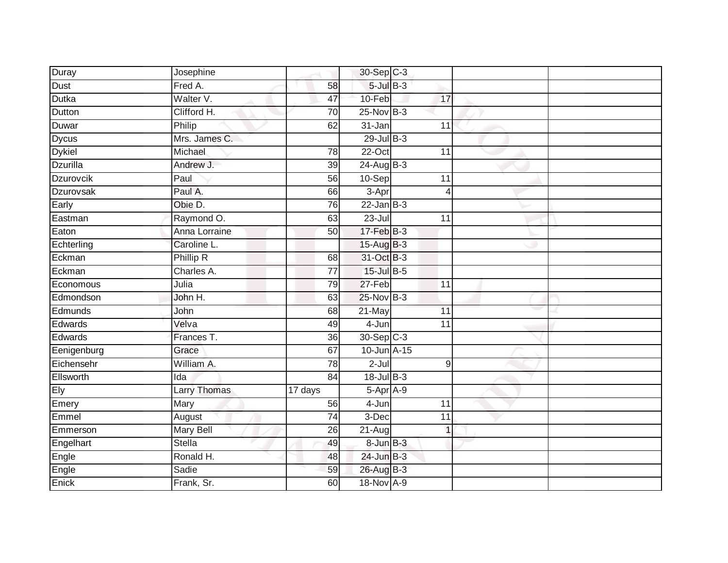| Duray            | Josephine           |         | 30-Sep C-3      |                 |  |
|------------------|---------------------|---------|-----------------|-----------------|--|
| <b>Dust</b>      | Fred A.             | 58      | $5$ -Jul $B$ -3 |                 |  |
| Dutka            | Walter V.           | 47      | 10-Feb          | 17              |  |
| Dutton           | Clifford H.         | 70      | 25-Nov B-3      |                 |  |
|                  | Philip              | 62      | $31 - Jan$      | 11              |  |
| Duwar            |                     |         |                 |                 |  |
| <b>Dycus</b>     | Mrs. James C.       |         | 29-Jul B-3      |                 |  |
| <b>Dykiel</b>    | Michael             | 78      | $22-Oct$        | 11              |  |
| Dzurilla         | Andrew J.           | 39      | $24$ -Aug B-3   |                 |  |
| Dzurovcik        | Paul                | 56      | 10-Sep          | 11              |  |
| <b>Dzurovsak</b> | Paul A.             | 66      | $3-Apr$         | 4               |  |
| Early            | Obie D.             | 76      | $22$ -Jan B-3   |                 |  |
| Eastman          | Raymond O.          | 63      | $23 -$ Jul      | 11              |  |
| Eaton            | Anna Lorraine       | 50      | $17$ -Feb $B-3$ |                 |  |
| Echterling       | Caroline L.         |         | 15-Aug B-3      |                 |  |
| Eckman           | Phillip R           | 68      | 31-Oct B-3      |                 |  |
| Eckman           | Charles A.          | 77      | 15-Jul B-5      |                 |  |
| Economous        | Julia               | 79      | 27-Feb          | $\overline{11}$ |  |
| Edmondson        | John H.             | 63      | 25-Nov B-3      |                 |  |
| Edmunds          | John                | 68      | $21$ -May       | 11              |  |
| Edwards          | Velva               | 49      | 4-Jun           | $\overline{11}$ |  |
| Edwards          | Frances T.          | 36      | 30-Sep C-3      |                 |  |
| Eenigenburg      | Grace               | 67      | 10-Jun A-15     |                 |  |
| Eichensehr       | William A.          | 78      | $2$ -Jul        | 9               |  |
| Ellsworth        | Ida                 | 84      | 18-Jul B-3      |                 |  |
| Ely              | <b>Larry Thomas</b> | 17 days | $5-AprA-9$      |                 |  |
| Emery            | Mary                | 56      | 4-Jun           | $\overline{11}$ |  |
| Emmel            | August              | 74      | $3-Dec$         | $\overline{11}$ |  |
| Emmerson         | <b>Mary Bell</b>    | 26      | 21-Aug          | $\overline{1}$  |  |
| Engelhart        | Stella              | 49      | $8 - Jun$ $B-3$ |                 |  |
| Engle            | Ronald H.           | 48      | $24$ -Jun $B-3$ |                 |  |
| Engle            | Sadie               | 59      | 26-Aug B-3      |                 |  |
| Enick            | Frank, Sr.          | 60      | 18-Nov A-9      |                 |  |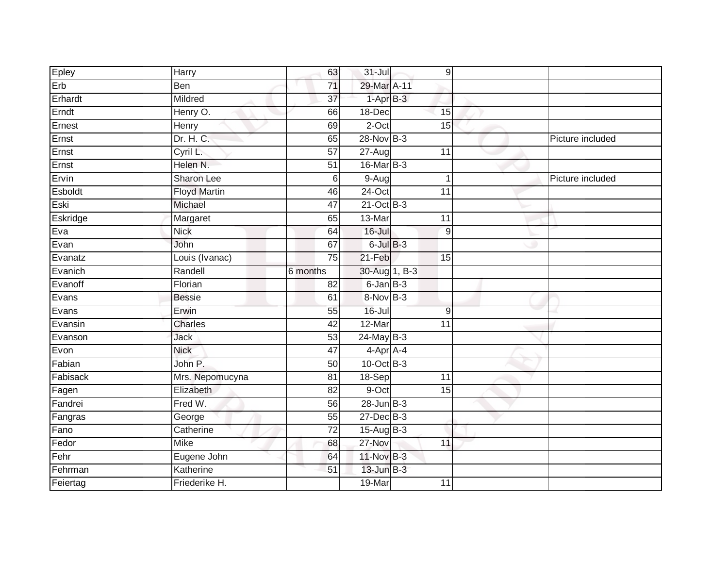| Epley    | Harry               | 63              | $31 -$ Jul       | 9               |                  |
|----------|---------------------|-----------------|------------------|-----------------|------------------|
| Erb      | Ben                 | 71              | 29-Mar A-11      |                 |                  |
| Erhardt  | Mildred             | $\overline{37}$ | $1-AprB-3$       |                 |                  |
| Erndt    | Henry O.            | 66              | 18-Dec           | 15              |                  |
| Ernest   | Henry               | 69              | $2$ -Oct         | 15              |                  |
| Ernst    | Dr. H. C.           | 65              | 28-Nov B-3       |                 | Picture included |
| Ernst    | Cyril L.            | 57              | $27 - Aug$       | 11              |                  |
| Ernst    | Helen N.            | 51              | 16-Mar B-3       |                 |                  |
| Ervin    | Sharon Lee          | 6               | $9-Aug$          | 1               | Picture included |
| Esboldt  | <b>Floyd Martin</b> | 46              | $24$ -Oct        | 11              |                  |
| Eski     | Michael             | 47              | 21-Oct B-3       |                 |                  |
| Eskridge | Margaret            | 65              | 13-Mar           | $\overline{11}$ |                  |
| Eva      | <b>Nick</b>         | 64              | $16 -$ Jul       | 9               |                  |
| Evan     | John                | 67              | $6$ -Jul $B-3$   |                 |                  |
| Evanatz  | Louis (Ivanac)      | $\overline{75}$ | $21-Feb$         | 15              |                  |
| Evanich  | Randell             | 6 months        | 30-Aug 1, B-3    |                 |                  |
| Evanoff  | Florian             | $\overline{82}$ | $6$ -Jan $B$ -3  |                 |                  |
| Evans    | <b>Bessie</b>       | 61              | 8-Nov B-3        |                 |                  |
| Evans    | Erwin               | 55              | $16 -$ Jul       | 9               |                  |
| Evansin  | <b>Charles</b>      | 42              | $12$ -Mar        | $\overline{11}$ |                  |
| Evanson  | Jack                | 53              | $24$ -May B-3    |                 |                  |
| Evon     | <b>Nick</b>         | 47              | 4-Apr A-4        |                 |                  |
| Fabian   | John P.             | 50              | 10-Oct B-3       |                 |                  |
| Fabisack | Mrs. Nepomucyna     | 81              | 18-Sep           | 11              |                  |
| Fagen    | Elizabeth           | 82              | 9-Oct            | 15              |                  |
| Fandrei  | Fred W.             | 56              | $28$ -Jun $B-3$  |                 |                  |
| Fangras  | George              | 55              | $27$ -Dec $B-3$  |                 |                  |
| Fano     | Catherine           | 72              | $15$ -Aug $B$ -3 |                 |                  |
| Fedor    | <b>Mike</b>         | 68              | 27-Nov           | 11              |                  |
| Fehr     | Eugene John         | 64              | 11-Nov B-3       |                 |                  |
| Fehrman  | Katherine           | 51              | $13$ -Jun $B-3$  |                 |                  |
| Feiertag | Friederike H.       |                 | 19-Mar           | 11              |                  |
|          |                     |                 |                  |                 |                  |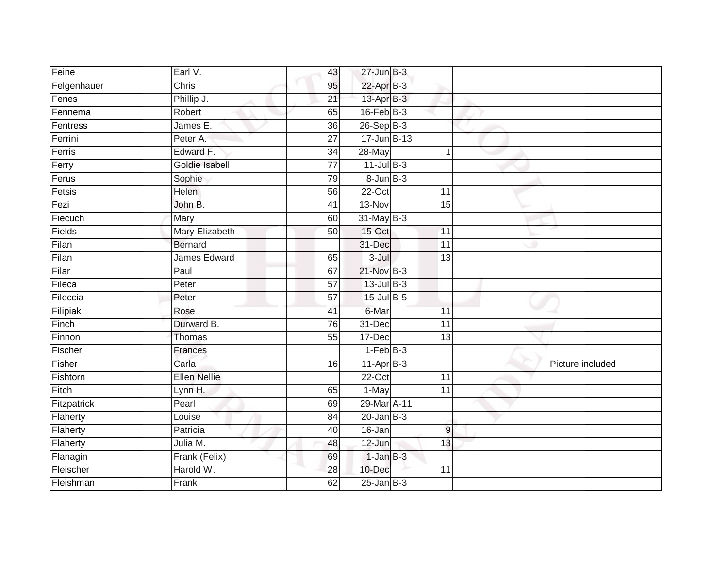| Feine       | Earl V.             | 43              | $27$ -Jun $B-3$   |                 |                  |
|-------------|---------------------|-----------------|-------------------|-----------------|------------------|
| Felgenhauer | Chris               | 95              | $22$ -Apr $B-3$   |                 |                  |
| Fenes       | Phillip J.          | 21              | 13-Apr B-3        |                 |                  |
| Fennema     | Robert              | 65              | $16$ -Feb $B$ -3  |                 |                  |
| Fentress    | James E.            | $\overline{36}$ | $26-SepB-3$       |                 |                  |
| Ferrini     | Peter A.            | $\overline{27}$ | 17-Jun B-13       |                 |                  |
| Ferris      | Edward F.           | 34              | 28-May            | 1               |                  |
| Ferry       | Goldie Isabell      | 77              | $11$ -Jul B-3     |                 |                  |
| Ferus       | Sophie              | 79              | $8 - Jun$ $B - 3$ |                 |                  |
| Fetsis      | <b>Helen</b>        | 56              | 22-Oct            | 11              |                  |
| Fezi        | John B.             | 41              | 13-Nov            | 15              |                  |
| Fiecuch     | Mary                | 60              | $31$ -May $B-3$   |                 |                  |
| Fields      | Mary Elizabeth      | 50              | 15-Oct            | 11              |                  |
| Filan       | <b>Bernard</b>      |                 | 31-Dec            | $\overline{11}$ |                  |
| Filan       | James Edward        | 65              | $3 -$ Jul         | $\overline{13}$ |                  |
| Filar       | Paul                | 67              | 21-Nov B-3        |                 |                  |
| Fileca      | Peter               | 57              | $13$ -Jul B-3     |                 |                  |
| Fileccia    | Peter               | 57              | $15$ -Jul B-5     |                 |                  |
| Filipiak    | Rose                | 41              | 6-Mar             | 11              |                  |
| Finch       | Durward B.          | 76              | 31-Dec            | $\overline{11}$ |                  |
| Finnon      | Thomas              | 55              | 17-Dec            | 13              |                  |
| Fischer     | Frances             |                 | $1-FebB-3$        |                 |                  |
| Fisher      | Carla               | 16              | $11-Apr$ B-3      |                 | Picture included |
| Fishtorn    | <b>Ellen Nellie</b> |                 | $22-Oct$          | $\overline{11}$ |                  |
| Fitch       | Lynn H.             | 65              | 1-May             | 11              |                  |
| Fitzpatrick | Pearl               | 69              | 29-Mar A-11       |                 |                  |
| Flaherty    | Louise              | 84              | $20$ -Jan $B-3$   |                 |                  |
| Flaherty    | Patricia            | 40              | 16-Jan            | $9$             |                  |
| Flaherty    | Julia M.            | 48              | 12-Jun            | 13              |                  |
| Flanagin    | Frank (Felix)       | 69              | $1$ -Jan $B-3$    |                 |                  |
| Fleischer   | Harold W.           | 28              | 10-Dec            | 11              |                  |
| Fleishman   | Frank               | 62              | $25$ -Jan $B-3$   |                 |                  |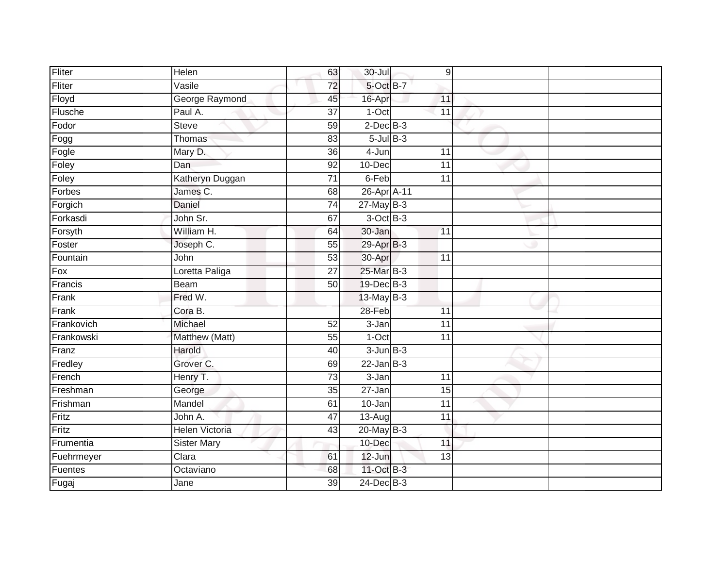| Fliter     | Helen                 | 63              | 30-Jul            | 9               |  |
|------------|-----------------------|-----------------|-------------------|-----------------|--|
| Fliter     | Vasile                | 72              | 5-Oct B-7         |                 |  |
| Floyd      | George Raymond        | 45              | 16-Apr            | 11              |  |
| Flusche    | Paul A.               | $\overline{37}$ | 1-Oct             | 11              |  |
| Fodor      | <b>Steve</b>          | 59              | $2$ -Dec $B-3$    |                 |  |
| Fogg       | <b>Thomas</b>         | 83              | $5 -$ Jul $B - 3$ |                 |  |
| Fogle      | Mary D.               | 36              | 4-Jun             | 11              |  |
| Foley      | Dan                   | 92              | 10-Dec            | 11              |  |
| Foley      | Katheryn Duggan       | 71              | 6-Feb             | 11              |  |
| Forbes     | James C.              | 68              | 26-Apr A-11       |                 |  |
| Forgich    | Daniel                | 74              | $27$ -May B-3     |                 |  |
| Forkasdi   | John Sr.              | 67              | $3$ -Oct $B-3$    |                 |  |
| Forsyth    | William H.            | 64              | 30-Jan            | 11              |  |
| Foster     | Joseph C.             | 55              | 29-Apr B-3        |                 |  |
| Fountain   | John                  | 53              | 30-Apr            | 11              |  |
| Fox        | Loretta Paliga        | 27              | 25-Mar B-3        |                 |  |
| Francis    | <b>Beam</b>           | $\overline{50}$ | 19-Dec B-3        |                 |  |
| Frank      | Fred W.               |                 | $13$ -May B-3     |                 |  |
| Frank      | Cora B.               |                 | $28-Feb$          | 11              |  |
| Frankovich | Michael               | 52              | $3 - Jan$         | $\overline{11}$ |  |
| Frankowski | Matthew (Matt)        | 55              | $1-Oct$           | 11              |  |
| Franz      | Harold                | 40              | $3$ -Jun $B-3$    |                 |  |
| Fredley    | Grover C.             | 69              | $22$ -Jan B-3     |                 |  |
| French     | Henry T.              | $\overline{73}$ | $3 - Jan$         | 11              |  |
| Freshman   | George                | $\overline{35}$ | $27 - Jan$        | 15              |  |
| Frishman   | Mandel                | 61              | $10 - Jan$        | 11              |  |
| Fritz      | John A.               | $\overline{47}$ | 13-Aug            | $\overline{11}$ |  |
| Fritz      | <b>Helen Victoria</b> | 43              | $20$ -May B-3     |                 |  |
| Frumentia  | <b>Sister Mary</b>    |                 | 10-Dec            | 11              |  |
| Fuehrmeyer | Clara                 | 61              | 12-Jun            | 13              |  |
| Fuentes    | Octaviano             | 68              | 11-Oct B-3        |                 |  |
| Fugaj      | Jane                  | $\overline{39}$ | 24-Dec B-3        |                 |  |
|            |                       |                 |                   |                 |  |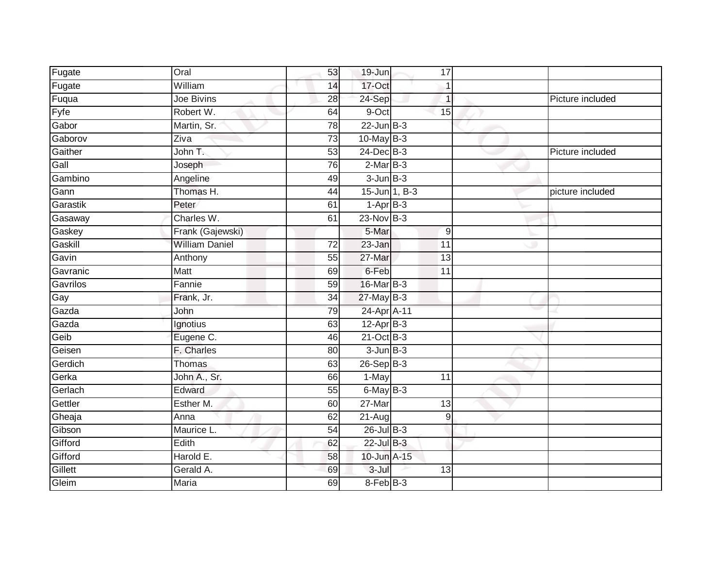| Fugate   | Oral                  | 53              | 19-Jun          |               | 17             |                  |
|----------|-----------------------|-----------------|-----------------|---------------|----------------|------------------|
| Fugate   | William               | 14              | 17-Oct          |               |                |                  |
| Fuqua    | Joe Bivins            | 28              | 24-Sep          |               |                | Picture included |
| $F$ yfe  | Robert W.             | 64              | 9-Oct           |               | 15             |                  |
| Gabor    | Martin, Sr.           | $\overline{78}$ | $22$ -Jun $B-3$ |               |                |                  |
| Gaborov  | Ziva                  | $\overline{73}$ | 10-May B-3      |               |                |                  |
| Gaither  | John T.               | 53              | $24$ -Dec $B-3$ |               |                | Picture included |
| Gall     | Joseph                | 76              | $2-MarB-3$      |               |                |                  |
| Gambino  | Angeline              | 49              | $3 - Jun$ $B-3$ |               |                |                  |
| Gann     | Thomas H.             | 44              |                 | 15-Jun 1, B-3 |                | picture included |
| Garastik | Peter                 | 61              | $1-AprB-3$      |               |                |                  |
| Gasaway  | Charles W.            | 61              | 23-Nov B-3      |               |                |                  |
| Gaskey   | Frank (Gajewski)      |                 | 5-Mar           |               | 9              |                  |
| Gaskill  | <b>William Daniel</b> | 72              | 23-Jan          |               | 11             |                  |
| Gavin    | Anthony               | 55              | 27-Mar          |               | 13             |                  |
| Gavranic | Matt                  | 69              | 6-Feb           |               | 11             |                  |
| Gavrilos | Fannie                | 59              | 16-Mar B-3      |               |                |                  |
| Gay      | Frank, Jr.            | 34              | $27$ -May B-3   |               |                |                  |
| Gazda    | John                  | 79              | 24-Apr A-11     |               |                |                  |
| Gazda    | Ignotius              | 63              | $12-Apr$ B-3    |               |                |                  |
| Geib     | Eugene C.             | 46              | $21$ -Oct B-3   |               |                |                  |
| Geisen   | F. Charles            | 80              | $3$ -Jun $B-3$  |               |                |                  |
| Gerdich  | Thomas                | 63              | $26 - SepB-3$   |               |                |                  |
| Gerka    | John A., Sr.          | 66              | 1-May           |               | 11             |                  |
| Gerlach  | Edward                | 55              | 6-May B-3       |               |                |                  |
| Gettler  | Esther M.             | 60              | 27-Mar          |               | 13             |                  |
| Gheaja   | Anna                  | 62              | $21 - Aug$      |               | $\overline{9}$ |                  |
| Gibson   | Maurice L.            | 54              | $26$ -Jul $B-3$ |               |                |                  |
| Gifford  | Edith                 | 62              | 22-Jul B-3      |               |                |                  |
| Gifford  | Harold E.             | 58              | 10-Jun A-15     |               |                |                  |
| Gillett  | Gerald A.             | 69              | $3 -$ Jul       |               | 13             |                  |
| Gleim    | Maria                 | 69              | $8-Feb$ $B-3$   |               |                |                  |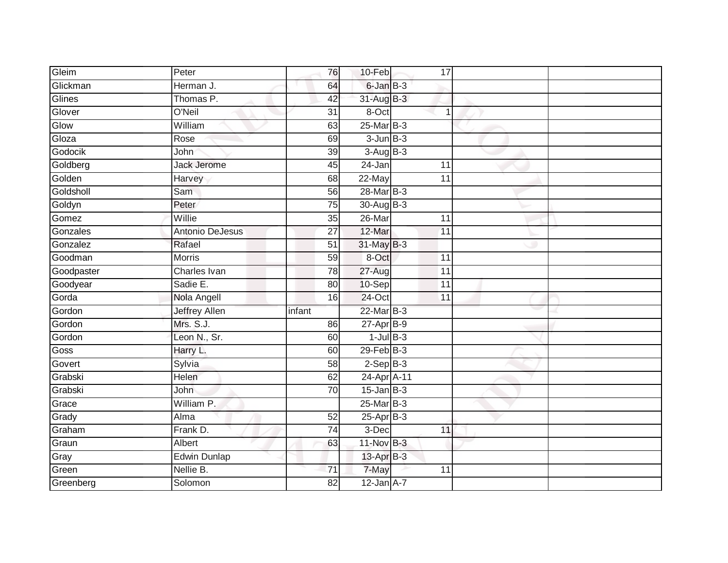| Gleim      | Peter                  | 76              | 10-Feb            | 17              |                |  |
|------------|------------------------|-----------------|-------------------|-----------------|----------------|--|
| Glickman   | Herman J.              | 64              | 6-Jan B-3         |                 |                |  |
| Glines     | Thomas P.              | 42              | $31$ -Aug $B-3$   |                 |                |  |
| Glover     | O'Neil                 | 31              | 8-Oct             |                 | $\overline{1}$ |  |
| Glow       | William                | 63              | 25-Mar B-3        |                 |                |  |
| Gloza      | Rose                   | 69              | $3 - Jun$ $B-3$   |                 |                |  |
| Godocik    | John                   | 39              | $3-AugB-3$        |                 |                |  |
| Goldberg   | <b>Jack Jerome</b>     | 45              | 24-Jan            | 11              |                |  |
| Golden     | Harvey                 | 68              | 22-May            | 11              |                |  |
| Goldsholl  | Sam                    | 56              | 28-Mar B-3        |                 |                |  |
| Goldyn     | Peter                  | 75              | 30-Aug B-3        |                 |                |  |
| Gomez      | Willie                 | 35              | 26-Mar            | 11              |                |  |
| Gonzales   | <b>Antonio DeJesus</b> | 27              | 12-Mar            | 11              |                |  |
| Gonzalez   | Rafael                 | 51              | 31-May B-3        |                 |                |  |
| Goodman    | <b>Morris</b>          | $\overline{59}$ | 8-Oct             | $\overline{11}$ |                |  |
| Goodpaster | Charles Ivan           | 78              | $27 - Aug$        | 11              |                |  |
| Goodyear   | Sadie E.               | 80              | 10-Sep            | $\overline{11}$ |                |  |
| Gorda      | Nola Angell            | 16              | 24-Oct            | 11              |                |  |
| Gordon     | <b>Jeffrey Allen</b>   | infant          | 22-Mar B-3        |                 |                |  |
| Gordon     | Mrs. S.J.              | 86              | $27$ -Apr $B-9$   |                 |                |  |
| Gordon     | Leon N., Sr.           | 60              | $1$ -Jul $B-3$    |                 |                |  |
| Goss       | Harry L.               | 60              | $29$ -Feb $ B-3 $ |                 |                |  |
| Govert     | Sylvia                 | 58              | $2-Sep$ B-3       |                 |                |  |
| Grabski    | Helen                  | 62              | 24-Apr A-11       |                 |                |  |
| Grabski    | John                   | 70              | $15$ -Jan B-3     |                 |                |  |
| Grace      | William P.             |                 | $25$ -Mar $B-3$   |                 |                |  |
| Grady      | Alma                   | 52              | $25-AprB-3$       |                 |                |  |
| Graham     | Frank D.               | 74              | $3-Dec$           | 11              |                |  |
| Graun      | Albert                 | 63              | 11-Nov B-3        |                 |                |  |
| Gray       | <b>Edwin Dunlap</b>    |                 | 13-Apr B-3        |                 |                |  |
| Green      | Nellie B.              | $\overline{71}$ | 7-May             | 11              |                |  |
| Greenberg  | Solomon                | $\overline{82}$ | $12$ -Jan $A-7$   |                 |                |  |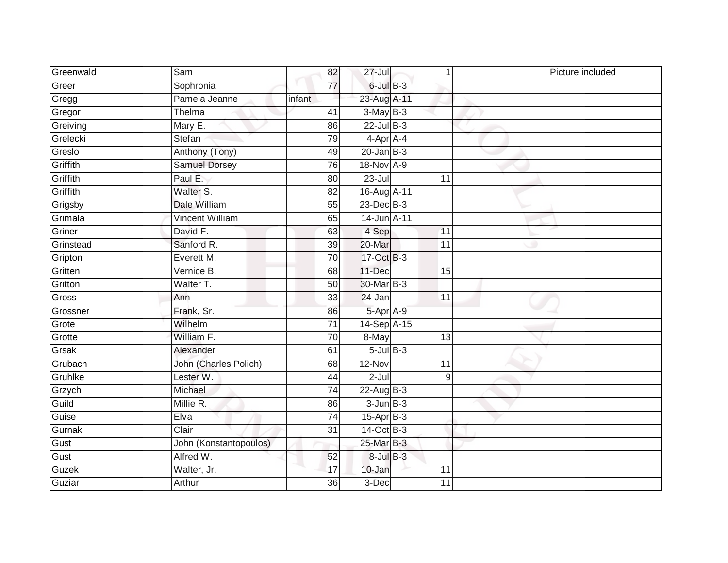| Greenwald | Sam                    | 82              | $27 -$ Jul       | 1               | Picture included |
|-----------|------------------------|-----------------|------------------|-----------------|------------------|
| Greer     | Sophronia              | 77              | $6$ -Jul $B-3$   |                 |                  |
| Gregg     | Pamela Jeanne          | infant          | 23-Aug A-11      |                 |                  |
| Gregor    | Thelma                 | 41              | $3-MayB-3$       |                 |                  |
| Greiving  | Mary E.                | 86              | $22$ -Jul $B-3$  |                 |                  |
| Grelecki  | Stefan                 | 79              | 4-Apr A-4        |                 |                  |
| Greslo    | Anthony (Tony)         | 49              | $20 - Jan$ $B-3$ |                 |                  |
| Griffith  | <b>Samuel Dorsey</b>   | 76              | 18-Nov A-9       |                 |                  |
| Griffith  | Paul E.                | 80              | $23 -$ Jul       | 11              |                  |
| Griffith  | Walter S.              | $\overline{82}$ | 16-Aug A-11      |                 |                  |
| Grigsby   | Dale William           | 55              | $23$ -Dec $B-3$  |                 |                  |
| Grimala   | <b>Vincent William</b> | 65              | 14-Jun A-11      |                 |                  |
| Griner    | David F.               | 63              | 4-Sep            | 11              |                  |
| Grinstead | Sanford R.             | 39              | 20-Mar           | 11              |                  |
| Gripton   | Everett M.             | 70              | 17-Oct B-3       |                 |                  |
| Gritten   | Vernice B.             | 68              | 11-Dec           | 15              |                  |
| Gritton   | Walter T.              | 50              | 30-Mar B-3       |                 |                  |
| Gross     | Ann                    | 33              | 24-Jan           | $\overline{11}$ |                  |
| Grossner  | Frank, Sr.             | 86              | 5-Apr A-9        |                 |                  |
| Grote     | Wilhelm                | $\overline{71}$ | 14-Sep A-15      |                 |                  |
| Grotte    | William F.             | 70              | 8-May            | 13              |                  |
| Grsak     | Alexander              | 61              | $5$ -Jul $B$ -3  |                 |                  |
| Grubach   | John (Charles Polich)  | 68              | 12-Nov           | 11              |                  |
| Gruhlke   | Lester W.              | 44              | $2 -$ Jul        | 9               |                  |
| Grzych    | Michael                | 74              | $22$ -Aug B-3    |                 |                  |
| Guild     | Millie R.              | 86              | $3$ -Jun $B-3$   |                 |                  |
| Guise     | Elva                   | $\overline{74}$ | $15-AprB-3$      |                 |                  |
| Gurnak    | Clair                  | $\overline{31}$ | $14-Oct$ B-3     |                 |                  |
| Gust      | John (Konstantopoulos) |                 | 25-Mar B-3       |                 |                  |
| Gust      | Alfred W.              | 52              | $8$ -Jul $B$ -3  |                 |                  |
| Guzek     | Walter, Jr.            | 17              | 10-Jan           | 11              |                  |
| Guziar    | Arthur                 | 36              | 3-Dec            | 11              |                  |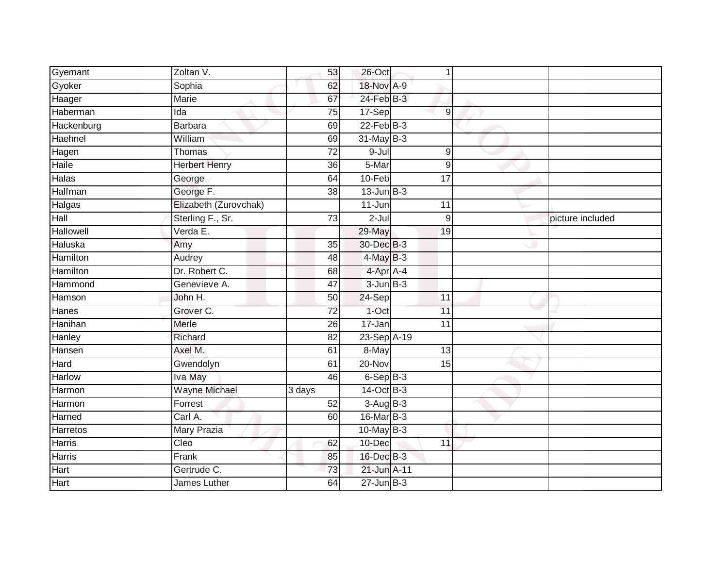| Gyemant        | Zoltan V.             | 53              | 26-Oct          | 1               |                  |
|----------------|-----------------------|-----------------|-----------------|-----------------|------------------|
| Gyoker         | Sophia                | 62              | 18-Nov A-9      |                 |                  |
| Haager         | Marie                 | 67              | $24$ -Feb $B-3$ |                 |                  |
| Haberman       | Ida                   | 75              | 17-Sep          | $9\,$           |                  |
| Hackenburg     | <b>Barbara</b>        | 69              | $22$ -Feb $B-3$ |                 |                  |
| Haehnel        | William               | 69              | 31-May B-3      |                 |                  |
| Hagen          | Thomas                | $\overline{72}$ | 9-Jul           | $9\,$           |                  |
| Haile          | <b>Herbert Henry</b>  | 36              | 5-Mar           | 9               |                  |
| Halas          | George                | 64              | 10-Feb          | $\overline{17}$ |                  |
| <b>Halfman</b> | George F.             | 38              | $13$ -Jun B-3   |                 |                  |
| Halgas         | Elizabeth (Zurovchak) |                 | $11 - Jun$      | 11              |                  |
| Hall           | Sterling F., Sr.      | 73              | $2-Jul$         | 9               | picture included |
| Hallowell      | Verda E.              |                 | 29-May          | 19              |                  |
| Haluska        | Amy                   | 35              | 30-Dec B-3      |                 |                  |
| Hamilton       | Audrey                | 48              | $4$ -May $B-3$  |                 |                  |
| Hamilton       | Dr. Robert C.         | 68              | 4-Apr A-4       |                 |                  |
| Hammond        | Genevieve A.          | 47              | $3 - Jun$ $B-3$ |                 |                  |
| Hamson         | John H.               | 50              | 24-Sep          | 11              |                  |
| Hanes          | Grover C.             | $\overline{72}$ | 1-Oct           | 11              |                  |
| Hanihan        | Merle                 | 26              | $17 - Jan$      | 11              |                  |
| Hanley         | Richard               | 82              | 23-Sep A-19     |                 |                  |
| Hansen         | Axel M.               | 61              | 8-May           | 13              |                  |
| Hard           | Gwendolyn             | 61              | 20-Nov          | 15              |                  |
| Harlow         | Iva May               | 46              | $6-SepB-3$      |                 |                  |
| Harmon         | <b>Wayne Michael</b>  | 3 days          | 14-Oct B-3      |                 |                  |
| Harmon         | Forrest               | 52              | $3-AugB-3$      |                 |                  |
| Harned         | Carl A.               | 60              | 16-Mar B-3      |                 |                  |
| Harretos       | Mary Prazia           |                 | $10$ -May B-3   |                 |                  |
| Harris         | Cleo                  | 62              | 10-Dec          | 11              |                  |
| Harris         | Frank                 | 85              | 16-Dec B-3      |                 |                  |
| Hart           | Gertrude C.           | $\overline{73}$ | 21-Jun A-11     |                 |                  |
| Hart           | James Luther          | 64              | $27 - Jun$ B-3  |                 |                  |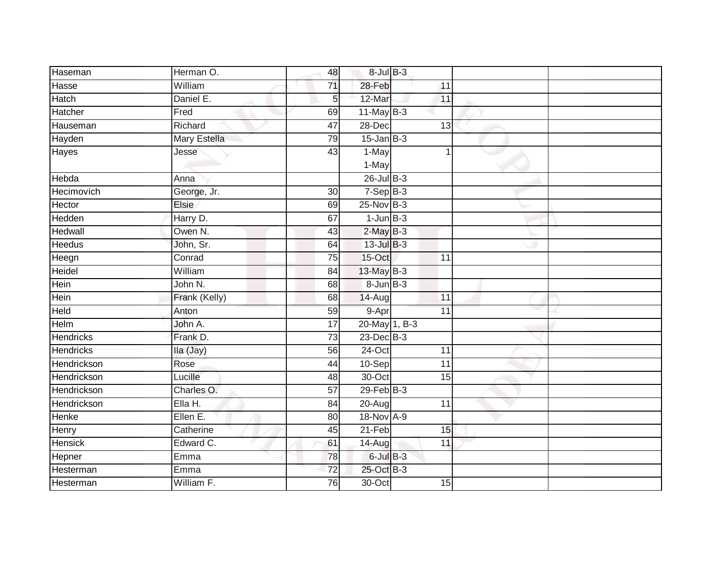| Haseman          | Herman O.     | 48              | $8 -$ Jul $B - 3$ |                 |  |
|------------------|---------------|-----------------|-------------------|-----------------|--|
| Hasse            | William       | 71              | 28-Feb            | 11              |  |
| Hatch            | Daniel E.     | 5               | 12-Mar            | 11              |  |
| Hatcher          | Fred          | 69              | $11$ -May B-3     |                 |  |
| Hauseman         | Richard       | 47              | $28 - Dec$        | 13              |  |
| Hayden           | Mary Estella  | 79              | $15$ -Jan B-3     |                 |  |
| Hayes            | Jesse         | 43              | 1-May             |                 |  |
|                  |               |                 | 1-May             |                 |  |
| Hebda            | Anna          |                 | $26$ -Jul $B-3$   |                 |  |
| Hecimovich       | George, Jr.   | 30              | $7-Sep$ B-3       |                 |  |
| Hector           | <b>Elsie</b>  | 69              | 25-Nov B-3        |                 |  |
| Hedden           | Harry D.      | 67              | $1$ -Jun $B-3$    |                 |  |
| Hedwall          | Owen N.       | 43              | $2$ -May $B-3$    |                 |  |
| <b>Heedus</b>    | John, Sr.     | 64              | $13$ -Jul $B-3$   |                 |  |
| Heegn            | Conrad        | $\overline{75}$ | 15-Oct            | $\overline{11}$ |  |
| Heidel           | William       | 84              | 13-May B-3        |                 |  |
| Hein             | John N.       | 68              | $8 - Jun$ $B-3$   |                 |  |
| Hein             | Frank (Kelly) | 68              | $14 - Aug$        | $\overline{11}$ |  |
| Held             | Anton         | 59              | 9-Apr             | 11              |  |
| Helm             | John A.       | $\overline{17}$ | 20-May 1, B-3     |                 |  |
| <b>Hendricks</b> | Frank D.      | $\overline{73}$ | $23$ -Dec $B-3$   |                 |  |
| <b>Hendricks</b> | Ila (Jay)     | 56              | 24-Oct            | 11              |  |
| Hendrickson      | Rose          | 44              | 10-Sep            | $\overline{11}$ |  |
| Hendrickson      | Lucille       | 48              | 30-Oct            | 15              |  |
| Hendrickson      | Charles O.    | 57              | $29$ -Feb $B-3$   |                 |  |
| Hendrickson      | Ella H.       | 84              | 20-Aug            | 11              |  |
| Henke            | Ellen E.      | 80              | 18-Nov A-9        |                 |  |
| Henry            | Catherine     | 45              | 21-Feb            | 15              |  |
| <b>Hensick</b>   | Edward C.     | 61              | 14-Aug            | 11              |  |
| Hepner           | Emma          | 78              | $6$ -Jul $B-3$    |                 |  |
| Hesterman        | Emma          | $\overline{72}$ | 25-Oct B-3        |                 |  |
| Hesterman        | William F.    | 76              | 30-Oct            | 15              |  |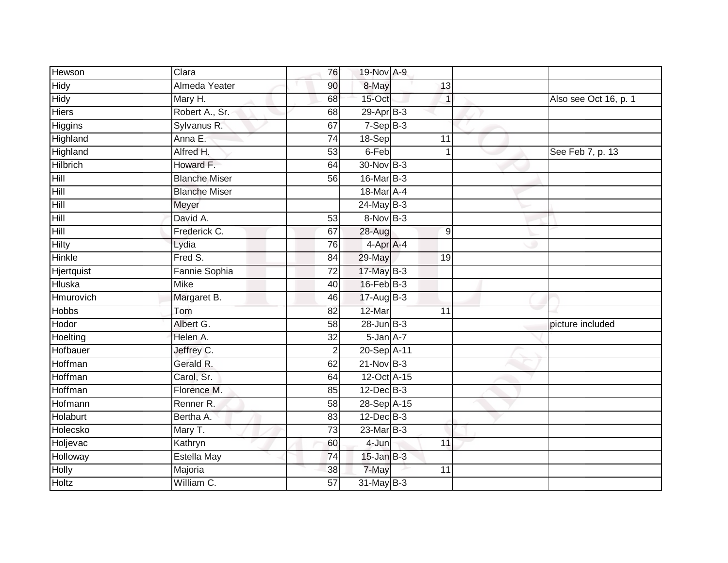| Hewson         | Clara                | 76              | 19-Nov A-9      |                 |                       |
|----------------|----------------------|-----------------|-----------------|-----------------|-----------------------|
| <b>Hidy</b>    | Almeda Yeater        | 90              | 8-May           | 13              |                       |
| Hidy           | Mary H.              | 68              | 15-Oct          | 1               | Also see Oct 16, p. 1 |
| <b>Hiers</b>   | Robert A., Sr.       | 68              | 29-Apr B-3      |                 |                       |
| <b>Higgins</b> | Sylvanus R.          | 67              | $7-SepB-3$      |                 |                       |
| Highland       | Anna E.              | 74              | 18-Sep          | 11              |                       |
| Highland       | Alfred H.            | 53              | 6-Feb           |                 | See Feb 7, p. 13      |
| Hilbrich       | Howard F.            | 64              | 30-Nov B-3      |                 |                       |
| Hill           | <b>Blanche Miser</b> | 56              | 16-Mar B-3      |                 |                       |
| Hill           | <b>Blanche Miser</b> |                 | 18-Mar A-4      |                 |                       |
| Hill           | Meyer                |                 | $24$ -May B-3   |                 |                       |
| Hill           | David A.             | 53              | 8-Nov B-3       |                 |                       |
| Hill           | Frederick C.         | 67              | 28-Aug          | 9               |                       |
| <b>Hilty</b>   | Lydia                | 76              | $4-AprA-4$      |                 |                       |
| Hinkle         | Fred S.              | $\overline{84}$ | 29-May          | $\overline{19}$ |                       |
| Hjertquist     | Fannie Sophia        | $\overline{72}$ | 17-May B-3      |                 |                       |
| <b>Hluska</b>  | <b>Mike</b>          | 40              | 16-Feb B-3      |                 |                       |
| Hmurovich      | Margaret B.          | 46              | 17-Aug B-3      |                 |                       |
| <b>Hobbs</b>   | Tom                  | 82              | 12-Mar          | 11              |                       |
| Hodor          | Albert G.            | 58              | $28$ -Jun $B-3$ |                 | picture included      |
| Hoelting       | Helen A.             | 32              | 5-Jan A-7       |                 |                       |
| Hofbauer       | Jeffrey C.           | $\overline{2}$  | 20-Sep A-11     |                 |                       |
| Hoffman        | Gerald R.            | 62              | $21-Nov$ B-3    |                 |                       |
| Hoffman        | Carol, Sr.           | 64              | 12-Oct A-15     |                 |                       |
| Hoffman        | Florence M.          | 85              | 12-Dec B-3      |                 |                       |
| Hofmann        | Renner <sub>R.</sub> | 58              | 28-Sep A-15     |                 |                       |
| Holaburt       | Bertha A.            | 83              | $12$ -Dec $B-3$ |                 |                       |
| Holecsko       | Mary T.              | 73              | $23$ -Mar $B-3$ |                 |                       |
| Holjevac       | Kathryn              | 60              | 4-Jun           | 11              |                       |
| Holloway       | <b>Estella May</b>   | 74              | $15$ -Jan $B-3$ |                 |                       |
| <b>Holly</b>   | Majoria              | 38              | 7-May           | 11              |                       |
| <b>Holtz</b>   | William C.           | 57              | 31-May B-3      |                 |                       |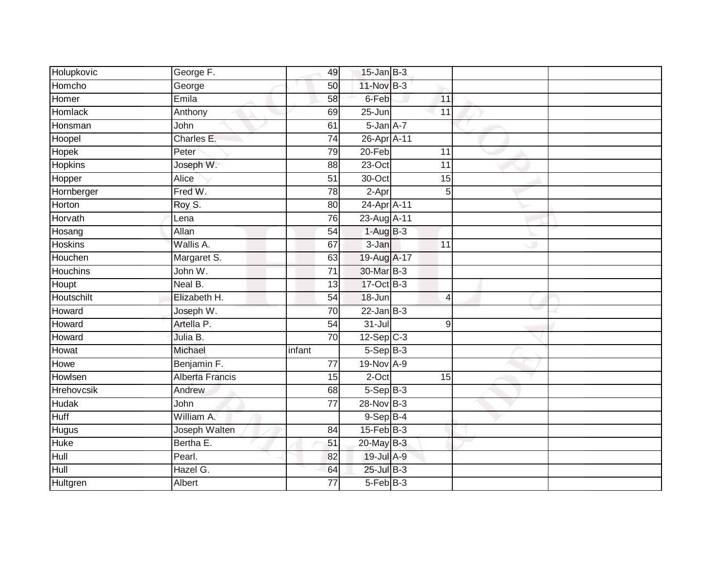| Holupkovic        | George F.       | 49              | $15$ -Jan B-3    |                |  |
|-------------------|-----------------|-----------------|------------------|----------------|--|
| Homcho            | George          | 50              | 11-Nov B-3       |                |  |
| Homer             | Emila           | 58              | 6-Feb            | 11             |  |
| <b>Homlack</b>    | Anthony         | 69              | $25 - Jun$       | 11             |  |
| Honsman           | John            | 61              | $5 - Jan A - 7$  |                |  |
| Hoopel            | Charles E.      | 74              | 26-Apr A-11      |                |  |
| Hopek             | Peter           | 79              | 20-Feb           | 11             |  |
| <b>Hopkins</b>    | Joseph W.       | 88              | 23-Oct           | 11             |  |
| Hopper            | Alice           | 51              | 30-Oct           | 15             |  |
| Hornberger        | Fred W.         | 78              | 2-Apr            | 5              |  |
| Horton            | Roy S.          | 80              | 24-Apr A-11      |                |  |
| Horvath           | Lena            | 76              | 23-Aug A-11      |                |  |
| Hosang            | Allan           | 54              | $1-AugB-3$       |                |  |
| <b>Hoskins</b>    | Wallis A.       | 67              | 3-Jan            | 11             |  |
| Houchen           | Margaret S.     | 63              | 19-Aug A-17      |                |  |
| <b>Houchins</b>   | John W.         | $\overline{71}$ | 30-Mar B-3       |                |  |
| Houpt             | Neal B.         | 13              | 17-Oct B-3       |                |  |
| Houtschilt        | Elizabeth H.    | 54              | 18-Jun           | $\overline{4}$ |  |
| Howard            | Joseph W.       | 70              | $22$ -Jan B-3    |                |  |
| Howard            | Artella P.      | $\overline{54}$ | $31 -$ Jul       | 9              |  |
| Howard            | Julia B.        | 70              | $12-Sep$ C-3     |                |  |
| Howat             | Michael         | infant          | $5-SepB-3$       |                |  |
| Howe              | Benjamin F.     | $\overline{77}$ | 19-Nov A-9       |                |  |
| Howlsen           | Alberta Francis | 15              | 2-Oct            | 15             |  |
| <b>Hrehovcsik</b> | Andrew          | 68              | $5-SepB-3$       |                |  |
| <b>Hudak</b>      | John            | $\overline{77}$ | 28-Nov B-3       |                |  |
| <b>Huff</b>       | William A.      |                 | $9-Sep$ $B-4$    |                |  |
| <b>Hugus</b>      | Joseph Walten   | 84              | $15$ -Feb $B$ -3 |                |  |
| <b>Huke</b>       | Bertha E.       | 51              | 20-May B-3       |                |  |
| Hull              | Pearl.          | 82              | 19-Jul A-9       |                |  |
| Hull              | Hazel G.        | 64              | 25-Jul B-3       |                |  |
| <b>Hultgren</b>   | Albert          | $\overline{77}$ | $5-Feb$ $B-3$    |                |  |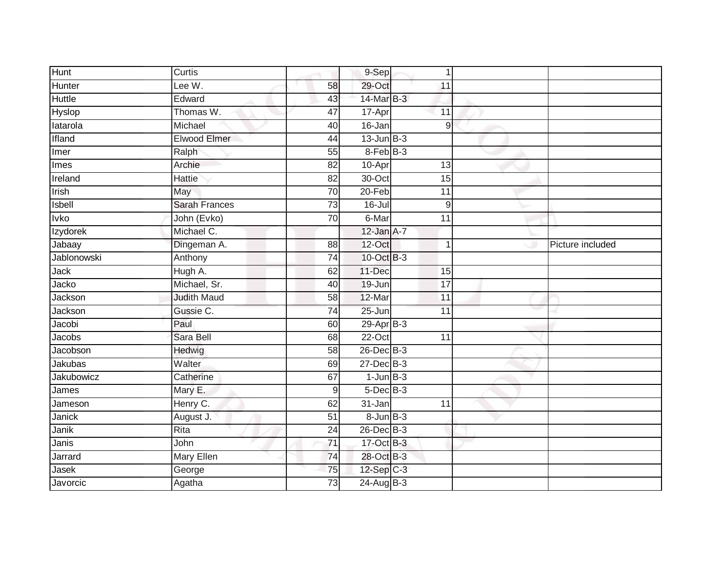| <b>Hunt</b>   | Curtis               |                 | 9-Sep             | $\mathbf 1$     |                  |
|---------------|----------------------|-----------------|-------------------|-----------------|------------------|
| Hunter        | Lee W.               | 58              | 29-Oct            | 11              |                  |
| <b>Huttle</b> | Edward               | 43              | 14-Mar B-3        |                 |                  |
| Hyslop        | Thomas W.            | 47              | 17-Apr            | 11              |                  |
| latarola      | Michael              | 40              | $16 - Jan$        | 9               |                  |
| Ifland        | Elwood Elmer         | 44              | $13$ -Jun $B-3$   |                 |                  |
| Imer          | Ralph                | 55              | 8-Feb B-3         |                 |                  |
| Imes          | Archie               | 82              | 10-Apr            | 13              |                  |
| Ireland       | <b>Hattie</b>        | 82              | 30-Oct            | 15              |                  |
| Irish         | May                  | 70              | $20 - Feb$        | 11              |                  |
| Isbell        | <b>Sarah Frances</b> | 73              | $16 -$ Jul        | $9\,$           |                  |
| Ivko          | John (Evko)          | 70              | 6-Mar             | 11              |                  |
| Izydorek      | Michael C.           |                 | $12$ -Jan $A-7$   |                 |                  |
| Jabaay        | Dingeman A.          | 88              | 12-Oct            | $\overline{1}$  | Picture included |
| Jablonowski   | Anthony              | $\overline{74}$ | 10-Oct B-3        |                 |                  |
| Jack          | Hugh A.              | 62              | 11-Dec            | 15              |                  |
| Jacko         | Michael, Sr.         | 40              | 19-Jun            | 17              |                  |
| Jackson       | <b>Judith Maud</b>   | 58              | 12-Mar            | $\overline{11}$ |                  |
| Jackson       | Gussie C.            | $\overline{74}$ | $25 - Jun$        | 11              |                  |
| Jacobi        | Paul                 | 60              | 29-Apr B-3        |                 |                  |
| Jacobs        | Sara Bell            | 68              | $22-Oct$          | $\overline{11}$ |                  |
| Jacobson      | Hedwig               | $\overline{58}$ | 26-Dec B-3        |                 |                  |
| Jakubas       | Walter               | 69              | 27-Dec B-3        |                 |                  |
| Jakubowicz    | Catherine            | 67              | $1$ -Jun $B-3$    |                 |                  |
| James         | Mary E.              | $9\,$           | $5$ -Dec $B$ -3   |                 |                  |
| Jameson       | Henry C.             | 62              | 31-Jan            | 11              |                  |
| <b>Janick</b> | August J.            | $\overline{51}$ | $8 - Jun$ $B - 3$ |                 |                  |
| Janik         | Rita                 | 24              | 26-Dec B-3        |                 |                  |
| Janis         | John                 | 71              | 17-Oct B-3        |                 |                  |
| Jarrard       | Mary Ellen           | 74              | 28-Oct B-3        |                 |                  |
| Jasek         | George               | 75              | 12-Sep C-3        |                 |                  |
| Javorcic      | Agatha               | $\overline{73}$ | 24-Aug B-3        |                 |                  |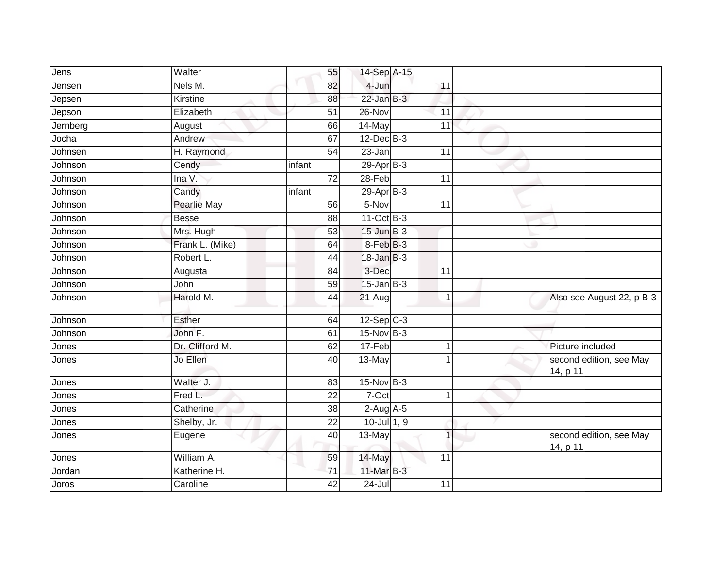| Jens     | Walter             | 55              | 14-Sep A-15      |                 |                                     |
|----------|--------------------|-----------------|------------------|-----------------|-------------------------------------|
| Jensen   | Nels M.            | 82              | 4-Jun            | 11              |                                     |
| Jepsen   | Kirstine           | 88              | $22$ -Jan B-3    |                 |                                     |
| Jepson   | Elizabeth          | 51              | 26-Nov           | 11              |                                     |
| Jernberg | August             | 66              | 14-May           | $\overline{11}$ |                                     |
| Jocha    | Andrew             | 67              | $12$ -Dec B-3    |                 |                                     |
| Johnsen  | H. Raymond         | 54              | 23-Jan           | 11              |                                     |
| Johnson  | Cendy              | infant          | 29-Apr B-3       |                 |                                     |
| Johnson  | Ina V.             | 72              | 28-Feb           | 11              |                                     |
| Johnson  | Candy              | infant          | $29-Apr$ B-3     |                 |                                     |
| Johnson  | <b>Pearlie May</b> | 56              | 5-Nov            | 11              |                                     |
| Johnson  | <b>Besse</b>       | 88              | 11-Oct B-3       |                 |                                     |
| Johnson  | Mrs. Hugh          | 53              | $15$ -Jun $B-3$  |                 |                                     |
| Johnson  | Frank L. (Mike)    | 64              | 8-Feb B-3        |                 |                                     |
| Johnson  | Robert L.          | 44              | $18$ -Jan $B-3$  |                 |                                     |
| Johnson  | Augusta            | 84              | 3-Dec            | $\overline{11}$ |                                     |
| Johnson  | John               | 59              | $15$ -Jan B-3    |                 |                                     |
| Johnson  | Harold M.          | 44              | 21-Aug           | $\overline{1}$  | Also see August 22, p B-3           |
| Johnson  | <b>Esther</b>      | 64              | $12-Sep$ C-3     |                 |                                     |
| Johnson  | John F.            | 61              | 15-Nov B-3       |                 |                                     |
| Jones    | Dr. Clifford M.    | 62              | 17-Feb           |                 | Picture included                    |
| Jones    | Jo Ellen           | 40              | 13-May           | 1               | second edition, see May<br>14, p 11 |
| Jones    | Walter J.          | 83              | 15-Nov B-3       |                 |                                     |
| Jones    | Fred L.            | 22              | 7-Oct            | 1               |                                     |
| Jones    | Catherine          | $\overline{38}$ | $2-Aug$ A-5      |                 |                                     |
| Jones    | Shelby, Jr.        | $\overline{22}$ | $10$ -Jul $1, 9$ |                 |                                     |
| Jones    | Eugene             | 40              | 13-May           | 1               | second edition, see May<br>14, p 11 |
| Jones    | William A.         | 59              | 14-May           | 11              |                                     |
| Jordan   | Katherine H.       | 71              | 11-Mar B-3       |                 |                                     |
| Joros    | Caroline           | $\overline{42}$ | $24 -$ Jul       | 11              |                                     |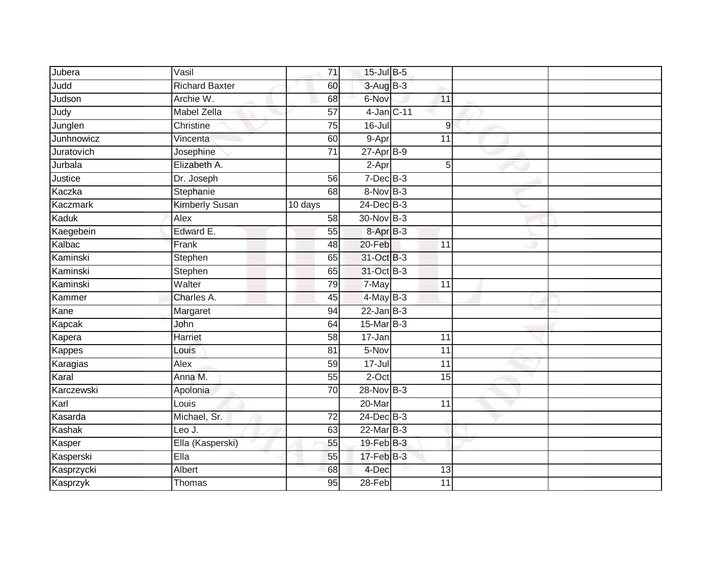| Jubera        | Vasil                 | 71              | 15-Jul B-5          |    |                 |  |
|---------------|-----------------------|-----------------|---------------------|----|-----------------|--|
| Judd          | <b>Richard Baxter</b> | 60              | $3-AugB-3$          |    |                 |  |
| Judson        | Archie W.             | 68              | 6-Nov               | 11 |                 |  |
| Judy          | <b>Mabel Zella</b>    | 57              | 4-Jan C-11          |    |                 |  |
| Junglen       | Christine             | $\overline{75}$ | $16 -$ Jul          |    | 9               |  |
| Junhnowicz    | Vincenta              | 60              | 9-Apr               |    | 11              |  |
| Juratovich    | Josephine             | $\overline{71}$ | $27$ -Apr $B-9$     |    |                 |  |
| Jurbala       | Elizabeth A.          |                 | $\overline{2}$ -Apr |    | 5               |  |
| Justice       | Dr. Joseph            | 56              | $7$ -Dec $B$ -3     |    |                 |  |
| Kaczka        | Stephanie             | 68              | $8-Nov$ B-3         |    |                 |  |
| Kaczmark      | <b>Kimberly Susan</b> | 10 days         | 24-Dec B-3          |    |                 |  |
| Kaduk         | Alex                  | 58              | 30-Nov B-3          |    |                 |  |
| Kaegebein     | Edward E.             | 55              | 8-Apr B-3           |    |                 |  |
| Kalbac        | Frank                 | 48              | 20-Feb              | 11 |                 |  |
| Kaminski      | Stephen               | 65              | 31-Oct B-3          |    |                 |  |
| Kaminski      | Stephen               | 65              | 31-Oct B-3          |    |                 |  |
| Kaminski      | Walter                | 79              | 7-May               |    | $\overline{11}$ |  |
| Kammer        | Charles A.            | 45              | $4$ -May B-3        |    |                 |  |
| Kane          | Margaret              | 94              | $22$ -Jan B-3       |    |                 |  |
| Kapcak        | John                  | 64              | 15-Mar B-3          |    |                 |  |
| Kapera        | <b>Harriet</b>        | 58              | $17 - Jan$          |    | 11              |  |
| <b>Kappes</b> | Louis                 | 81              | 5-Nov               |    | 11              |  |
| Karagias      | Alex                  | 59              | $17 -$ Jul          |    | 11              |  |
| Karal         | Anna M.               | 55              | $2$ -Oct            |    | 15              |  |
| Karczewski    | Apolonia              | 70              | 28-Nov B-3          |    |                 |  |
| Karl          | Louis                 |                 | $20$ -Mar           |    | 11              |  |
| Kasarda       | Michael, Sr.          | $\overline{72}$ | 24-Dec B-3          |    |                 |  |
| Kashak        | Leo J.                | 63              | 22-Mar B-3          |    |                 |  |
| Kasper        | Ella (Kasperski)      | 55              | 19-Feb B-3          |    |                 |  |
| Kasperski     | EIIa                  | 55              | $17$ -Feb $B-3$     |    |                 |  |
| Kasprzycki    | Albert                | 68              | 4-Dec               |    | 13              |  |
| Kasprzyk      | Thomas                | 95              | $28$ -Feb           |    | $\overline{11}$ |  |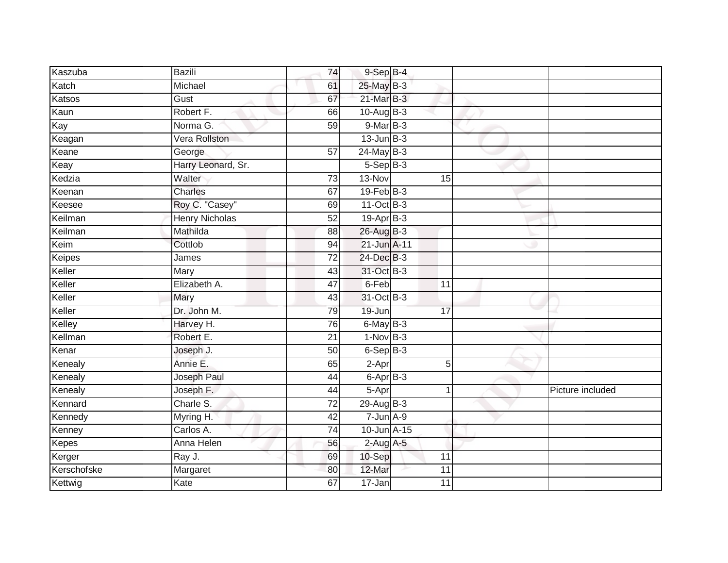| Kaszuba       | <b>Bazili</b>         | 74              | $9-Sep$ $B-4$     |                 |                  |
|---------------|-----------------------|-----------------|-------------------|-----------------|------------------|
| Katch         | Michael               | 61              | 25-May B-3        |                 |                  |
| Katsos        | Gust                  | 67              | $21$ -Mar $B-3$   |                 |                  |
| Kaun          | Robert F.             | 66              | 10-Aug B-3        |                 |                  |
| Kay           | Norma G.              | 59              | 9-Mar B-3         |                 |                  |
| Keagan        | Vera Rollston         |                 | $13$ -Jun $B-3$   |                 |                  |
| Keane         | George                | 57              | $24$ -May B-3     |                 |                  |
| Keay          | Harry Leonard, Sr.    |                 | $5-$ Sep $B-3$    |                 |                  |
| Kedzia        | Walter                | 73              | 13-Nov            | 15              |                  |
| Keenan        | <b>Charles</b>        | 67              | $19$ -Feb $ B-3 $ |                 |                  |
| Keesee        | Roy C. "Casey"        | 69              | $11-Oct$ B-3      |                 |                  |
| Keilman       | <b>Henry Nicholas</b> | $\overline{52}$ | 19-Apr B-3        |                 |                  |
| Keilman       | Mathilda              | 88              | 26-Aug B-3        |                 |                  |
| Keim          | Cottlob               | 94              | 21-Jun A-11       |                 |                  |
| <b>Keipes</b> | James                 | $\overline{72}$ | 24-Dec B-3        |                 |                  |
| Keller        | Mary                  | 43              | 31-Oct B-3        |                 |                  |
| Keller        | Elizabeth A.          | 47              | 6-Feb             | $\overline{11}$ |                  |
| Keller        | Mary                  | 43              | 31-Oct B-3        |                 |                  |
| Keller        | Dr. John M.           | 79              | 19-Jun            | 17              |                  |
| Kelley        | Harvey H.             | 76              | $6$ -May $B-3$    |                 |                  |
| Kellman       | Robert E.             | 21              | $1-Nov$ B-3       |                 |                  |
| Kenar         | Joseph J.             | 50              | $6-Sep$ B-3       |                 |                  |
| Kenealy       | Annie E.              | 65              | 2-Apr             | 5               |                  |
| Kenealy       | Joseph Paul           | 44              | $6 - Apr$ B-3     |                 |                  |
| Kenealy       | Joseph F.             | 44              | 5-Apr             |                 | Picture included |
| Kennard       | Charle S.             | 72              | $29$ -Aug B-3     |                 |                  |
| Kennedy       | Myring H.             | 42              | $7 - Jun A - 9$   |                 |                  |
| Kenney        | Carlos A.             | 74              | 10-Jun A-15       |                 |                  |
| Kepes         | Anna Helen            | 56              | $2$ -Aug $A$ -5   |                 |                  |
| Kerger        | Ray J.                | 69              | 10-Sep            | 11              |                  |
| Kerschofske   | Margaret              | 80              | 12-Mar            | 11              |                  |
| Kettwig       | Kate                  | 67              | 17-Jan            | $\overline{11}$ |                  |
|               |                       |                 |                   |                 |                  |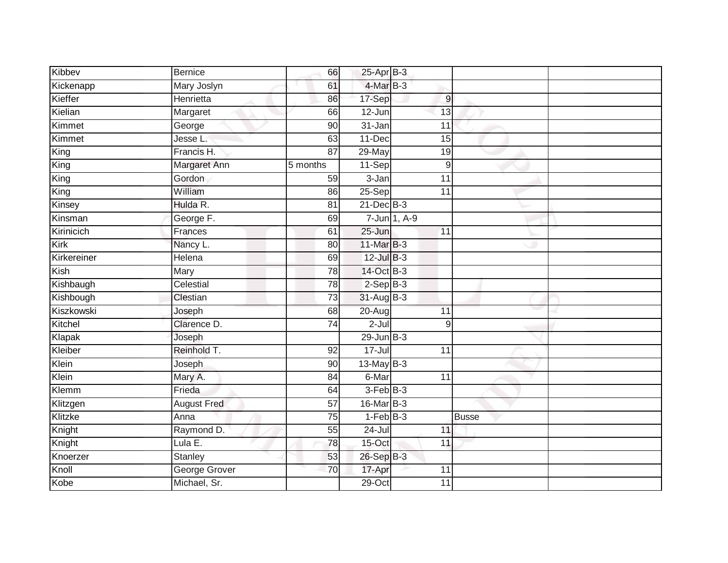| Kibbev            | <b>Bernice</b>     | 66              | 25-Apr B-3      |                  |              |  |
|-------------------|--------------------|-----------------|-----------------|------------------|--------------|--|
| Kickenapp         | Mary Joslyn        | 61              | 4-Mar B-3       |                  |              |  |
| Kieffer           | Henrietta          | 86              | 17-Sep          | $\boldsymbol{9}$ |              |  |
| Kielian           | Margaret           | 66              | 12-Jun          | 13               |              |  |
| Kimmet            | George             | $\overline{90}$ | $31 - Jan$      | $\overline{11}$  |              |  |
| Kimmet            | Jesse L.           | 63              | $11 - Dec$      | 15               |              |  |
| $\overline{King}$ | Francis H.         | 87              | 29-May          | 19               |              |  |
| King              | Margaret Ann       | 5 months        | 11-Sep          | 9                |              |  |
| King              | Gordon             | 59              | 3-Jan           | 11               |              |  |
| King              | William            | 86              | 25-Sep          | 11               |              |  |
| Kinsey            | Hulda R.           | 81              | $21$ -Dec $B-3$ |                  |              |  |
| Kinsman           | George F.          | 69              |                 | 7-Jun 1, A-9     |              |  |
| Kirinicich        | Frances            | 61              | $25 - Jun$      | 11               |              |  |
| Kirk              | Nancy L.           | 80              | 11-Mar B-3      |                  |              |  |
| Kirkereiner       | <b>Helena</b>      | 69              | $12$ -Jul $B-3$ |                  |              |  |
| Kish              | Mary               | 78              | 14-Oct B-3      |                  |              |  |
| Kishbaugh         | Celestial          | 78              | $2-Sep$ B-3     |                  |              |  |
| Kishbough         | Clestian           | 73              | 31-Aug B-3      |                  |              |  |
| Kiszkowski        | Joseph             | 68              | 20-Aug          | 11               |              |  |
| Kitchel           | Clarence D.        | 74              | $2 -$ Jul       | $\boldsymbol{9}$ |              |  |
| Klapak            | Joseph             |                 | $29$ -Jun $B-3$ |                  |              |  |
| Kleiber           | Reinhold T.        | 92              | $17 -$ Jul      | 11               |              |  |
| Klein             | Joseph             | 90              | $13-MayB-3$     |                  |              |  |
| Klein             | Mary A.            | 84              | 6-Mar           | $\overline{11}$  |              |  |
| Klemm             | Frieda             | 64              | $3-FebB-3$      |                  |              |  |
| Klitzgen          | <b>August Fred</b> | 57              | $16$ -Mar $B-3$ |                  |              |  |
| Klitzke           | Anna               | 75              | $1-FebB-3$      |                  | <b>Busse</b> |  |
| Knight            | Raymond D.         | 55              | 24-Jul          | 11               |              |  |
| Knight            | Lula $E$ .         | 78              | $15$ -Oct       | 11               |              |  |
| Knoerzer          | Stanley            | 53              | 26-Sep B-3      |                  |              |  |
| Knoll             | George Grover      | 70              | 17-Apr          | 11               |              |  |
| Kobe              | Michael, Sr.       |                 | $29$ -Oct       | $\overline{11}$  |              |  |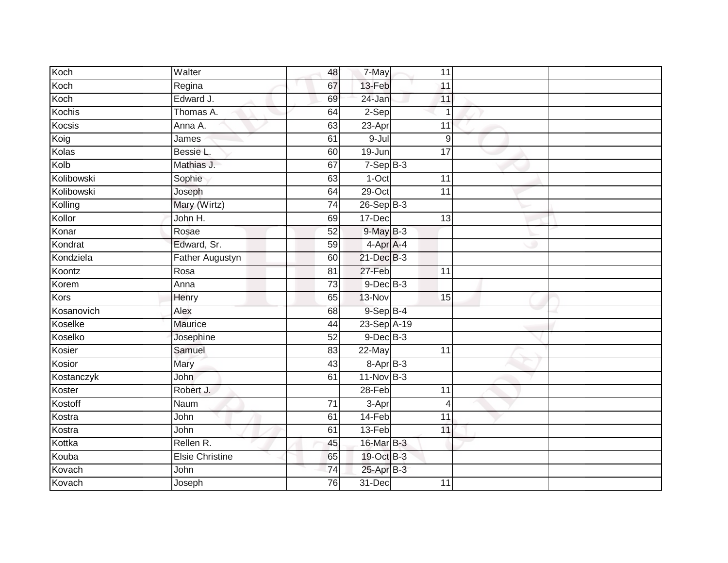| Koch       | Walter                 | 48              | 7-May             | 11              |  |
|------------|------------------------|-----------------|-------------------|-----------------|--|
| Koch       | Regina                 | 67              | 13-Feb            | 11              |  |
| Koch       | Edward J.              | 69              | 24-Jan            | 11              |  |
| Kochis     | Thomas A.              | 64              | $2-Sep$           | $\overline{1}$  |  |
| Kocsis     | Anna A.                | 63              | $23-Apr$          | 11              |  |
| Koig       | James                  | 61              | $9 -$ Jul         | 9               |  |
| Kolas      | Bessie L.              | 60              | 19-Jun            | 17              |  |
| Kolb       | Mathias J.             | 67              | $7-Sep B-3$       |                 |  |
| Kolibowski | Sophie                 | 63              | 1-Oct             | 11              |  |
| Kolibowski | Joseph                 | 64              | $29$ -Oct         | $\overline{11}$ |  |
| Kolling    | Mary (Wirtz)           | 74              | $26-SepB-3$       |                 |  |
| Kollor     | John H.                | 69              | 17-Dec            | 13              |  |
| Konar      | Rosae                  | 52              | $9$ -May $B-3$    |                 |  |
| Kondrat    | Edward, Sr.            | 59              | 4-Apr A-4         |                 |  |
| Kondziela  | <b>Father Augustyn</b> | 60              | 21-Dec B-3        |                 |  |
| Koontz     | Rosa                   | 81              | 27-Feb            | 11              |  |
| Korem      | Anna                   | $\overline{73}$ | $9$ -Dec $B$ -3   |                 |  |
| Kors       | Henry                  | 65              | $13-Nov$          | 15              |  |
| Kosanovich | Alex                   | 68              | 9-Sep B-4         |                 |  |
| Koselke    | <b>Maurice</b>         | 44              | 23-Sep A-19       |                 |  |
| Koselko    | Josephine              | 52              | $9$ -Dec $B$ -3   |                 |  |
| Kosier     | Samuel                 | 83              | 22-May            | 11              |  |
| Kosior     | Mary                   | 43              | $8 -$ Apr $B - 3$ |                 |  |
| Kostanczyk | John                   | 61              | $11-Nov$ B-3      |                 |  |
| Koster     | Robert J.              |                 | 28-Feb            | 11              |  |
| Kostoff    | Naum                   | 71              | 3-Apr             | 4               |  |
| Kostra     | John                   | 61              | 14-Feb            | $\overline{11}$ |  |
| Kostra     | John                   | 61              | 13-Feb            | 11              |  |
| Kottka     | Rellen R.              | 45              | 16-Mar B-3        |                 |  |
| Kouba      | <b>Elsie Christine</b> | 65              | 19-Oct B-3        |                 |  |
| Kovach     | John                   | 74              | 25-Apr B-3        |                 |  |
| Kovach     | Joseph                 | 76              | 31-Dec            | 11              |  |
|            |                        |                 |                   |                 |  |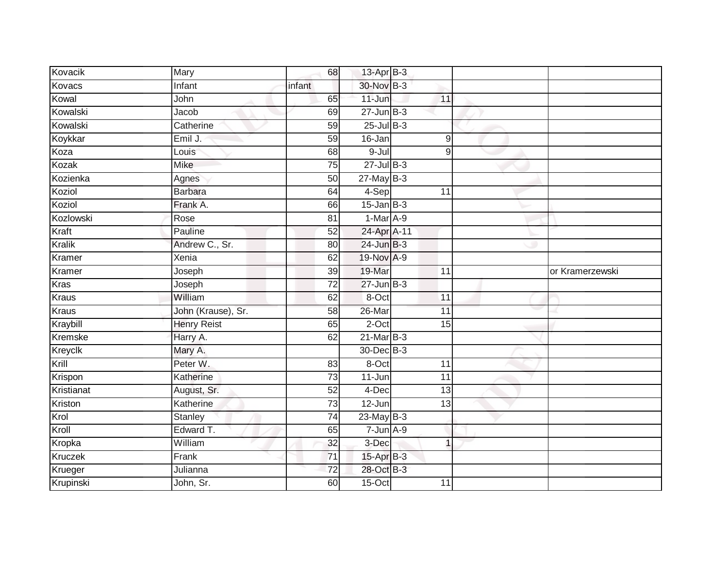| Kovacik       | Mary               | 68              | 13-Apr B-3      |                 |                 |
|---------------|--------------------|-----------------|-----------------|-----------------|-----------------|
| Kovacs        | Infant             | infant          | 30-Nov B-3      |                 |                 |
| Kowal         | John               | 65              | $11 -$ Jun      | 11              |                 |
| Kowalski      | Jacob              | 69              | $27 - Jun$ B-3  |                 |                 |
| Kowalski      | Catherine          | 59              | $25$ -Jul $B-3$ |                 |                 |
| Koykkar       | Emil J.            | 59              | 16-Jan          | $\overline{9}$  |                 |
| Koza          | Louis              | 68              | 9-Jul           | 9               |                 |
| Kozak         | Mike               | 75              | 27-Jul B-3      |                 |                 |
| Kozienka      | Agnes              | 50              | $27$ -May B-3   |                 |                 |
| Koziol        | <b>Barbara</b>     | 64              | 4-Sep           | 11              |                 |
| Koziol        | Frank A.           | 66              | $15$ -Jan B-3   |                 |                 |
| Kozlowski     | Rose               | 81              | 1-Mar A-9       |                 |                 |
| Kraft         | Pauline            | 52              | 24-Apr A-11     |                 |                 |
| <b>Kralik</b> | Andrew C., Sr.     | 80              | $24$ -Jun $B-3$ |                 |                 |
| Kramer        | Xenia              | 62              | 19-Nov A-9      |                 |                 |
| Kramer        | Joseph             | 39              | 19-Mar          | 11              | or Kramerzewski |
| Kras          | Joseph             | $\overline{72}$ | $27 - Jun$ B-3  |                 |                 |
| Kraus         | William            | 62              | 8-Oct           | 11              |                 |
| Kraus         | John (Krause), Sr. | 58              | 26-Mar          | 11              |                 |
| Kraybill      | <b>Henry Reist</b> | 65              | 2-Oct           | $\overline{15}$ |                 |
| Kremske       | Harry A.           | 62              | $21$ -Mar $B-3$ |                 |                 |
| Kreyclk       | Mary A.            |                 | 30-Dec B-3      |                 |                 |
| Krill         | Peter W.           | 83              | 8-Oct           | 11              |                 |
| Krispon       | Katherine          | $\overline{73}$ | 11-Jun          | 11              |                 |
| Kristianat    | August, Sr.        | 52              | 4-Dec           | 13              |                 |
| Kriston       | Katherine          | $\overline{73}$ | 12-Jun          | $\overline{13}$ |                 |
| Krol          | Stanley            | 74              | $23$ -May B-3   |                 |                 |
| Kroll         | Edward T.          | 65              | $7 - Jun A-9$   |                 |                 |
| Kropka        | William            | 32              | 3-Dec           | 1               |                 |
| Kruczek       | Frank              | $\overline{71}$ | 15-Apr B-3      |                 |                 |
| Krueger       | Julianna           | 72              | 28-Oct B-3      |                 |                 |
| Krupinski     | John, Sr.          | 60              | $15-Oct$        | 11              |                 |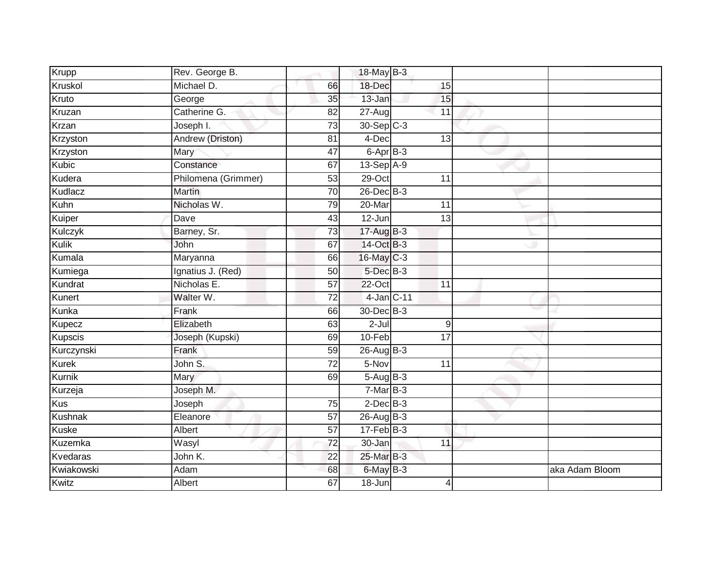| Krupp          | Rev. George B.      |                 | 18-May B-3       |                  |                |
|----------------|---------------------|-----------------|------------------|------------------|----------------|
| Kruskol        | Michael D.          | 66              | 18-Dec           | 15               |                |
| Kruto          | George              | $\overline{35}$ | 13-Jan           | 15               |                |
| Kruzan         | Catherine G.        | 82              | $27 - Aug$       | 11               |                |
| <b>Krzan</b>   | Joseph I.           | $\overline{73}$ | 30-Sep C-3       |                  |                |
| Krzyston       | Andrew (Driston)    | 81              | 4-Dec            | $\overline{13}$  |                |
| Krzyston       | Mary                | 47              | 6-Apr B-3        |                  |                |
| Kubic          | Constance           | 67              | $13-Sep$ A-9     |                  |                |
| Kudera         | Philomena (Grimmer) | 53              | 29-Oct           | 11               |                |
| Kudlacz        | <b>Martin</b>       | 70              | $26$ -Dec $B$ -3 |                  |                |
| Kuhn           | Nicholas W.         | 79              | 20-Mar           | 11               |                |
| Kuiper         | Dave                | 43              | $12 - Jun$       | 13               |                |
| Kulczyk        | Barney, Sr.         | 73              | $17-AugB-3$      |                  |                |
| Kulik          | John                | 67              | 14-Oct B-3       |                  |                |
| Kumala         | Maryanna            | 66              | 16-May C-3       |                  |                |
| Kumiega        | Ignatius J. (Red)   | 50              | $5$ -Dec $B$ -3  |                  |                |
| Kundrat        | Nicholas E.         | 57              | $22-Oct$         | 11               |                |
| Kunert         | Walter W.           | 72              | 4-Jan C-11       |                  |                |
| Kunka          | Frank               | 66              | 30-Dec B-3       |                  |                |
| Kupecz         | Elizabeth           | 63              | $2 -$ Jul        | $\boldsymbol{9}$ |                |
| Kupscis        | Joseph (Kupski)     | 69              | 10-Feb           | 17               |                |
| Kurczynski     | Frank               | $\overline{59}$ | $26$ -Aug $B-3$  |                  |                |
| <b>Kurek</b>   | John S.             | 72              | 5-Nov            | 11               |                |
| Kurnik         | Mary                | 69              | $5-AugB-3$       |                  |                |
| Kurzeja        | Joseph M.           |                 | $7-MarB-3$       |                  |                |
| <b>Kus</b>     | Joseph              | 75              | $2$ -Dec $B-3$   |                  |                |
| Kushnak        | Eleanore            | $\overline{57}$ | 26-Aug B-3       |                  |                |
| <b>Kuske</b>   | Albert              | 57              | $17 - Feb$ B-3   |                  |                |
| <b>Kuzemka</b> | Wasyl               | 72              | 30-Jan           | 11               |                |
| Kvedaras       | John K.             | 22              | 25-Mar B-3       |                  |                |
| Kwiakowski     | Adam                | 68              | 6-May B-3        |                  | aka Adam Bloom |
| Kwitz          | Albert              | 67              | $18 - Jun$       | 4                |                |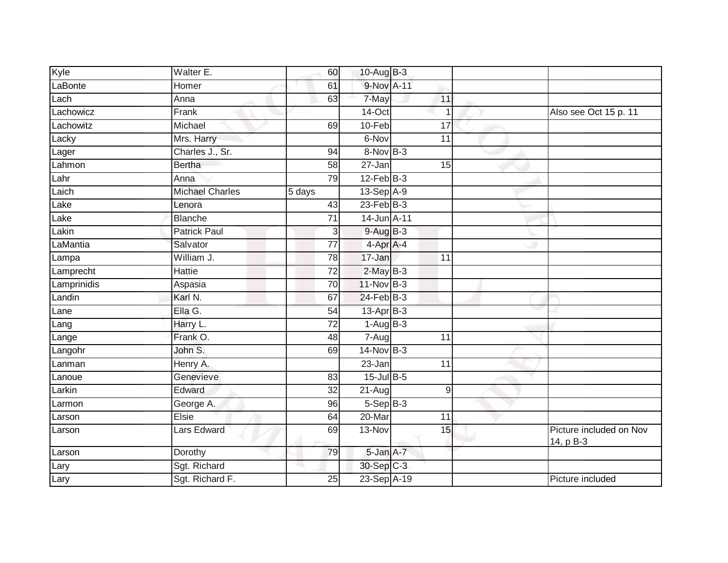| Kyle        | Walter E.              | 60              | 10-Aug B-3       |                 |                                      |
|-------------|------------------------|-----------------|------------------|-----------------|--------------------------------------|
| LaBonte     | Homer                  | 61              | 9-Nov A-11       |                 |                                      |
| Lach        | Anna                   | 63              | 7-May            | 11              |                                      |
| Lachowicz   | Frank                  |                 | 14-Oct           | $\mathbf 1$     | Also see Oct 15 p. 11                |
| Lachowitz   | Michael                | 69              | $10-Feb$         | $\overline{17}$ |                                      |
| Lacky       | Mrs. Harry             |                 | 6-Nov            | 11              |                                      |
| Lager       | Charles J., Sr.        | 94              | 8-Nov B-3        |                 |                                      |
| Lahmon      | <b>Bertha</b>          | 58              | 27-Jan           | 15              |                                      |
| Lahr        | Anna                   | 79              | $12$ -Feb $B-3$  |                 |                                      |
| Laich       | <b>Michael Charles</b> | 5 days          | 13-Sep A-9       |                 |                                      |
| Lake        | Lenora                 | 43              | $23$ -Feb $B-3$  |                 |                                      |
| Lake        | <b>Blanche</b>         | 71              | 14-Jun A-11      |                 |                                      |
| Lakin       | <b>Patrick Paul</b>    | 3               | $9-AugB-3$       |                 |                                      |
| LaMantia    | Salvator               | 77              | 4-Apr A-4        |                 |                                      |
| Lampa       | William J.             | 78              | 17-Jan           | 11              |                                      |
| Lamprecht   | Hattie                 | $\overline{72}$ | $2$ -May $B-3$   |                 |                                      |
| Lamprinidis | Aspasia                | 70              | 11-Nov B-3       |                 |                                      |
| Landin      | Karl N.                | 67              | 24-Feb B-3       |                 |                                      |
| Lane        | Ella G.                | 54              | 13-Apr B-3       |                 |                                      |
| Lang        | Harry L.               | $\overline{72}$ | $1-AugB-3$       |                 |                                      |
| Lange       | Frank O.               | 48              | 7-Aug            | 11              |                                      |
| Langohr     | John S.                | 69              | 14-Nov B-3       |                 |                                      |
| Lanman      | Henry A.               |                 | 23-Jan           | $\overline{11}$ |                                      |
| Lanoue      | Genevieve              | 83              | $15$ -Jul $B$ -5 |                 |                                      |
| Larkin      | Edward                 | 32              | 21-Aug           | $\hbox{9}$      |                                      |
| Larmon      | George A.              | 96              | $5-Sep$ B-3      |                 |                                      |
| Larson      | Elsie                  | 64              | 20-Mar           | 11              |                                      |
| Larson      | Lars Edward            | 69              | 13-Nov           | 15              | Picture included on Nov<br>14, p B-3 |
| Larson      | Dorothy                | 79              | 5-Jan A-7        |                 |                                      |
| Lary        | Sgt. Richard           |                 | 30-Sep C-3       |                 |                                      |
| Lary        | Sgt. Richard F.        | 25              | 23-Sep A-19      |                 | Picture included                     |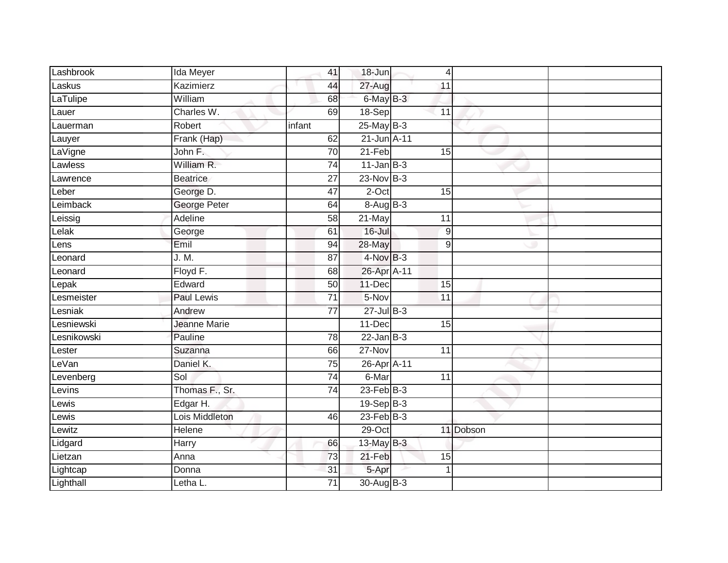| Lashbrook   | Ida Meyer         | 41              | $18 - Jun$      |                 | $\overline{4}$ |  |
|-------------|-------------------|-----------------|-----------------|-----------------|----------------|--|
| Laskus      | Kazimierz         | 44              | 27-Aug          | 11              |                |  |
| LaTulipe    | William           | 68              | 6-May B-3       |                 |                |  |
| Lauer       | Charles W.        | 69              | 18-Sep          | 11              |                |  |
| Lauerman    | Robert            | infant          | $25$ -May $B-3$ |                 |                |  |
| Lauyer      | Frank (Hap)       | 62              | 21-Jun A-11     |                 |                |  |
| LaVigne     | John F.           | 70              | 21-Feb          | 15              |                |  |
| Lawless     | William R.        | 74              | $11$ -Jan B-3   |                 |                |  |
| Lawrence    | <b>Beatrice</b>   | 27              | $23-Nov$ B-3    |                 |                |  |
| Leber       | George D.         | 47              | 2-Oct           | 15              |                |  |
| Leimback    | George Peter      | 64              | $8-AugB-3$      |                 |                |  |
| Leissig     | Adeline           | 58              | 21-May          | $\overline{11}$ |                |  |
| Lelak       | George            | 61              | $16 -$ Jul      |                 | 9              |  |
| Lens        | Emil              | 94              | 28-May          |                 | 9              |  |
| Leonard     | J. M.             | $\overline{87}$ | 4-Nov B-3       |                 |                |  |
| Leonard     | Floyd F.          | 68              | 26-Apr A-11     |                 |                |  |
| Lepak       | Edward            | 50              | 11-Dec          | 15              |                |  |
| Lesmeister  | <b>Paul Lewis</b> | $\overline{71}$ | 5-Nov           | 11              |                |  |
| Lesniak     | Andrew            | $\overline{77}$ | 27-Jul B-3      |                 |                |  |
| Lesniewski  | Jeanne Marie      |                 | $11-Dec$        | 15              |                |  |
| Lesnikowski | Pauline           | 78              | $22$ -Jan $B-3$ |                 |                |  |
| Lester      | Suzanna           | 66              | 27-Nov          | $\overline{11}$ |                |  |
| LeVan       | Daniel K.         | 75              | 26-Apr A-11     |                 |                |  |
| Levenberg   | Sol               | $\overline{74}$ | 6-Mar           | 11              |                |  |
| Levins      | Thomas F., Sr.    | $\overline{74}$ | $23$ -Feb $B-3$ |                 |                |  |
| Lewis       | Edgar H.          |                 | $19-Sep$ $B-3$  |                 |                |  |
| $L$ ewis    | Lois Middleton    | 46              | $23$ -Feb $B-3$ |                 |                |  |
| Lewitz      | Helene            |                 | 29-Oct          |                 | 11 Dobson      |  |
| Lidgard     | <b>Harry</b>      | 66              | 13-May B-3      |                 |                |  |
| Lietzan     | Anna              | 73              | 21-Feb          | 15              |                |  |
| Lightcap    | Donna             | 31              | 5-Apr           |                 |                |  |
| Lighthall   | Letha L.          | $\overline{71}$ | 30-Aug B-3      |                 |                |  |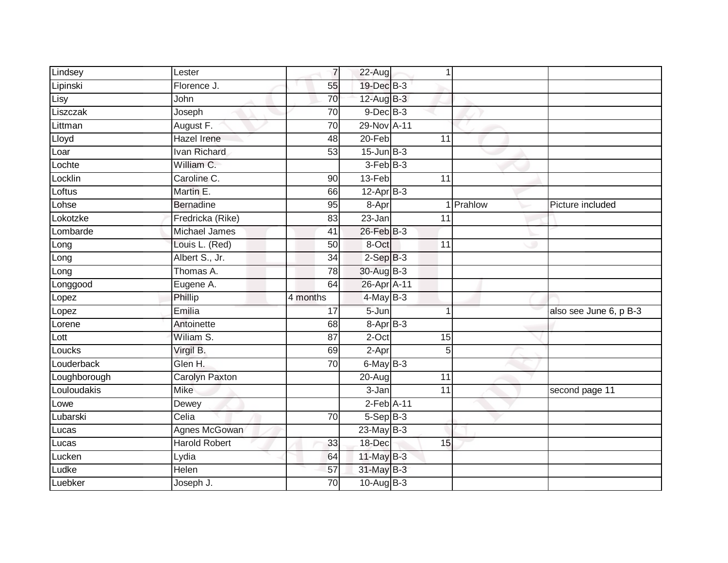| Lindsey      | Lester                | $\overline{7}$  | 22-Aug          | 1               |           |                        |
|--------------|-----------------------|-----------------|-----------------|-----------------|-----------|------------------------|
| Lipinski     | Florence J.           | 55              | 19-Dec B-3      |                 |           |                        |
| Lisy         | John                  | 70              | $12$ -Aug $B-3$ |                 |           |                        |
| Liszczak     | Joseph                | 70              | $9$ -Dec $B$ -3 |                 |           |                        |
| Littman      | August F.             | $\overline{70}$ | 29-Nov A-11     |                 |           |                        |
| Lloyd        | <b>Hazel Irene</b>    | 48              | $20 - Feb$      | 11              |           |                        |
| Loar         | Ivan Richard          | 53              | $15$ -Jun $B-3$ |                 |           |                        |
| Lochte       | William C.            |                 | $3-FebB-3$      |                 |           |                        |
| Locklin      | Caroline C.           | 90              | 13-Feb          | 11              |           |                        |
| Loftus       | Martin E.             | 66              | $12$ -Apr $B-3$ |                 |           |                        |
| Lohse        | <b>Bernadine</b>      | 95              | 8-Apr           |                 | 1 Prahlow | Picture included       |
| Lokotzke     | Fredricka (Rike)      | 83              | 23-Jan          | 11              |           |                        |
| Lombarde     | Michael James         | 41              | 26-Feb B-3      |                 |           |                        |
| Long         | Louis L. (Red)        | 50              | 8-Oct           | 11              |           |                        |
| Long         | Albert S., Jr.        | $\overline{34}$ | $2-SepB-3$      |                 |           |                        |
| Long         | Thomas A.             | 78              | 30-Aug B-3      |                 |           |                        |
| Longgood     | Eugene A.             | 64              | 26-Apr A-11     |                 |           |                        |
| Lopez        | Phillip               | 4 months        | 4-May B-3       |                 |           |                        |
| Lopez        | Emilia                | 17              | 5-Jun           | 1               |           | also see June 6, p B-3 |
| Lorene       | Antoinette            | 68              | 8-Apr B-3       |                 |           |                        |
| Lott         | Wiliam S.             | 87              | $2$ -Oct        | 15              |           |                        |
| Loucks       | Virgil B.             | 69              | 2-Apr           | 5               |           |                        |
| Louderback   | Glen H.               | $\overline{70}$ | $6$ -May $B-3$  |                 |           |                        |
| Loughborough | <b>Carolyn Paxton</b> |                 | 20-Aug          | $\overline{11}$ |           |                        |
| Louloudakis  | <b>Mike</b>           |                 | $3 - Jan$       | 11              |           | second page 11         |
| Lowe         | Dewey                 |                 | $2$ -Feb $A-11$ |                 |           |                        |
| Lubarski     | Celia                 | 70              | $5-SepB-3$      |                 |           |                        |
| Lucas        | Agnes McGowan         |                 | $23$ -May B-3   |                 |           |                        |
| Lucas        | <b>Harold Robert</b>  | 33              | 18-Dec          | 15              |           |                        |
| Lucken       | Lydia                 | 64              | 11-May B-3      |                 |           |                        |
| Ludke        | <b>Helen</b>          | 57              | 31-May B-3      |                 |           |                        |
| Luebker      | Joseph J.             | $\overline{70}$ | 10-Aug B-3      |                 |           |                        |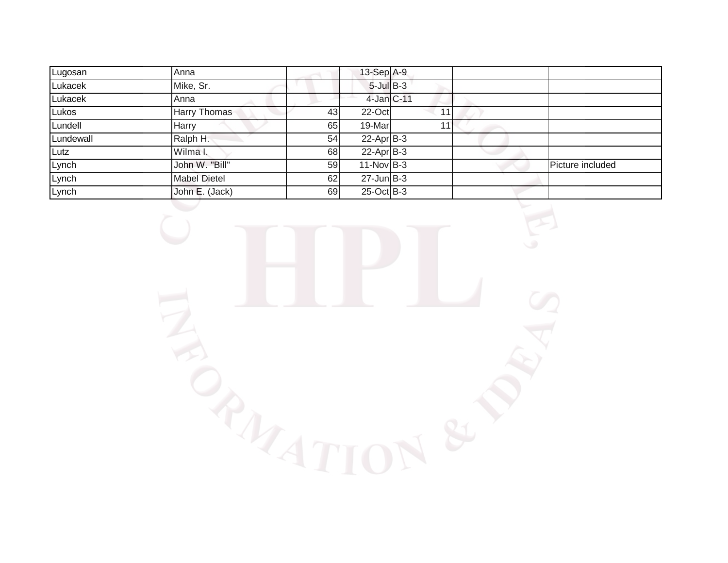| Lugosan   | Anna                |    | $13-Sep$ A-9    |    |                  |
|-----------|---------------------|----|-----------------|----|------------------|
| Lukacek   | Mike, Sr.           |    | $5$ -Jul B-3    |    |                  |
| Lukacek   | Anna                |    | 4-Jan C-11      |    |                  |
| Lukos     | Harry Thomas        | 43 | 22-Oct          | 11 |                  |
| Lundell   | Harry               | 65 | 19-Marl         | 11 |                  |
| Lundewall | Ralph H.            | 54 | $22$ -Apr $B-3$ |    |                  |
| Lutz      | Wilma I.            | 68 | $22$ -Apr $B-3$ |    |                  |
| Lynch     | John W. "Bill"      | 59 | $11-Nov$ B-3    |    | Picture included |
| Lynch     | <b>Mabel Dietel</b> | 62 | $27$ -Jun $B-3$ |    |                  |
| Lynch     | John E. (Jack)      | 69 | 25-Oct B-3      |    |                  |

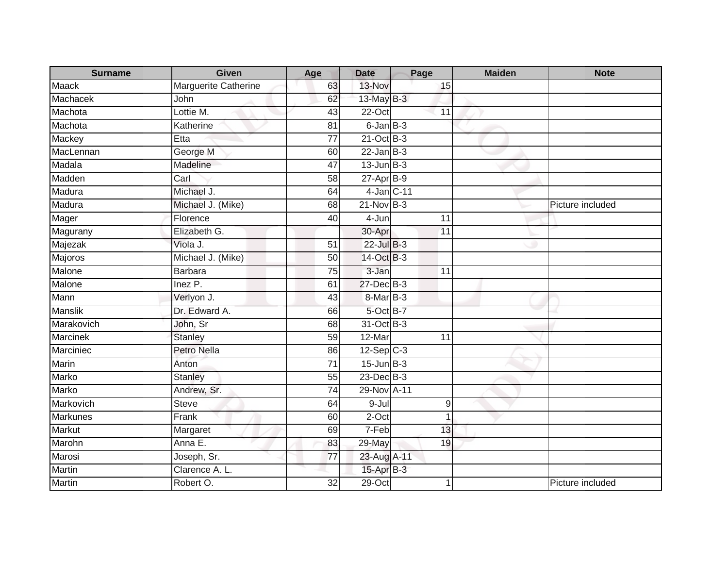| <b>Surname</b>  | <b>Given</b>         | Age             | <b>Date</b>     | Page             | <b>Maiden</b> | <b>Note</b>      |
|-----------------|----------------------|-----------------|-----------------|------------------|---------------|------------------|
| <b>Maack</b>    | Marguerite Catherine | 63              | 13-Nov          | 15               |               |                  |
| Machacek        | John                 | 62              | 13-May B-3      |                  |               |                  |
| Machota         | Lottie M.            | 43              | 22-Oct          | 11               |               |                  |
| Machota         | Katherine            | 81              | $6$ -Jan $B-3$  |                  |               |                  |
| Mackey          | Etta                 | 77              | $21$ -Oct $B-3$ |                  |               |                  |
| MacLennan       | George M             | 60              | $22$ -Jan B-3   |                  |               |                  |
| Madala          | Madeline             | 47              | $13$ -Jun $B-3$ |                  |               |                  |
| Madden          | Carl                 | 58              | $27$ -Apr $B-9$ |                  |               |                  |
| Madura          | Michael J.           | 64              | 4-Jan C-11      |                  |               |                  |
| Madura          | Michael J. (Mike)    | 68              | $21-Nov$ B-3    |                  |               | Picture included |
| Mager           | Florence             | 40              | 4-Jun           | 11               |               |                  |
| Magurany        | Elizabeth G.         |                 | 30-Apr          | 11               |               |                  |
| Majezak         | Viola J.             | 51              | 22-Jul B-3      |                  |               |                  |
| Majoros         | Michael J. (Mike)    | $\overline{50}$ | 14-Oct B-3      |                  |               |                  |
| Malone          | <b>Barbara</b>       | 75              | 3-Jan           | 11               |               |                  |
| Malone          | Inez P.              | 61              | 27-Dec B-3      |                  |               |                  |
| Mann            | Verlyon J.           | 43              | 8-Mar B-3       |                  |               |                  |
| <b>Manslik</b>  | Dr. Edward A.        | 66              | 5-Oct B-7       |                  |               |                  |
| Marakovich      | John, Sr             | 68              | 31-Oct B-3      |                  |               |                  |
| <b>Marcinek</b> | <b>Stanley</b>       | 59              | 12-Mar          | 11               |               |                  |
| Marciniec       | Petro Nella          | 86              | $12-Sep$ C-3    |                  |               |                  |
| Marin           | Anton                | 71              | $15$ -Jun $B-3$ |                  |               |                  |
| Marko           | Stanley              | 55              | $23$ -Dec $B-3$ |                  |               |                  |
| Marko           | Andrew, Sr.          | 74              | 29-Nov A-11     |                  |               |                  |
| Markovich       | <b>Steve</b>         | 64              | $9 -$ Jul       | $\boldsymbol{9}$ |               |                  |
| <b>Markunes</b> | Frank                | 60              | $2$ -Oct        | 1                |               |                  |
| Markut          | Margaret             | 69              | 7-Feb           | 13               |               |                  |
| Marohn          | Anna E.              | 83              | 29-May          | 19               |               |                  |
| Marosi          | Joseph, Sr.          | 77              | 23-Aug A-11     |                  |               |                  |
| Martin          | Clarence A. L.       |                 | 15-Apr B-3      |                  |               |                  |
| <b>Martin</b>   | Robert O.            | $\overline{32}$ | $29$ -Oct       | 1                |               | Picture included |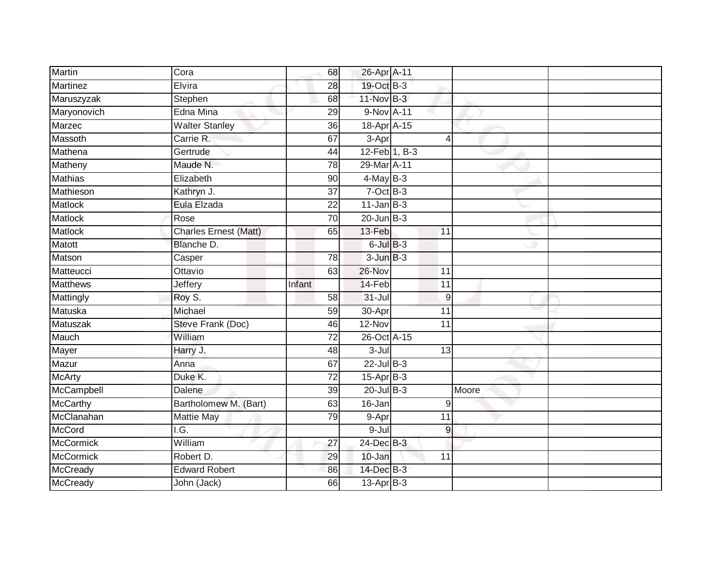| <b>Martin</b>    | Cora                                 | 68              | 26-Apr A-11     |                 |       |  |
|------------------|--------------------------------------|-----------------|-----------------|-----------------|-------|--|
| Martinez         | Elvira                               | 28              | 19-Oct B-3      |                 |       |  |
| Maruszyzak       | Stephen                              | 68              | $11-Nov$ B-3    |                 |       |  |
| Maryonovich      | Edna Mina                            | 29              | 9-Nov A-11      |                 |       |  |
| Marzec           | <b>Walter Stanley</b>                | $\overline{36}$ | 18-Apr A-15     |                 |       |  |
| Massoth          | Carrie R.                            | 67              | $3-Apr$         | 4               |       |  |
| Mathena          | Gertrude                             | 44              |                 | 12-Feb 1, B-3   |       |  |
| Matheny          | Maude N.                             | 78              | 29-Mar A-11     |                 |       |  |
| <b>Mathias</b>   | Elizabeth                            | 90              | $4$ -May B-3    |                 |       |  |
| Mathieson        | Kathryn J.                           | $\overline{37}$ | $7$ -Oct $B-3$  |                 |       |  |
| Matlock          | Eula Elzada                          | 22              | $11$ -Jan B-3   |                 |       |  |
| Matlock          | Rose                                 | $\overline{70}$ | $20$ -Jun $B-3$ |                 |       |  |
| <b>Matlock</b>   | <b>Charles Ernest (Matt)</b>         | 65              | 13-Feb          | 11              |       |  |
| Matott           | Blanche D.                           |                 | $6$ -Jul $B-3$  |                 |       |  |
| Matson           | Casper                               | $\overline{78}$ | $3$ -Jun $B-3$  |                 |       |  |
| Matteucci        | Ottavio                              | 63              | 26-Nov          | 11              |       |  |
| <b>Matthews</b>  | Jeffery                              | Infant          | 14-Feb          | $\overline{11}$ |       |  |
| Mattingly        | Roy S.                               | 58              | $31 -$ Jul      | 9               |       |  |
| Matuska          | Michael                              | 59              | 30-Apr          | 11              |       |  |
| Matuszak         | Steve Frank (Doc)                    | 46              | $12-Nov$        | $\overline{11}$ |       |  |
| Mauch            | William                              | 72              | 26-Oct A-15     |                 |       |  |
| Mayer            | Harry J.                             | $\overline{48}$ | $3 -$ Jul       | 13              |       |  |
| Mazur            | Anna                                 | 67              | 22-Jul B-3      |                 |       |  |
| <b>McArty</b>    | Duke K.                              | 72              | $15$ -Apr $B-3$ |                 |       |  |
| McCampbell       | Dalene                               | 39              | $20$ -Jul B-3   |                 | Moore |  |
| McCarthy         | Bartholomew M. (Bart)                | 63              | 16-Jan          | 9               |       |  |
| McClanahan       | <b>Mattie May</b>                    | 79              | 9-Apr           | 11              |       |  |
| <b>McCord</b>    | $\overline{\overline{\mathsf{IG.}}}$ |                 | 9-Jul           | 9               |       |  |
| <b>McCormick</b> | William                              | 27              | 24-Dec B-3      |                 |       |  |
| McCormick        | Robert D.                            | 29              | 10-Jan          | 11              |       |  |
| <b>McCready</b>  | <b>Edward Robert</b>                 | 86              | $14$ -Dec $B-3$ |                 |       |  |
| McCready         | John (Jack)                          | 66              | 13-Apr B-3      |                 |       |  |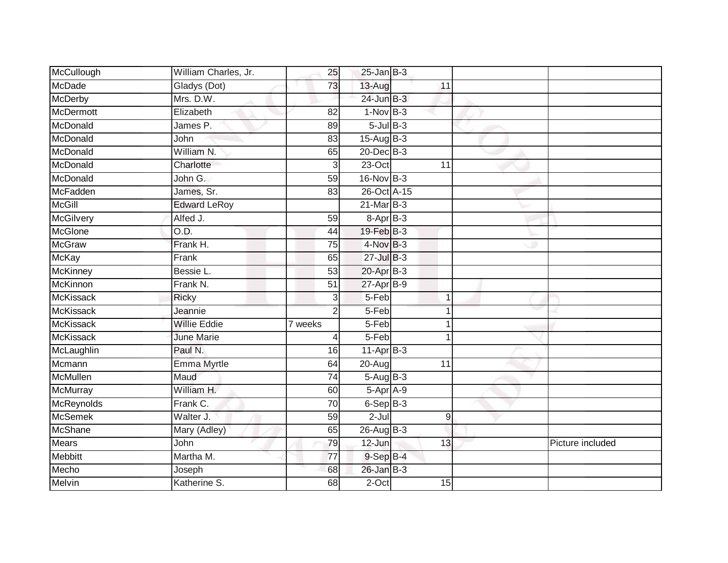| McCullough       | William Charles, Jr. | 25              | $25$ -Jan B-3      |                 |                  |
|------------------|----------------------|-----------------|--------------------|-----------------|------------------|
| McDade           | Gladys (Dot)         | 73              | 13-Aug             | 11              |                  |
| <b>McDerby</b>   | Mrs. D.W.            |                 | $24$ -Jun $B-3$    |                 |                  |
| McDermott        | Elizabeth            | 82              | $1-Nov$ B-3        |                 |                  |
| McDonald         | James P.             | 89              | $5$ -Jul $B$ -3    |                 |                  |
| McDonald         | John                 | 83              | 15-Aug B-3         |                 |                  |
| McDonald         | William N.           | 65              | 20-Dec B-3         |                 |                  |
| McDonald         | Charlotte            | 3               | $23-Oct$           | $\overline{11}$ |                  |
| McDonald         | John G.              | 59              | 16-Nov B-3         |                 |                  |
| McFadden         | James, Sr.           | 83              | 26-Oct A-15        |                 |                  |
| <b>McGill</b>    | <b>Edward LeRoy</b>  |                 | $21$ -Mar $B-3$    |                 |                  |
| McGilvery        | Alfed J.             | 59              | $8-Apr$ B-3        |                 |                  |
| McGlone          | O.D.                 | 44              | 19-Feb B-3         |                 |                  |
| <b>McGraw</b>    | Frank H.             | 75              | $4$ -Nov $B-3$     |                 |                  |
| <b>McKay</b>     | Frank                | 65              | $27 -$ Jul $B - 3$ |                 |                  |
| <b>McKinney</b>  | Bessie L.            | 53              | 20-Apr B-3         |                 |                  |
| McKinnon         | Frank N.             | $\overline{51}$ | $27$ -Apr $B-9$    |                 |                  |
| <b>McKissack</b> | <b>Ricky</b>         | 3               | 5-Feb              | $\mathbf 1$     |                  |
| <b>McKissack</b> | Jeannie              | 2               | 5-Feb              |                 |                  |
| <b>McKissack</b> | <b>Willie Eddie</b>  | 7 weeks         | $5-Feb$            |                 |                  |
| <b>McKissack</b> | <b>June Marie</b>    | 4               | 5-Feb              |                 |                  |
| McLaughlin       | Paul N.              | 16              | $11-Apr$ B-3       |                 |                  |
| Mcmann           | Emma Myrtle          | 64              | 20-Aug             | 11              |                  |
| <b>McMullen</b>  | Maud                 | 74              | 5-Aug B-3          |                 |                  |
| McMurray         | William H.           | 60              | 5-Apr A-9          |                 |                  |
| McReynolds       | Frank C.             | 70              | $6-SepB-3$         |                 |                  |
| <b>McSemek</b>   | Walter J.            | 59              | $2 -$ Jul          | $\mathsf g$     |                  |
| <b>McShane</b>   | Mary (Adley)         | 65              | 26-Aug B-3         |                 |                  |
| <b>Mears</b>     | John                 | 79              | 12-Jun             | 13              | Picture included |
| <b>Mebbitt</b>   | Martha M.            | 77              | $9-Sep$ $B-4$      |                 |                  |
| Mecho            | Joseph               | 68              | $26$ -Jan B-3      |                 |                  |
| <b>Melvin</b>    | Katherine S.         | 68              | $2$ -Oct           | 15              |                  |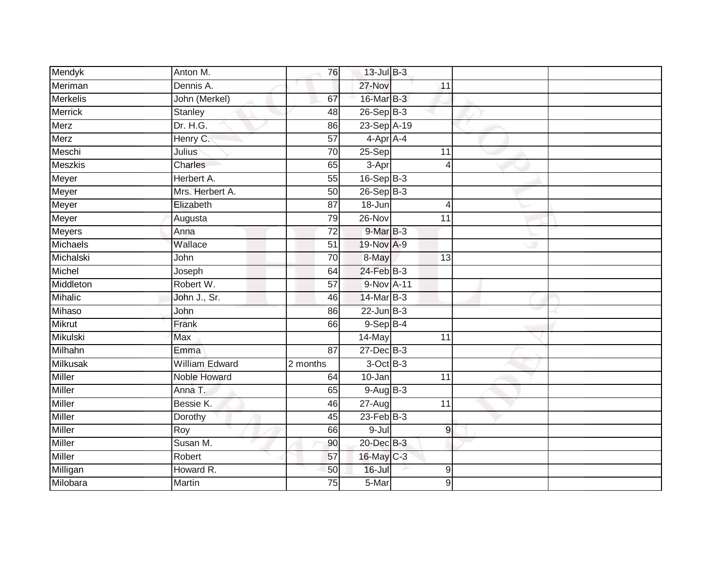| Mendyk          | Anton M.              | 76              | 13-Jul B-3      |                  |  |
|-----------------|-----------------------|-----------------|-----------------|------------------|--|
| Meriman         | Dennis A.             |                 | 27-Nov          | 11               |  |
| <b>Merkelis</b> | John (Merkel)         | 67              | 16-Mar B-3      |                  |  |
| <b>Merrick</b>  | Stanley               | 48              | 26-Sep B-3      |                  |  |
| Merz            | Dr. H.G.              | 86              | 23-Sep A-19     |                  |  |
| Merz            | Henry C.              | $\overline{57}$ | $4-AprA-4$      |                  |  |
| Meschi          | Julius                | $\overline{70}$ | 25-Sep          | 11               |  |
| <b>Meszkis</b>  | Charles               | 65              | 3-Apr           | $\overline{4}$   |  |
| Meyer           | Herbert A.            | 55              | 16-Sep B-3      |                  |  |
| Meyer           | Mrs. Herbert A.       | 50              | $26-Sep$ B-3    |                  |  |
| Meyer           | Elizabeth             | 87              | 18-Jun          | $\overline{4}$   |  |
| Meyer           | Augusta               | 79              | $26 - Nov$      | 11               |  |
| <b>Meyers</b>   | Anna                  | $\overline{72}$ | 9-Mar B-3       |                  |  |
| Michaels        | Wallace               | 51              | 19-Nov A-9      |                  |  |
| Michalski       | John                  | $\overline{70}$ | 8-May           | $\overline{13}$  |  |
| Michel          | Joseph                | 64              | $24$ -Feb $B-3$ |                  |  |
| Middleton       | Robert W.             | 57              | 9-Nov A-11      |                  |  |
| Mihalic         | John J., Sr.          | 46              | 14-Mar B-3      |                  |  |
| Mihaso          | John                  | 86              | $22$ -Jun $B-3$ |                  |  |
| <b>Mikrut</b>   | Frank                 | 66              | $9-$ Sep $B-4$  |                  |  |
| <b>Mikulski</b> | <b>Max</b>            |                 | 14-May          | 11               |  |
| Milhahn         | Emma                  | $\overline{87}$ | $27 - Dec$ B-3  |                  |  |
| <b>Milkusak</b> | <b>William Edward</b> | 2 months        | 3-Oct B-3       |                  |  |
| <b>Miller</b>   | Noble Howard          | 64              | $10 - Jan$      | $\overline{11}$  |  |
| Miller          | Anna T.               | 65              | $9-AugB-3$      |                  |  |
| Miller          | Bessie K.             | 46              | 27-Aug          | 11               |  |
| <b>Miller</b>   | Dorothy               | 45              | 23-Feb B-3      |                  |  |
| Miller          | Roy                   | 66              | 9-Jul           | $\overline{9}$   |  |
| Miller          | Susan M.              | 90              | 20-Dec B-3      |                  |  |
| <b>Miller</b>   | Robert                | 57              | 16-May C-3      |                  |  |
| Milligan        | Howard R.             | 50              | $16 -$ Jul      | $9\,$            |  |
| Milobara        | Martin                | $\overline{75}$ | 5-Mar           | $\boldsymbol{9}$ |  |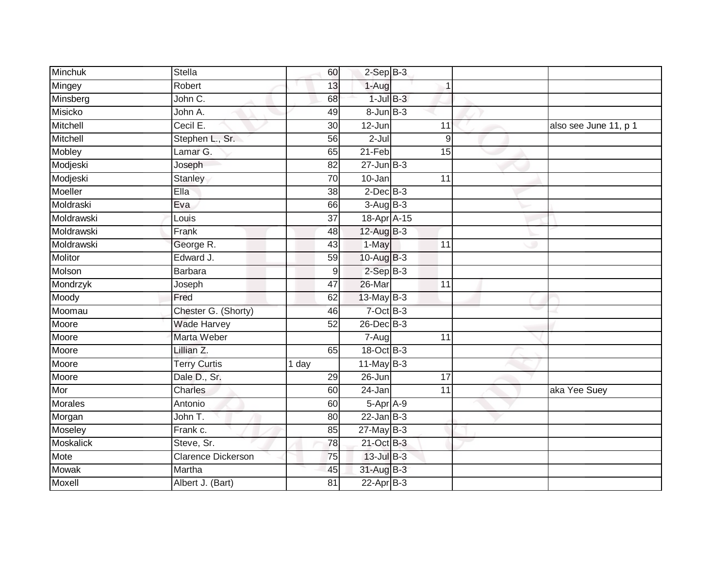| Minchuk          | <b>Stella</b>             | 60              | $2-Sep$ B-3     |                 |                       |
|------------------|---------------------------|-----------------|-----------------|-----------------|-----------------------|
| Mingey           | Robert                    | 13              | 1-Aug           | 1               |                       |
| Minsberg         | John C.                   | 68              | $1$ -Jul $B-3$  |                 |                       |
| Misicko          | John A.                   | 49              | $8$ -Jun $B-3$  |                 |                       |
| Mitchell         | Cecil E.                  | $\overline{30}$ | $12 - Jun$      | 11              | also see June 11, p 1 |
| Mitchell         | Stephen L., Sr.           | 56              | $2 -$ Jul       | 9               |                       |
| Mobley           | Lamar G.                  | 65              | $21-Feb$        | 15              |                       |
| Modjeski         | Joseph                    | 82              | $27 - Jun$ B-3  |                 |                       |
| Modjeski         | <b>Stanley</b>            | 70              | 10-Jan          | 11              |                       |
| Moeller          | Ella                      | $\overline{38}$ | $2$ -Dec $B-3$  |                 |                       |
| Moldraski        | Eva                       | 66              | $3-AugB-3$      |                 |                       |
| Moldrawski       | Louis                     | 37              | 18-Apr A-15     |                 |                       |
| Moldrawski       | Frank                     | 48              | 12-Aug B-3      |                 |                       |
| Moldrawski       | George R.                 | 43              | 1-May           | $\overline{11}$ |                       |
| <b>Molitor</b>   | Edward J.                 | 59              | 10-Aug B-3      |                 |                       |
| Molson           | <b>Barbara</b>            | 9               | $2-Sep$ B-3     |                 |                       |
| Mondrzyk         | Joseph                    | 47              | 26-Mar          | $\overline{11}$ |                       |
| Moody            | Fred                      | 62              | 13-May B-3      |                 |                       |
| Moomau           | Chester G. (Shorty)       | 46              | 7-Oct B-3       |                 |                       |
| Moore            | <b>Wade Harvey</b>        | $\overline{52}$ | $26$ -Dec $B-3$ |                 |                       |
| Moore            | Marta Weber               |                 | 7-Aug           | 11              |                       |
| Moore            | Lillian Z.                | 65              | 18-Oct B-3      |                 |                       |
| Moore            | <b>Terry Curtis</b>       | 1 day           | $11$ -May B-3   |                 |                       |
| Moore            | Dale D., Sr.              | 29              | $26 - Jun$      | $\overline{17}$ |                       |
| Mor              | <b>Charles</b>            | 60              | 24-Jan          | 11              | aka Yee Suey          |
| <b>Morales</b>   | Antonio                   | 60              | 5-Apr A-9       |                 |                       |
| Morgan           | John T.                   | 80              | $22$ -Jan B-3   |                 |                       |
| Moseley          | Frank c.                  | 85              | $27$ -May B-3   |                 |                       |
| <b>Moskalick</b> | Steve, Sr.                | 78              | 21-Oct B-3      |                 |                       |
| Mote             | <b>Clarence Dickerson</b> | 75              | 13-Jul B-3      |                 |                       |
| Mowak            | Martha                    | 45              | 31-Aug B-3      |                 |                       |
| Moxell           | Albert J. (Bart)          | $\overline{81}$ | $22$ -Apr $B-3$ |                 |                       |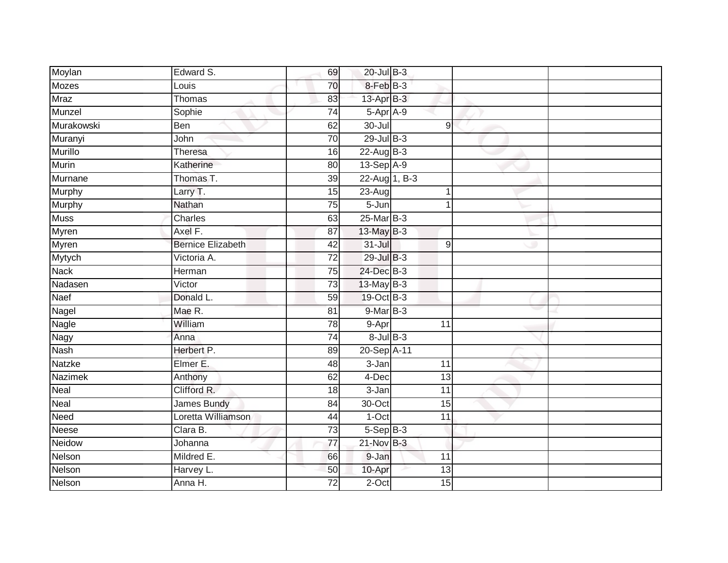| Moylan         | Edward S.                | 69              | 20-Jul B-3      |                  |  |
|----------------|--------------------------|-----------------|-----------------|------------------|--|
| <b>Mozes</b>   | Louis                    | 70              | 8-Feb B-3       |                  |  |
| <b>Mraz</b>    | Thomas                   | 83              | $13$ -Apr $B-3$ |                  |  |
| Munzel         | Sophie                   | 74              | 5-Apr A-9       |                  |  |
| Murakowski     | <b>Ben</b>               | 62              | $30 -$ Jul      | 9                |  |
| Muranyi        | John                     | 70              | $29$ -Jul $B-3$ |                  |  |
| Murillo        | Theresa                  | 16              | 22-Aug B-3      |                  |  |
| Murin          | Katherine                | 80              | 13-Sep A-9      |                  |  |
| Murnane        | Thomas T.                | 39              | 22-Aug 1, B-3   |                  |  |
| Murphy         | Larry T.                 | 15              | $23-Aug$        | 1                |  |
| Murphy         | Nathan                   | 75              | $5 - Jun$       | 1                |  |
| <b>Muss</b>    | Charles                  | 63              | 25-Mar B-3      |                  |  |
| Myren          | Axel F.                  | 87              | $13$ -May $B-3$ |                  |  |
| <b>Myren</b>   | <b>Bernice Elizabeth</b> | 42              | $31 -$ Jul      | $\boldsymbol{9}$ |  |
| Mytych         | Victoria A.              | $\overline{72}$ | 29-Jul B-3      |                  |  |
| <b>Nack</b>    | Herman                   | 75              | 24-Dec B-3      |                  |  |
| Nadasen        | Victor                   | $\overline{73}$ | 13-May B-3      |                  |  |
| Naef           | Donald L.                | 59              | 19-Oct B-3      |                  |  |
| Nagel          | Mae R.                   | 81              | 9-Mar B-3       |                  |  |
| <b>Nagle</b>   | William                  | $\overline{78}$ | 9-Apr           | $\overline{11}$  |  |
| Nagy           | Anna                     | $\overline{74}$ | $8$ -Jul $B$ -3 |                  |  |
| Nash           | Herbert P.               | 89              | 20-Sep A-11     |                  |  |
| Natzke         | Elmer E.                 | 48              | $3 - Jan$       | 11               |  |
| <b>Nazimek</b> | Anthony                  | 62              | 4-Dec           | 13               |  |
| Neal           | Clifford R.              | 18              | 3-Jan           | 11               |  |
| Neal           | James Bundy              | 84              | 30-Oct          | 15               |  |
| Need           | Loretta Williamson       | 44              | $1-Oct$         | $\overline{11}$  |  |
| Neese          | Clara B.                 | $\overline{73}$ | $5-$ Sep $B-3$  |                  |  |
| Neidow         | Johanna                  | 77              | $21$ -Nov $B-3$ |                  |  |
| Nelson         | Mildred E.               | 66              | 9-Jan           | 11               |  |
| Nelson         | Harvey L.                | 50              | 10-Apr          | 13               |  |
| Nelson         | Anna H.                  | $\overline{72}$ | $2$ -Oct        | 15               |  |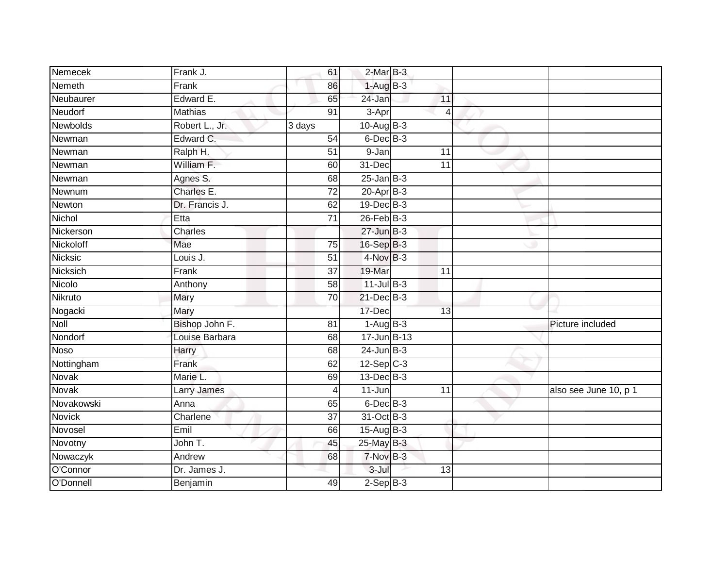| Nemecek         | Frank J.           | 61              | $2-MarB-3$       |                 |                       |
|-----------------|--------------------|-----------------|------------------|-----------------|-----------------------|
| <b>Nemeth</b>   | Frank              | 86              | $1-AugB-3$       |                 |                       |
| Neubaurer       | Edward E.          | 65              | 24-Jan           | 11              |                       |
| Neudorf         | Mathias            | 91              | 3-Apr            | 4               |                       |
| <b>Newbolds</b> | Robert L., Jr.     | 3 days          | $10-Auq$ B-3     |                 |                       |
| Newman          | Edward C.          | 54              | $6$ -Dec $B$ -3  |                 |                       |
| Newman          | Ralph H.           | $\overline{51}$ | 9-Jan            | 11              |                       |
| Newman          | William F.         | 60              | 31-Dec           | $\overline{11}$ |                       |
| Newman          | Agnes S.           | 68              | $25$ -Jan B-3    |                 |                       |
| Newnum          | Charles E.         | $\overline{72}$ | $20-Apr$ B-3     |                 |                       |
| Newton          | Dr. Francis J.     | 62              | 19-Dec B-3       |                 |                       |
| Nichol          | Etta               | $\overline{71}$ | $26$ -Feb $B-3$  |                 |                       |
| Nickerson       | Charles            |                 | $27 - Jun$ B-3   |                 |                       |
| Nickoloff       | Mae                | 75              | 16-Sep B-3       |                 |                       |
| <b>Nicksic</b>  | Louis J.           | $\overline{51}$ | 4-Nov B-3        |                 |                       |
| Nicksich        | Frank              | 37              | 19-Mar           | 11              |                       |
| Nicolo          | Anthony            | 58              | $11$ -Jul B-3    |                 |                       |
| Nikruto         | Mary               | 70              | 21-Dec B-3       |                 |                       |
| Nogacki         | Mary               |                 | 17-Dec           | 13              |                       |
| Noll            | Bishop John F.     | 81              | $1-AugB-3$       |                 | Picture included      |
| Nondorf         | Louise Barbara     | 68              | 17-Jun B-13      |                 |                       |
| <b>Noso</b>     | Harry              | 68              | $24$ -Jun $B-3$  |                 |                       |
| Nottingham      | Frank              | 62              | $12-Sep$ C-3     |                 |                       |
| Novak           | Marie L.           | 69              | $13$ -Dec $B-3$  |                 |                       |
| Novak           | <b>Larry James</b> | 4               | $11 - Jun$       | 11              | also see June 10, p 1 |
| Novakowski      | Anna               | 65              | $6$ -Dec $B$ -3  |                 |                       |
| <b>Novick</b>   | Charlene           | $\overline{37}$ | 31-Oct B-3       |                 |                       |
| Novosel         | Emil               | 66              | $15$ -Aug $B$ -3 |                 |                       |
| Novotny         | John T.            | 45              | 25-May B-3       |                 |                       |
| Nowaczyk        | Andrew             | 68              | 7-Nov B-3        |                 |                       |
| O'Connor        | Dr. James J.       |                 | $3 -$ Jul        | 13              |                       |
| O'Donnell       | Benjamin           | 49              | $2-SepB-3$       |                 |                       |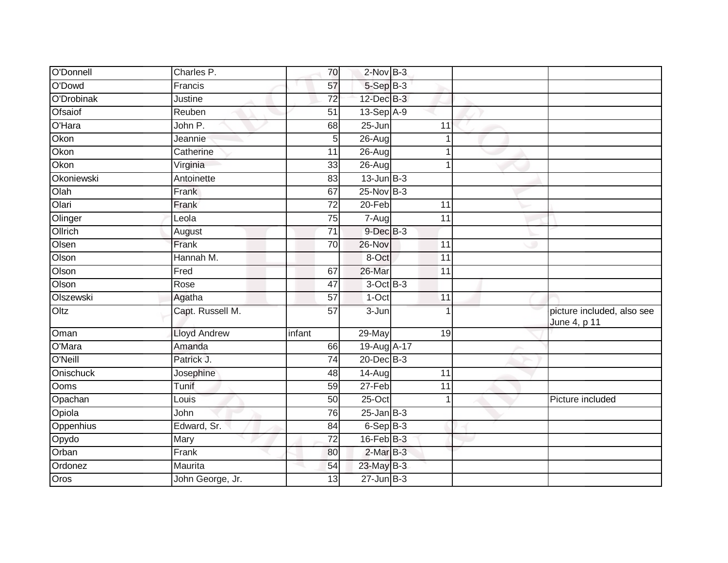| O'Donnell  | Charles P.          | 70              | $2$ -Nov $B-3$        |                 |                                            |
|------------|---------------------|-----------------|-----------------------|-----------------|--------------------------------------------|
| O'Dowd     | Francis             | 57              | 5-Sep B-3             |                 |                                            |
| O'Drobinak | Justine             | 72              | $12$ -Dec $B-3$       |                 |                                            |
| Ofsaiof    | Reuben              | 51              | $13-Sep$ A-9          |                 |                                            |
| O'Hara     | John P.             | 68              | 25-Jun                | 11              |                                            |
| Okon       | Jeannie             | 5               | 26-Aug                |                 |                                            |
| Okon       | Catherine           | 11              | 26-Aug                |                 |                                            |
| Okon       | Virginia            | 33              | 26-Aug                | 1               |                                            |
| Okoniewski | Antoinette          | 83              | $13$ -Jun $B-3$       |                 |                                            |
| Olah       | Frank               | 67              | $25$ -Nov $B-3$       |                 |                                            |
| Olari      | Frank               | $\overline{72}$ | $20 - Feb$            | 11              |                                            |
| Olinger    | Leola               | 75              | $7 - \overline{A}$ ug | 11              |                                            |
| Ollrich    | August              | 71              | $9$ -Dec $B$ -3       |                 |                                            |
| Olsen      | Frank               | 70              | 26-Nov                | 11              |                                            |
| Olson      | Hannah M.           |                 | 8-Oct                 | 11              |                                            |
| Olson      | Fred                | 67              | 26-Mar                | 11              |                                            |
| Olson      | Rose                | 47              | $3-OctB-3$            |                 |                                            |
| Olszewski  | Agatha              | 57              | $1-Oct$               | 11              |                                            |
| Oltz       | Capt. Russell M.    | 57              | 3-Jun                 |                 | picture included, also see<br>June 4, p 11 |
| Oman       | <b>Lloyd Andrew</b> | infant          | 29-May                | 19              |                                            |
| O'Mara     | Amanda              | 66              | 19-Aug A-17           |                 |                                            |
| O'Neill    | Patrick J.          | $\overline{74}$ | 20-Dec B-3            |                 |                                            |
| Onischuck  | Josephine           | 48              | 14-Aug                | 11              |                                            |
| Ooms       | Tunif               | 59              | 27-Feb                | $\overline{11}$ |                                            |
| Opachan    | Louis               | 50              | $25$ -Oct             | 1               | Picture included                           |
| Opiola     | John                | 76              | $25 - Jan$ $B-3$      |                 |                                            |
| Oppenhius  | Edward, Sr.         | 84              | $6-Sep$ B-3           |                 |                                            |
| Opydo      | Mary                | 72              | 16-Feb B-3            |                 |                                            |
| Orban      | Frank               | 80              | $2-MarB-3$            |                 |                                            |
| Ordonez    | Maurita             | 54              | 23-May B-3            |                 |                                            |
| Oros       | John George, Jr.    | 13              | $27 - Jun$ B-3        |                 |                                            |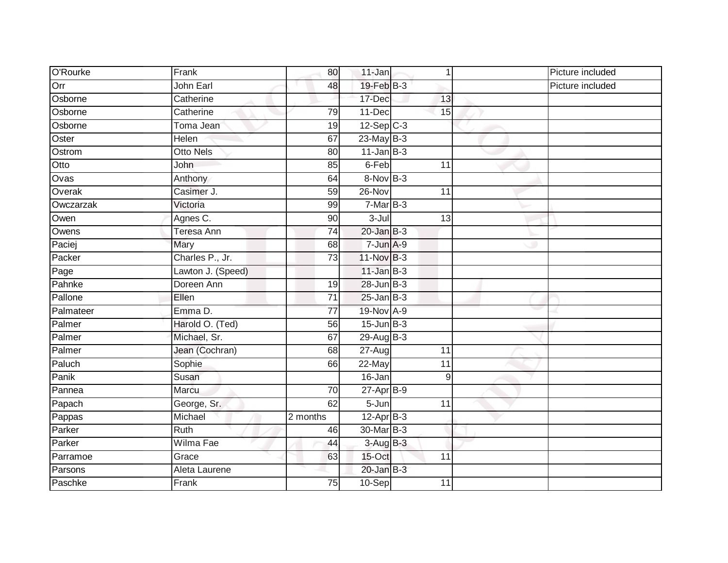| O'Rourke  | Frank             | 80              | $11$ -Jan       | $\mathbf 1$     | Picture included |
|-----------|-------------------|-----------------|-----------------|-----------------|------------------|
| Orr       | John Earl         | 48              | $19$ -Feb $B-3$ |                 | Picture included |
| Osborne   | Catherine         |                 | 17-Dec          | 13              |                  |
| Osborne   | Catherine         | 79              | 11-Dec          | 15              |                  |
| Osborne   | Toma Jean         | $\overline{19}$ | $12-Sep$ C-3    |                 |                  |
| Oster     | Helen             | 67              | $23$ -May B-3   |                 |                  |
| Ostrom    | <b>Otto Nels</b>  | 80              | $11$ -Jan B-3   |                 |                  |
| Otto      | John              | 85              | 6-Feb           | 11              |                  |
| Ovas      | Anthony           | 64              | 8-Nov B-3       |                 |                  |
| Overak    | Casimer J.        | 59              | 26-Nov          | 11              |                  |
| Owczarzak | Victoria          | 99              | $7-MarB-3$      |                 |                  |
| Owen      | Agnes C.          | 90              | 3-Jul           | 13              |                  |
| Owens     | Teresa Ann        | 74              | $20$ -Jan $B-3$ |                 |                  |
| Paciej    | Mary              | 68              | $7 - Jun A-9$   |                 |                  |
| Packer    | Charles P., Jr.   | $\overline{73}$ | 11-Nov B-3      |                 |                  |
| Page      | Lawton J. (Speed) |                 | $11$ -Jan $B-3$ |                 |                  |
| Pahnke    | Doreen Ann        | 19              | $28$ -Jun $B-3$ |                 |                  |
| Pallone   | Ellen             | $\overline{71}$ | $25$ -Jan B-3   |                 |                  |
| Palmateer | Emma D.           | $\overline{77}$ | 19-Nov A-9      |                 |                  |
| Palmer    | Harold O. (Ted)   | $\overline{56}$ | $15$ -Jun $B-3$ |                 |                  |
| Palmer    | Michael, Sr.      | 67              | 29-Aug B-3      |                 |                  |
| Palmer    | Jean (Cochran)    | 68              | $27 - Aug$      | 11              |                  |
| Paluch    | Sophie            | 66              | 22-May          | $\overline{11}$ |                  |
| Panik     | Susan             |                 | 16-Jan          | $9\,$           |                  |
| Pannea    | Marcu             | 70              | $27$ -Apr $B-9$ |                 |                  |
| Papach    | George, Sr.       | 62              | $5 - Jun$       | 11              |                  |
| Pappas    | Michael           | 2 months        | $12-Apr$ B-3    |                 |                  |
| Parker    | Ruth              | 46              | 30-Mar B-3      |                 |                  |
| Parker    | Wilma Fae         | 44              | 3-Aug B-3       |                 |                  |
| Parramoe  | Grace             | 63              | 15-Oct          | 11              |                  |
| Parsons   | Aleta Laurene     |                 | $20$ -Jan $B-3$ |                 |                  |
| Paschke   | Frank             | $\overline{75}$ | 10-Sep          | $\overline{11}$ |                  |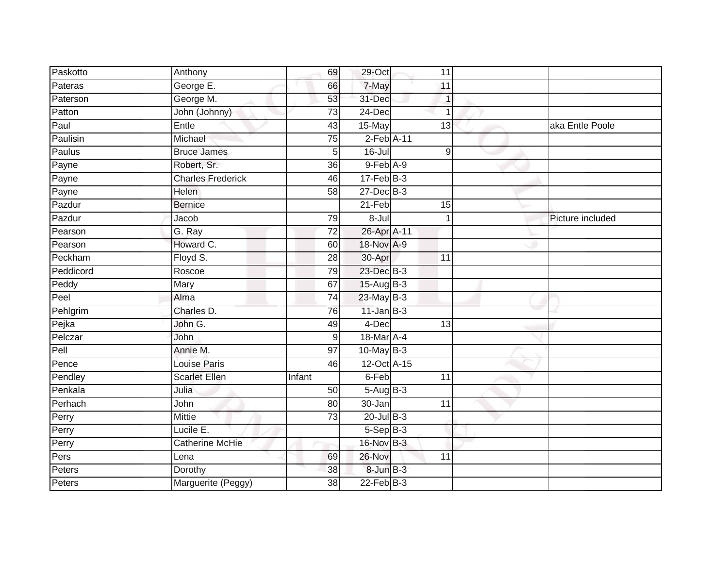| Paskotto  | Anthony                  | 69              | 29-Oct           | 11              |                  |
|-----------|--------------------------|-----------------|------------------|-----------------|------------------|
| Pateras   | George E.                | 66              | 7-May            | 11              |                  |
| Paterson  | George M.                | 53              | 31-Dec           |                 |                  |
| Patton    | John (Johnny)            | $\overline{73}$ | 24-Dec           | 1               |                  |
| Paul      | Entle                    | 43              | 15-May           | 13              | aka Entle Poole  |
| Paulisin  | Michael                  | $\overline{75}$ | $2$ -Feb $A-11$  |                 |                  |
| Paulus    | <b>Bruce James</b>       | 5 <sub>l</sub>  | 16-Jul           | 9               |                  |
| Payne     | Robert, Sr.              | 36              | $9$ -Feb $A-9$   |                 |                  |
| Payne     | <b>Charles Frederick</b> | 46              | $17 - Feb$ $B-3$ |                 |                  |
| Payne     | <b>Helen</b>             | 58              | $27 - Dec$ B-3   |                 |                  |
| Pazdur    | <b>Bernice</b>           |                 | 21-Feb           | 15              |                  |
| Pazdur    | Jacob                    | 79              | $8 -$ Jul        |                 | Picture included |
| Pearson   | G. Ray                   | 72              | 26-Apr A-11      |                 |                  |
| Pearson   | Howard C.                | 60              | 18-Nov A-9       |                 |                  |
| Peckham   | Floyd S.                 | $\overline{28}$ | 30-Apr           | $\overline{11}$ |                  |
| Peddicord | Roscoe                   | 79              | 23-Dec B-3       |                 |                  |
| Peddy     | Mary                     | 67              | 15-Aug B-3       |                 |                  |
| Peel      | Alma                     | $\overline{74}$ | $23$ -May $B-3$  |                 |                  |
| Pehlgrim  | Charles D.               | 76              | $11$ -Jan $B-3$  |                 |                  |
| Pejka     | John G.                  | 49              | 4-Dec            | 13              |                  |
| Pelczar   | John                     | 9               | 18-Mar A-4       |                 |                  |
| Pell      | Annie M.                 | $\overline{97}$ | $10$ -May B-3    |                 |                  |
| Pence     | <b>Louise Paris</b>      | 46              | 12-Oct A-15      |                 |                  |
| Pendley   | <b>Scarlet Ellen</b>     | Infant          | 6-Feb            | 11              |                  |
| Penkala   | Julia                    | 50              | $5-AugB-3$       |                 |                  |
| Perhach   | John                     | 80              | 30-Jan           | $\overline{11}$ |                  |
| Perry     | <b>Mittie</b>            | 73              | $20$ -Jul $B-3$  |                 |                  |
| Perry     | Lucile E.                |                 | $5-Sep$ B-3      |                 |                  |
| Perry     | <b>Catherine McHie</b>   |                 | 16-Nov B-3       |                 |                  |
| Pers      | Lena                     | 69              | 26-Nov           | 11              |                  |
| Peters    | Dorothy                  | 38              | $8$ -Jun $B$ -3  |                 |                  |
| Peters    | Marguerite (Peggy)       | 38              | $22$ -Feb $B-3$  |                 |                  |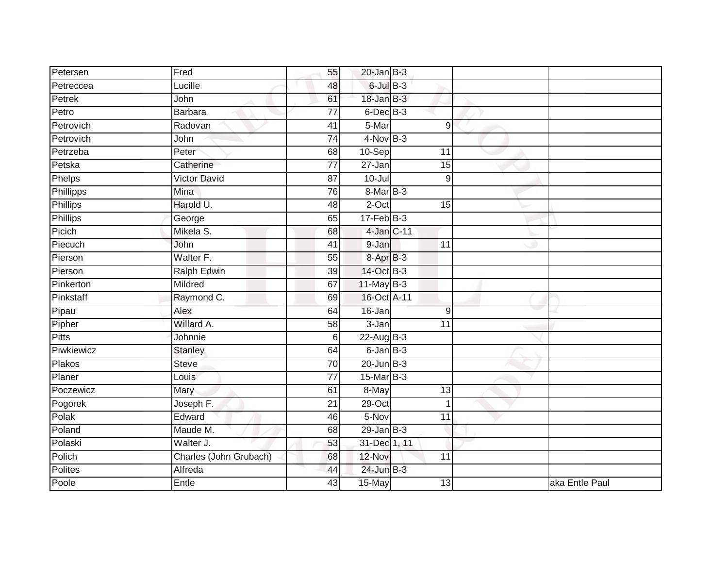| Petersen       | Fred                   | 55              | $20$ -Jan B-3   |                 |                |
|----------------|------------------------|-----------------|-----------------|-----------------|----------------|
| Petreccea      | Lucille                | 48              | $6$ -Jul $B-3$  |                 |                |
| Petrek         | John                   | 61              | 18-Jan B-3      |                 |                |
| Petro          | <b>Barbara</b>         | 77              | $6$ -Dec $B$ -3 |                 |                |
| Petrovich      | Radovan                | $\overline{41}$ | 5-Mar           | 9               |                |
| Petrovich      | John                   | $\overline{74}$ | $4$ -Nov B-3    |                 |                |
| Petrzeba       | Peter                  | 68              | $10-Sep$        | 11              |                |
| Petska         | Catherine              | $\overline{77}$ | $27 - Jan$      | 15              |                |
| Phelps         | <b>Victor David</b>    | 87              | $10 -$ Jul      | 9               |                |
| Phillipps      | Mina                   | $\overline{76}$ | $8$ -Mar $B-3$  |                 |                |
| Phillips       | Harold U.              | 48              | $2$ -Oct        | 15              |                |
| Phillips       | George                 | 65              | $17 - Feb$ B-3  |                 |                |
| Picich         | Mikela S.              | 68              | 4-Jan C-11      |                 |                |
| Piecuch        | John                   | 41              | 9-Jan           | 11              |                |
| Pierson        | Walter F.              | 55              | 8-Apr B-3       |                 |                |
| Pierson        | Ralph Edwin            | 39              | 14-Oct B-3      |                 |                |
| Pinkerton      | Mildred                | 67              | $11$ -May B-3   |                 |                |
| Pinkstaff      | Raymond C.             | 69              | 16-Oct A-11     |                 |                |
| Pipau          | Alex                   | 64              | 16-Jan          | 9               |                |
| Pipher         | Willard A.             | 58              | $3 - Jan$       | 11              |                |
| <b>Pitts</b>   | Johnnie                | $6 \mid$        | $22$ -Aug B-3   |                 |                |
| Piwkiewicz     | Stanley                | 64              | $6$ -Jan $B$ -3 |                 |                |
| Plakos         | <b>Steve</b>           | 70              | $20$ -Jun $B-3$ |                 |                |
| Planer         | Louis                  | 77              | 15-Mar B-3      |                 |                |
| Poczewicz      | Mary                   | 61              | 8-May           | 13              |                |
| Pogorek        | Joseph F.              | 21              | $29$ -Oct       | $\overline{1}$  |                |
| Polak          | Edward                 | 46              | 5-Nov           | $\overline{11}$ |                |
| Poland         | Maude M.               | 68              | $29$ -Jan B-3   |                 |                |
| Polaski        | Walter J.              | 53              | 31-Dec 1, 11    |                 |                |
| Polich         | Charles (John Grubach) | 68              | 12-Nov          | 11              |                |
| <b>Polites</b> | Alfreda                | 44              | 24-Jun B-3      |                 |                |
| Poole          | Entle                  | 43              | 15-May          | 13              | aka Entle Paul |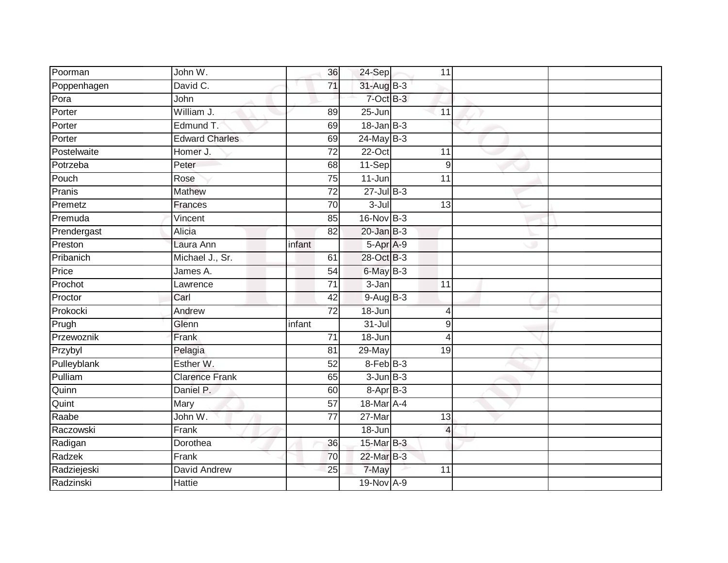| Poorman     | John W.               | 36              | 24-Sep          | 11               |  |
|-------------|-----------------------|-----------------|-----------------|------------------|--|
| Poppenhagen | David C.              | 71              | 31-Aug B-3      |                  |  |
| Pora        | John                  |                 | 7-Oct B-3       |                  |  |
| Porter      | William J.            | 89              | 25-Jun          | 11               |  |
| Porter      | Edmund T.             | 69              | $18$ -Jan B-3   |                  |  |
| Porter      | <b>Edward Charles</b> | 69              | $24$ -May $B-3$ |                  |  |
| Postelwaite | Homer J.              | 72              | $22-Oct$        | 11               |  |
| Potrzeba    | Peter                 | 68              | 11-Sep          | $\boldsymbol{9}$ |  |
| Pouch       | Rose                  | 75              | $11 - Jun$      | 11               |  |
| Pranis      | Mathew                | $\overline{72}$ | $27$ -Jul B-3   |                  |  |
| Premetz     | Frances               | 70              | $3 -$ Jul       | $\overline{13}$  |  |
| Premuda     | Vincent               | 85              | 16-Nov B-3      |                  |  |
| Prendergast | Alicia                | 82              | $20$ -Jan $B-3$ |                  |  |
| Preston     | Laura Ann             | infant          | 5-Apr A-9       |                  |  |
| Pribanich   | Michael J., Sr.       | 61              | 28-Oct B-3      |                  |  |
| Price       | James A.              | 54              | $6$ -May $B-3$  |                  |  |
| Prochot     | Lawrence              | $\overline{71}$ | $3 - Jan$       | $\overline{11}$  |  |
| Proctor     | Carl                  | 42              | $9-AugB-3$      |                  |  |
| Prokocki    | Andrew                | $\overline{72}$ | 18-Jun          | 4                |  |
| Prugh       | Glenn                 | infant          | $31 -$ Jul      | 9                |  |
| Przewoznik  | Frank                 | 71              | 18-Jun          | $\overline{4}$   |  |
| Przybyl     | Pelagia               | 81              | $29$ -May       | 19               |  |
| Pulleyblank | Esther W.             | 52              | 8-Feb B-3       |                  |  |
| Pulliam     | <b>Clarence Frank</b> | 65              | $3 - Jun$ $B-3$ |                  |  |
| Quinn       | Daniel P.             | 60              | 8-Apr B-3       |                  |  |
| Quint       | Mary                  | 57              | 18-Mar A-4      |                  |  |
| Raabe       | John W.               | $\overline{77}$ | $27$ -Mar       | 13               |  |
| Raczowski   | Frank                 |                 | 18-Jun          | $\overline{4}$   |  |
| Radigan     | Dorothea              | 36              | 15-Mar B-3      |                  |  |
| Radzek      | Frank                 | 70              | 22-Mar B-3      |                  |  |
| Radziejeski | David Andrew          | 25              | 7-May           | 11               |  |
| Radzinski   | <b>Hattie</b>         |                 | 19-Nov A-9      |                  |  |
|             |                       |                 |                 |                  |  |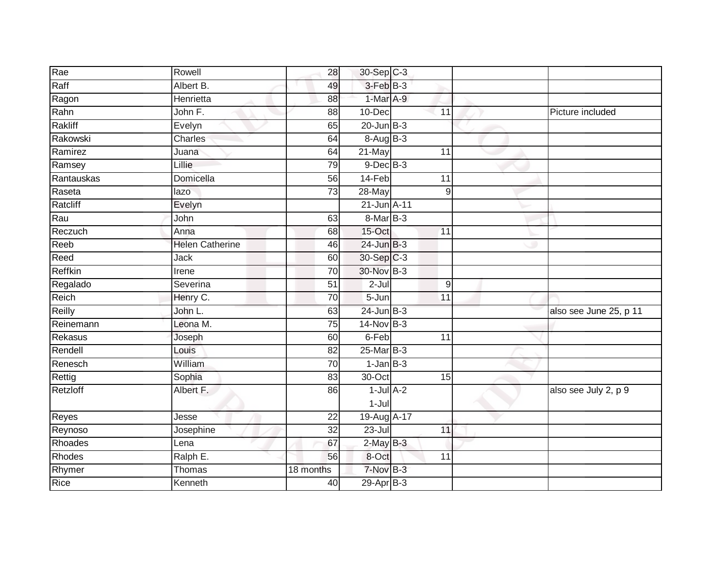| Rae           | Rowell                 | 28              | 30-Sep C-3      |                |                        |
|---------------|------------------------|-----------------|-----------------|----------------|------------------------|
| Raff          | Albert B.              | 49              | 3-Feb B-3       |                |                        |
| Ragon         | Henrietta              | 88              | 1-Mar A-9       |                |                        |
| Rahn          | John F.                | 88              | 10-Dec          | 11             | Picture included       |
| Rakliff       | Evelyn                 | 65              | $20$ -Jun $B-3$ |                |                        |
| Rakowski      | Charles                | 64              | 8-Aug B-3       |                |                        |
| Ramirez       | Juana                  | 64              | 21-May          | 11             |                        |
| Ramsey        | Lillie                 | 79              | $9$ -Dec $B$ -3 |                |                        |
| Rantauskas    | Domicella              | 56              | 14-Feb          | 11             |                        |
| Raseta        | lazo                   | $\overline{73}$ | 28-May          | $\overline{9}$ |                        |
| Ratcliff      | Evelyn                 |                 | 21-Jun A-11     |                |                        |
| Rau           | John                   | 63              | 8-Mar B-3       |                |                        |
| Reczuch       | Anna                   | 68              | 15-Oct          | 11             |                        |
| Reeb          | <b>Helen Catherine</b> | 46              | $24$ -Jun $B-3$ |                |                        |
| Reed          | Jack                   | 60              | 30-Sep C-3      |                |                        |
| Reffkin       | Irene                  | $\overline{70}$ | 30-Nov B-3      |                |                        |
| Regalado      | Severina               | 51              | $2-Jul$         | $\overline{9}$ |                        |
| Reich         | Henry C.               | 70              | $5 - Jun$       | 11             |                        |
| Reilly        | John L.                | 63              | $24$ -Jun $B-3$ |                | also see June 25, p 11 |
| Reinemann     | Leona M.               | 75              | $14$ -Nov B-3   |                |                        |
| Rekasus       | Joseph                 | 60              | 6-Feb           | 11             |                        |
| Rendell       | Louis                  | 82              | 25-Mar B-3      |                |                        |
| Renesch       | William                | 70              | $1-JanB-3$      |                |                        |
| Rettig        | Sophia                 | 83              | 30-Oct          | 15             |                        |
| Retzloff      | Albert F.              | 86              | $1$ -Jul $A-2$  |                | also see July 2, p 9   |
|               |                        |                 | $1 -$ Jul       |                |                        |
| Reyes         | Jesse                  | $\overline{22}$ | 19-Aug A-17     |                |                        |
| Reynoso       | Josephine              | 32              | 23-Jul          | 11             |                        |
| Rhoades       | Lena                   | 67              | $2$ -May $B-3$  |                |                        |
| Rhodes        | Ralph E.               | 56              | 8-Oct           | 11             |                        |
| <b>Rhymer</b> | Thomas                 | 18 months       | 7-Nov B-3       |                |                        |
| Rice          | Kenneth                | 40              | 29-Apr B-3      |                |                        |
|               |                        |                 |                 |                |                        |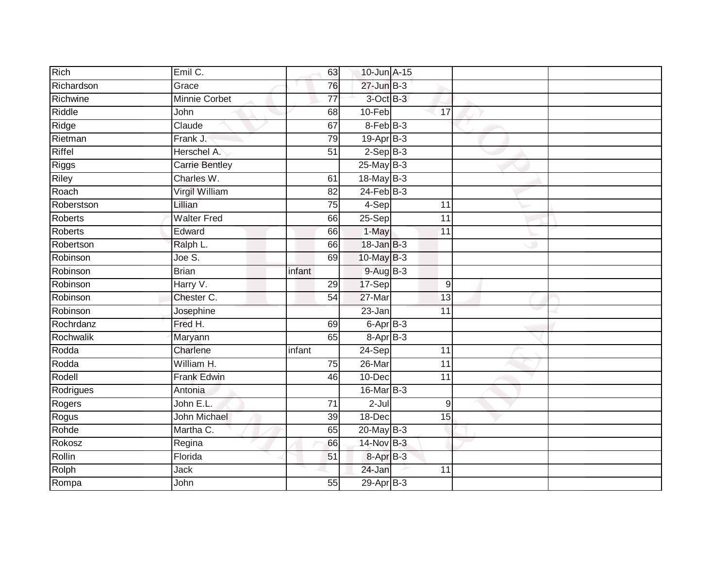| Rich           | Emil C.               | 63              | 10-Jun A-15              |                 |  |
|----------------|-----------------------|-----------------|--------------------------|-----------------|--|
| Richardson     | Grace                 | 76              | $27 - Jun$ $B-3$         |                 |  |
| Richwine       | <b>Minnie Corbet</b>  | $\overline{77}$ | $3$ -Oct $B-3$           |                 |  |
| Riddle         | John                  | 68              | 10-Feb                   | 17              |  |
| Ridge          | Claude                | 67              | 8-Feb B-3                |                 |  |
| Rietman        | Frank J.              | 79              | $19-AprB-3$              |                 |  |
| Riffel         | Herschel A.           | 51              | $2-Sep$ B-3              |                 |  |
| <b>Riggs</b>   | <b>Carrie Bentley</b> |                 | $25$ -May B-3            |                 |  |
| Riley          | Charles W.            | 61              | 18-May B-3               |                 |  |
| Roach          | Virgil William        | $\overline{82}$ | $24$ -Feb $B-3$          |                 |  |
| Roberstson     | Lillian               | 75              | 4-Sep                    | 11              |  |
| <b>Roberts</b> | <b>Walter Fred</b>    | 66              | $25-Sep$                 | 11              |  |
| <b>Roberts</b> | Edward                | 66              | 1-May                    | 11              |  |
| Robertson      | Ralph L.              | 66              | $18 - Jan$ $B-3$         |                 |  |
| Robinson       | Joe S.                | 69              | 10-May B-3               |                 |  |
| Robinson       | <b>Brian</b>          | infant          | $9-AugB-3$               |                 |  |
| Robinson       | Harry V.              | 29              | 17-Sep                   | $9\,$           |  |
| Robinson       | Chester C.            | 54              | 27-Mar                   | 13              |  |
| Robinson       | Josephine             |                 | 23-Jan                   | 11              |  |
| Rochrdanz      | Fred H.               | 69              | $6 - \overline{Apr}$ B-3 |                 |  |
| Rochwalik      | Maryann               | 65              | $8 - AprB - 3$           |                 |  |
| Rodda          | Charlene              | infant          | 24-Sep                   | 11              |  |
| Rodda          | William H.            | $\overline{75}$ | 26-Mar                   | $\overline{11}$ |  |
| Rodell         | <b>Frank Edwin</b>    | 46              | $10 - Dec$               | 11              |  |
| Rodrigues      | Antonia               |                 | 16-Mar B-3               |                 |  |
| Rogers         | John E.L.             | 71              | $2-Jul$                  | 9               |  |
| Rogus          | <b>John Michael</b>   | 39              | 18-Dec                   | 15              |  |
| Rohde          | Martha C.             | 65              | $20$ -May B-3            |                 |  |
| Rokosz         | Regina                | 66              | 14-Nov B-3               |                 |  |
| Rollin         | Florida               | 51              | 8-Apr B-3                |                 |  |
| Rolph          | Jack                  |                 | 24-Jan                   | 11              |  |
| Rompa          | John                  | $\overline{55}$ | 29-Apr <sub>B-3</sub>    |                 |  |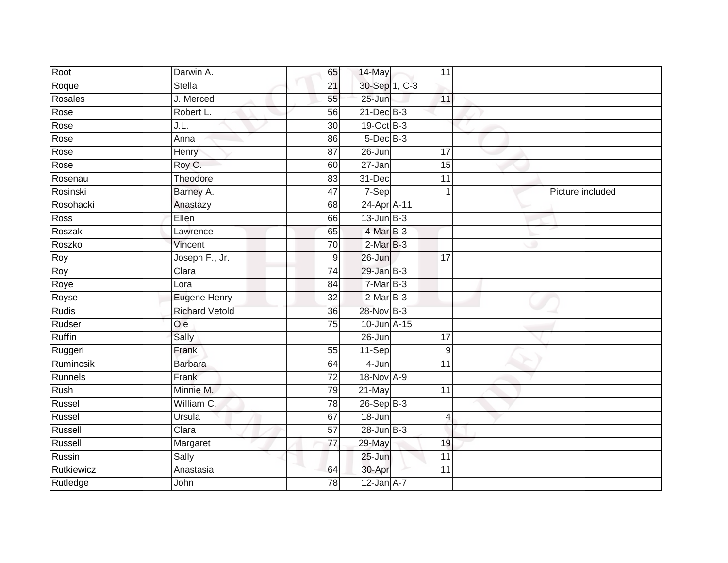| Root          | Darwin A.             | 65              | 14-May          | 11              |                  |
|---------------|-----------------------|-----------------|-----------------|-----------------|------------------|
| Roque         | Stella                | 21              | 30-Sep 1, C-3   |                 |                  |
| Rosales       | J. Merced             | 55              | $25 - Jun$      | 11              |                  |
| Rose          | Robert L.             | 56              | 21-Dec B-3      |                 |                  |
| Rose          | J.L.                  | $\overline{30}$ | 19-Oct B-3      |                 |                  |
| Rose          | Anna                  | 86              | $5$ -Dec $B$ -3 |                 |                  |
| Rose          | Henry                 | 87              | 26-Jun          | 17              |                  |
| Rose          | Roy C.                | 60              | $27 - Jan$      | 15              |                  |
| Rosenau       | Theodore              | 83              | 31-Dec          | $\overline{11}$ |                  |
| Rosinski      | Barney A.             | 47              | 7-Sep           | 1               | Picture included |
| Rosohacki     | Anastazy              | 68              | 24-Apr A-11     |                 |                  |
| Ross          | Ellen                 | 66              | $13$ -Jun $B-3$ |                 |                  |
| Roszak        | Lawrence              | 65              | $4$ -Mar $B-3$  |                 |                  |
| Roszko        | Vincent               | 70              | $2-MarB-3$      |                 |                  |
| <b>Roy</b>    | Joseph F., Jr.        | 9               | 26-Jun          | $\overline{17}$ |                  |
| Roy           | Clara                 | 74              | $29$ -Jan $B-3$ |                 |                  |
| Roye          | Lora                  | $\overline{84}$ | $7-MarB-3$      |                 |                  |
| Royse         | <b>Eugene Henry</b>   | 32              | $2-MarB-3$      |                 |                  |
| <b>Rudis</b>  | <b>Richard Vetold</b> | 36              | 28-Nov B-3      |                 |                  |
| Rudser        | Ole                   | $\overline{75}$ | 10-Jun A-15     |                 |                  |
| <b>Ruffin</b> | Sally                 |                 | $26 - Jun$      | $\overline{17}$ |                  |
| Ruggeri       | Frank                 | 55              | 11-Sep          | 9               |                  |
| Rumincsik     | <b>Barbara</b>        | 64              | 4-Jun           | $\overline{11}$ |                  |
| Runnels       | Frank                 | 72              | 18-Nov A-9      |                 |                  |
| Rush          | Minnie M.             | 79              | 21-May          | 11              |                  |
| Russel        | William C.            | 78              | $26-SepB-3$     |                 |                  |
| Russel        | Ursula                | 67              | $18 - Jun$      | $\overline{4}$  |                  |
| Russell       | Clara                 | $\overline{57}$ | $28$ -Jun $B-3$ |                 |                  |
| Russell       | Margaret              | 77              | 29-May          | 19              |                  |
| Russin        | Sally                 |                 | 25-Jun          | 11              |                  |
| Rutkiewicz    | Anastasia             | 64              | 30-Apr          | 11              |                  |
| Rutledge      | John                  | $\overline{78}$ | $12$ -Jan $A-7$ |                 |                  |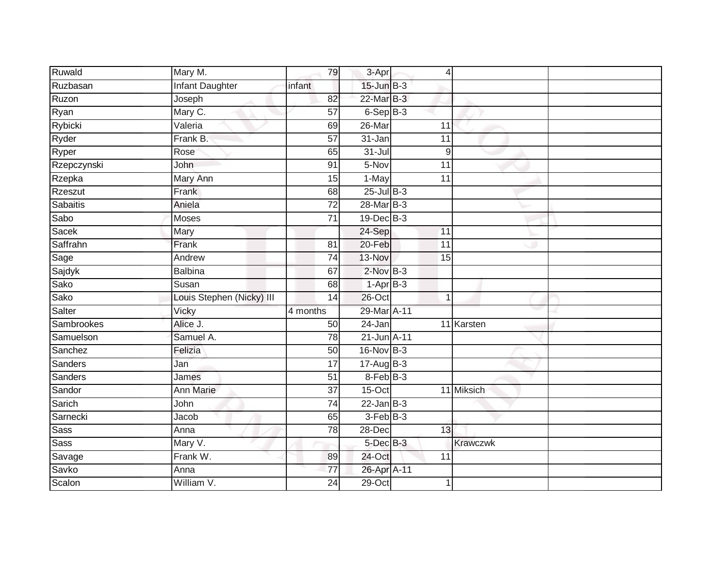| Ruwald      | Mary M.                   | 79              | 3-Apr           | $\overline{4}$  |  |
|-------------|---------------------------|-----------------|-----------------|-----------------|--|
| Ruzbasan    | <b>Infant Daughter</b>    | infant          | $15$ -Jun $B-3$ |                 |  |
| Ruzon       | Joseph                    | $\overline{82}$ | 22-Mar B-3      |                 |  |
| Ryan        | Mary C.                   | 57              | $6-Sep$ B-3     |                 |  |
| Rybicki     | Valeria                   | 69              | 26-Mar          | $\overline{11}$ |  |
| Ryder       | Frank B.                  | $\overline{57}$ | 31-Jan          | 11              |  |
| Ryper       | Rose                      | 65              | $31 -$ Jul      | 9               |  |
| Rzepczynski | John                      | 91              | 5-Nov           | 11              |  |
| Rzepka      | Mary Ann                  | 15              | 1-May           | 11              |  |
| Rzeszut     | Frank                     | 68              | $25$ -Jul $B-3$ |                 |  |
| Sabaitis    | Aniela                    | $\overline{72}$ | 28-Mar B-3      |                 |  |
| Sabo        | <b>Moses</b>              | $\overline{71}$ | 19-Dec B-3      |                 |  |
| Sacek       | Mary                      |                 | 24-Sep          | 11              |  |
| Saffrahn    | Frank                     | 81              | 20-Feb          | $\overline{11}$ |  |
| Sage        | Andrew                    | $\overline{74}$ | 13-Nov          | $\overline{15}$ |  |
| Sajdyk      | <b>Balbina</b>            | 67              | $2$ -Nov $B-3$  |                 |  |
| Sako        | Susan                     | 68              | $1-AprB-3$      |                 |  |
| Sako        | Louis Stephen (Nicky) III | 14              | 26-Oct          | $\mathbf 1$     |  |
| Salter      | Vicky                     | 4 months        | 29-Mar A-11     |                 |  |
| Sambrookes  | Alice J.                  | 50              | 24-Jan          | 11 Karsten      |  |
| Samuelson   | Samuel A.                 | 78              | 21-Jun A-11     |                 |  |
| Sanchez     | Felizia                   | 50              | 16-Nov B-3      |                 |  |
| Sanders     | Jan                       | $\overline{17}$ | $17 - Aug$ B-3  |                 |  |
| Sanders     | James                     | $\overline{51}$ | 8-Feb B-3       |                 |  |
| Sandor      | Ann Marie                 | 37              | 15-Oct          | 11 Miksich      |  |
| Sarich      | John                      | 74              | $22$ -Jan B-3   |                 |  |
| Sarnecki    | Jacob                     | 65              | 3-Feb B-3       |                 |  |
| <b>Sass</b> | Anna                      | 78              | 28-Dec          | 13              |  |
| <b>Sass</b> | Mary V.                   |                 | 5-Dec B-3       | <b>Krawczwk</b> |  |
| Savage      | Frank W.                  | 89              | 24-Oct          | 11              |  |
| Savko       | Anna                      | $\overline{77}$ | 26-Apr A-11     |                 |  |
| Scalon      | William V.                | $\overline{24}$ | $29$ -Oct       |                 |  |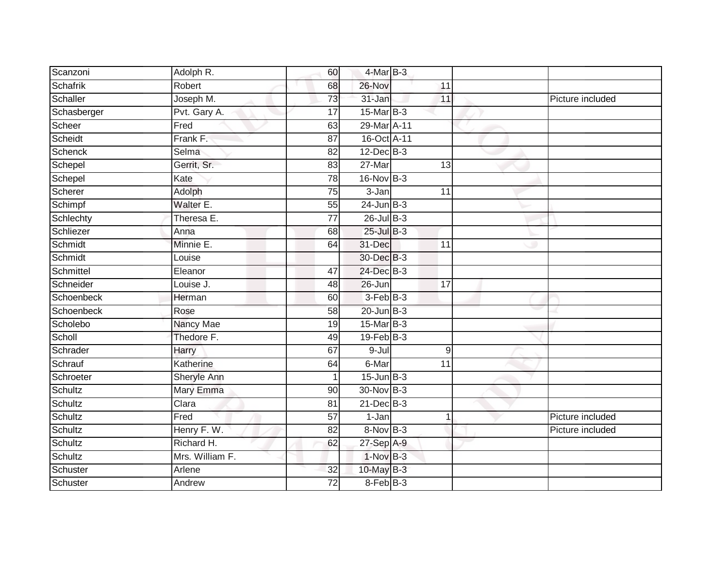| Scanzoni        | Adolph R.       | 60              | 4-Mar B-3       |                 |                  |
|-----------------|-----------------|-----------------|-----------------|-----------------|------------------|
| <b>Schafrik</b> | Robert          | 68              | 26-Nov          | 11              |                  |
| Schaller        | Joseph M.       | 73              | 31-Jan          | 11              | Picture included |
| Schasberger     | Pvt. Gary A.    | 17              | 15-Mar B-3      |                 |                  |
| Scheer          | Fred            | 63              | 29-Mar A-11     |                 |                  |
| Scheidt         | Frank F.        | 87              | 16-Oct A-11     |                 |                  |
| Schenck         | Selma           | 82              | $12$ -Dec $B-3$ |                 |                  |
| Schepel         | Gerrit, Sr.     | 83              | 27-Mar          | 13              |                  |
| Schepel         | Kate            | 78              | $16$ -Nov $B-3$ |                 |                  |
| Scherer         | Adolph          | 75              | $3 - Jan$       | $\overline{11}$ |                  |
| Schimpf         | Walter E.       | 55              | $24$ -Jun $B-3$ |                 |                  |
| Schlechty       | Theresa E.      | $\overline{77}$ | $26$ -Jul $B-3$ |                 |                  |
| Schliezer       | Anna            | 68              | $25$ -Jul B-3   |                 |                  |
| Schmidt         | Minnie E.       | 64              | 31-Dec          | 11              |                  |
| Schmidt         | Louise          |                 | 30-Dec B-3      |                 |                  |
| Schmittel       | Eleanor         | 47              | 24-Dec B-3      |                 |                  |
| Schneider       | Louise J.       | 48              | 26-Jun          | $\overline{17}$ |                  |
| Schoenbeck      | Herman          | 60              | $3-Feb$ $B-3$   |                 |                  |
| Schoenbeck      | Rose            | 58              | $20$ -Jun $B-3$ |                 |                  |
| Scholebo        | Nancy Mae       | 19              | $15$ -Mar $B-3$ |                 |                  |
| Scholl          | Thedore F.      | 49              | $19$ -Feb $B-3$ |                 |                  |
| Schrader        | Harry           | 67              | $9 -$ Jul       | 9               |                  |
| Schrauf         | Katherine       | 64              | 6-Mar           | 11              |                  |
| Schroeter       | Sheryle Ann     | 1               | $15$ -Jun $B-3$ |                 |                  |
| Schultz         | Mary Emma       | 90              | 30-Nov B-3      |                 |                  |
| Schultz         | Clara           | 81              | $21$ -Dec $B-3$ |                 |                  |
| Schultz         | Fred            | $\overline{57}$ | 1-Jan           |                 | Picture included |
| Schultz         | Henry F. W.     | 82              | 8-Nov B-3       |                 | Picture included |
| Schultz         | Richard H.      | 62              | 27-Sep A-9      |                 |                  |
| Schultz         | Mrs. William F. |                 | $1-NovB-3$      |                 |                  |
| Schuster        | Arlene          | 32              | 10-May B-3      |                 |                  |
| Schuster        | Andrew          | $\overline{72}$ | $8-Feb$ $B-3$   |                 |                  |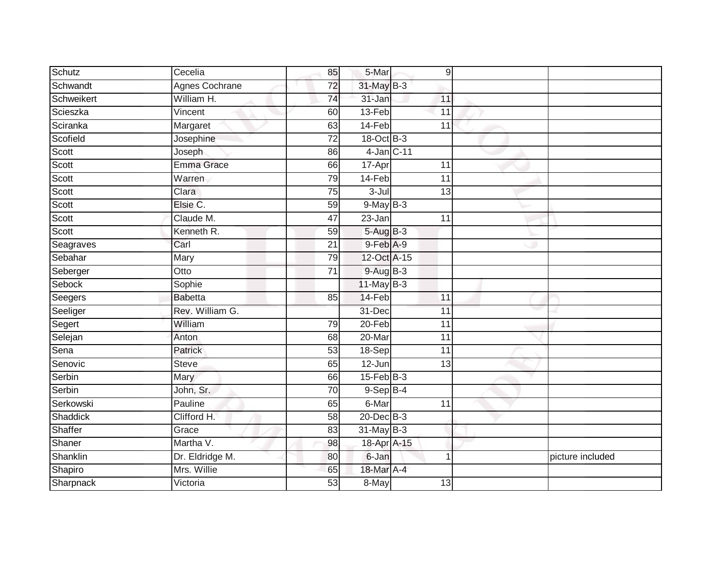| Schutz     | Cecelia               | 85              | 5-Mar            | 9               |                  |
|------------|-----------------------|-----------------|------------------|-----------------|------------------|
| Schwandt   | <b>Agnes Cochrane</b> | $\overline{72}$ | 31-May B-3       |                 |                  |
| Schweikert | William H.            | 74              | $31 - Jan$       | 11              |                  |
| Scieszka   | Vincent               | 60              | 13-Feb           | 11              |                  |
| Sciranka   | Margaret              | 63              | 14-Feb           | 11              |                  |
| Scofield   | Josephine             | $\overline{72}$ | 18-Oct B-3       |                 |                  |
| Scott      | Joseph                | 86              | 4-Jan C-11       |                 |                  |
| Scott      | <b>Emma Grace</b>     | 66              | 17-Apr           | 11              |                  |
| Scott      | Warren                | 79              | 14-Feb           | 11              |                  |
| Scott      | Clara                 | 75              | 3-Jul            | $\overline{13}$ |                  |
| Scott      | Elsie C.              | 59              | $9$ -May $B-3$   |                 |                  |
| Scott      | Claude M.             | 47              | 23-Jan           | 11              |                  |
| Scott      | Kenneth R.            | 59              | $5-AugB-3$       |                 |                  |
| Seagraves  | Carl                  | 21              | $9$ -Feb $A-9$   |                 |                  |
| Sebahar    | Mary                  | 79              | 12-Oct A-15      |                 |                  |
| Seberger   | Otto                  | $\overline{71}$ | 9-Aug B-3        |                 |                  |
| Sebock     | Sophie                |                 | $11$ -May B-3    |                 |                  |
| Seegers    | <b>Babetta</b>        | 85              | 14-Feb           | 11              |                  |
| Seeliger   | Rev. William G.       |                 | 31-Dec           | 11              |                  |
| Segert     | William               | 79              | $20$ -Feb        | $\overline{11}$ |                  |
| Selejan    | Anton                 | 68              | 20-Mar           | 11              |                  |
| Sena       | Patrick               | 53              | 18-Sep           | $\overline{11}$ |                  |
| Senovic    | Steve                 | 65              | 12-Jun           | 13              |                  |
| Serbin     | Mary                  | 66              | $15$ -Feb $B$ -3 |                 |                  |
| Serbin     | John, Sr.             | 70              | $9-$ Sep $B-4$   |                 |                  |
| Serkowski  | Pauline               | 65              | 6-Mar            | $\overline{11}$ |                  |
| Shaddick   | Clifford H.           | 58              | $20$ -Dec $B-3$  |                 |                  |
| Shaffer    | Grace                 | 83              | $31$ -May B-3    |                 |                  |
| Shaner     | Martha V.             | 98              | 18-Apr A-15      |                 |                  |
| Shanklin   | Dr. Eldridge M.       | 80              | 6-Jan            | 1               | picture included |
| Shapiro    | Mrs. Willie           | 65              | 18-Mar A-4       |                 |                  |
| Sharpnack  | Victoria              | 53              | 8-May            | 13              |                  |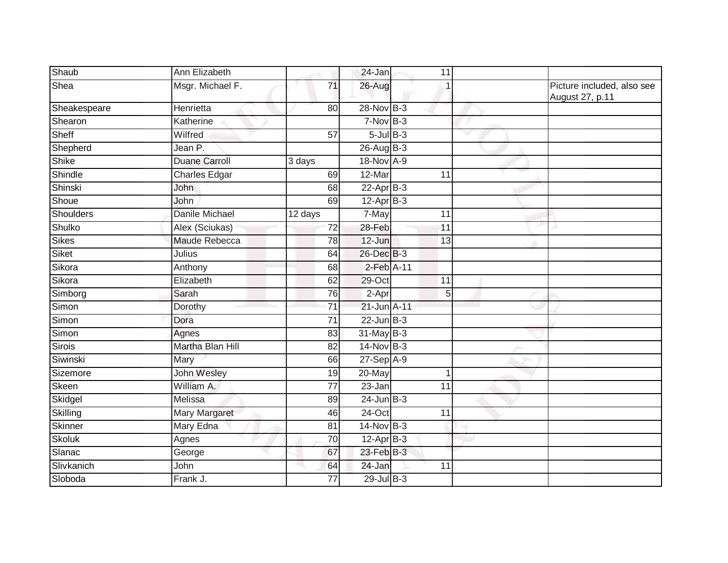| Shaub        | Ann Elizabeth         |                 | 24-Jan          | 11 |                                               |
|--------------|-----------------------|-----------------|-----------------|----|-----------------------------------------------|
| Shea         | Msgr. Michael F.      | 71              | 26-Aug          |    | Picture included, also see<br>August 27, p.11 |
| Sheakespeare | Henrietta             | 80              | 28-Nov B-3      |    |                                               |
| Shearon      | Katherine             |                 | $7-Nov$ B-3     |    |                                               |
| Sheff        | Wilfred               | 57              | $5$ -Jul $B$ -3 |    |                                               |
| Shepherd     | Jean P.               |                 | $26$ -Aug B-3   |    |                                               |
| Shike        | <b>Duane Carroll</b>  | 3 days          | 18-Nov A-9      |    |                                               |
| Shindle      | <b>Charles Edgar</b>  | 69              | 12-Mar          | 11 |                                               |
| Shinski      | John                  | 68              | $22-Apr$ B-3    |    |                                               |
| Shoue        | John                  | 69              | $12-AprB-3$     |    |                                               |
| Shoulders    | <b>Danile Michael</b> | 12 days         | 7-May           | 11 |                                               |
| Shulko       | Alex (Sciukas)        | 72              | 28-Feb          | 11 |                                               |
| Sikes        | Maude Rebecca         | $\overline{78}$ | 12-Jun          | 13 |                                               |
| Siket        | Julius                | 64              | 26-Dec B-3      |    |                                               |
| Sikora       | Anthony               | 68              | 2-Feb A-11      |    |                                               |
| Sikora       | Elizabeth             | 62              | 29-Oct          | 11 |                                               |
| Simborg      | Sarah                 | 76              | 2-Apr           | 5  |                                               |
| Simon        | Dorothy               | $\overline{71}$ | 21-Jun A-11     |    |                                               |
| Simon        | Dora                  | 71              | $22$ -Jun $B-3$ |    |                                               |
| Simon        | Agnes                 | 83              | $31$ -May B-3   |    |                                               |
| Sirois       | Martha Blan Hill      | 82              | 14-Nov B-3      |    |                                               |
| Siwinski     | Mary                  | 66              | 27-Sep A-9      |    |                                               |
| Sizemore     | John Wesley           | 19              | 20-May          | 1  |                                               |
| Skeen        | William A.            | 77              | $23 - Jan$      | 11 |                                               |
| Skidgel      | Melissa               | 89              | $24$ -Jun $B-3$ |    |                                               |
| Skilling     | <b>Mary Margaret</b>  | 46              | $24$ -Oct       | 11 |                                               |
| Skinner      | Mary Edna             | $\overline{81}$ | $14-Nov$ B-3    |    |                                               |
| Skoluk       | Agnes                 | 70              | $12$ -Apr $B-3$ |    |                                               |
| Slanac       | George                | 67              | 23-Feb B-3      |    |                                               |
| Slivkanich   | John                  | 64              | 24-Jan          | 11 |                                               |
| Sloboda      | Frank J.              | 77              | $29$ -Jul B-3   |    |                                               |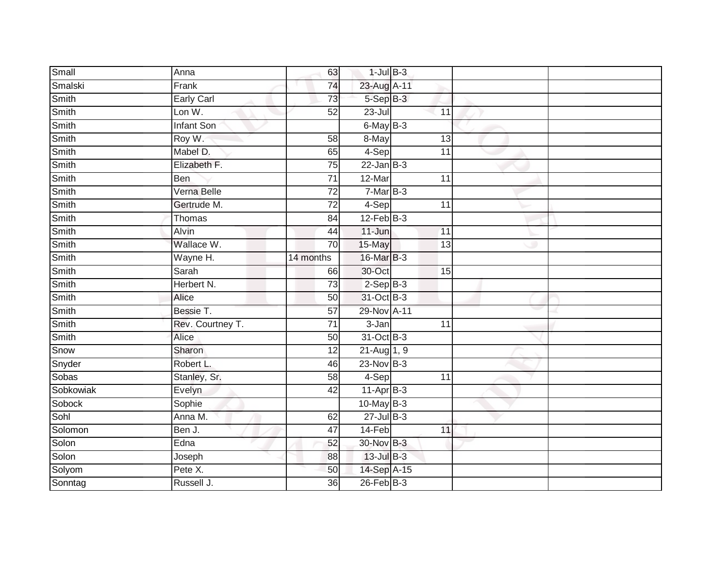| Small        | Anna              | 63              | $1$ -Jul $B-3$  |                 |  |
|--------------|-------------------|-----------------|-----------------|-----------------|--|
| Smalski      | Frank             | 74              | 23-Aug A-11     |                 |  |
| Smith        | Early Carl        | 73              | 5-Sep B-3       |                 |  |
| Smith        | Lon W.            | 52              | $23 -$ Jul      | 11              |  |
| Smith        | <b>Infant Son</b> |                 | 6-May B-3       |                 |  |
| Smith        | Roy W.            | 58              | 8-May           | 13              |  |
| <b>Smith</b> | Mabel D.          | 65              | $4-Sep$         | 11              |  |
| Smith        | Elizabeth F.      | 75              | $22$ -Jan $B-3$ |                 |  |
| Smith        | Ben               | 71              | $12-Mar$        | 11              |  |
| Smith        | Verna Belle       | $\overline{72}$ | $7-MarB-3$      |                 |  |
| Smith        | Gertrude M.       | 72              | 4-Sep           | $\overline{11}$ |  |
| Smith        | Thomas            | 84              | $12$ -Feb $B-3$ |                 |  |
| Smith        | Alvin             | 44              | $11 - Jun$      | 11              |  |
| Smith        | Wallace W.        | 70              | 15-May          | 13              |  |
| Smith        | Wayne H.          | 14 months       | 16-Mar B-3      |                 |  |
| Smith        | Sarah             | 66              | 30-Oct          | 15              |  |
| Smith        | Herbert N.        | $\overline{73}$ | $2-SepB-3$      |                 |  |
| Smith        | Alice             | 50              | 31-Oct B-3      |                 |  |
| Smith        | Bessie T.         | 57              | 29-Nov A-11     |                 |  |
| Smith        | Rev. Courtney T.  | 71              | $3 - Jan$       | $\overline{11}$ |  |
| Smith        | Alice             | 50              | 31-Oct B-3      |                 |  |
| Snow         | Sharon            | $\overline{12}$ | $21 - Aug$ 1, 9 |                 |  |
| Snyder       | Robert L.         | 46              | $23-Nov$ B-3    |                 |  |
| Sobas        | Stanley, Sr.      | 58              | 4-Sep           | $\overline{11}$ |  |
| Sobkowiak    | Evelyn            | 42              | $11-AprB-3$     |                 |  |
| Sobock       | Sophie            |                 | $10$ -May B-3   |                 |  |
| Sohl         | Anna M.           | 62              | $27$ -Jul $B-3$ |                 |  |
| Solomon      | Ben J.            | 47              | 14-Feb          | 11              |  |
| Solon        | Edna              | 52              | 30-Nov B-3      |                 |  |
| Solon        | Joseph            | 88              | 13-Jul B-3      |                 |  |
| Solyom       | Pete X.           | 50              | 14-Sep A-15     |                 |  |
| Sonntag      | Russell J.        | $\overline{36}$ | $26$ -Feb $B-3$ |                 |  |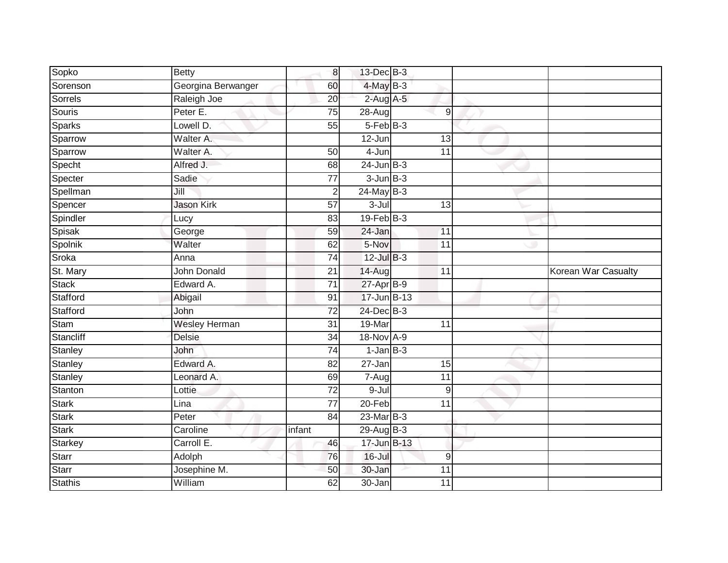| Sopko          | <b>Betty</b>         | 8 <sup>1</sup>  | 13-Dec B-3      |                  |                     |
|----------------|----------------------|-----------------|-----------------|------------------|---------------------|
| Sorenson       | Georgina Berwanger   | 60              | $4$ -May $B-3$  |                  |                     |
| Sorrels        | Raleigh Joe          | $\overline{20}$ | $2$ -Aug A-5    |                  |                     |
| Souris         | Peter E.             | 75              | 28-Aug          | $\boldsymbol{9}$ |                     |
| <b>Sparks</b>  | Lowell D.            | $\overline{55}$ | $5-FebB-3$      |                  |                     |
| Sparrow        | Walter A.            |                 | 12-Jun          | 13               |                     |
| Sparrow        | Walter A.            | 50              | 4-Jun           | 11               |                     |
| Specht         | Alfred J.            | 68              | $24$ -Jun $B-3$ |                  |                     |
| Specter        | Sadie                | 77              | $3$ -Jun $B-3$  |                  |                     |
| Spellman       | Jill                 | $\overline{2}$  | $24$ -May B-3   |                  |                     |
| Spencer        | Jason Kirk           | 57              | $3 -$ Jul       | 13               |                     |
| Spindler       | Lucy                 | 83              | $19$ -Feb $B-3$ |                  |                     |
| Spisak         | George               | 59              | 24-Jan          | 11               |                     |
| Spolnik        | Walter               | 62              | 5-Nov           | 11               |                     |
| Sroka          | Anna                 | 74              | $12$ -Jul $B-3$ |                  |                     |
| St. Mary       | <b>John Donald</b>   | 21              | $14 - Aug$      | 11               | Korean War Casualty |
| Stack          | Edward A.            | $\overline{71}$ | 27-Apr B-9      |                  |                     |
| Stafford       | Abigail              | 91              | 17-Jun B-13     |                  |                     |
| Stafford       | John                 | $\overline{72}$ | 24-Dec B-3      |                  |                     |
| Stam           | <b>Wesley Herman</b> | 31              | 19-Mar          | 11               |                     |
| Stancliff      | <b>Delsie</b>        | 34              | 18-Nov A-9      |                  |                     |
| <b>Stanley</b> | John                 | $\overline{74}$ | $1$ -Jan $B-3$  |                  |                     |
| Stanley        | Edward A.            | 82              | 27-Jan          | 15               |                     |
| Stanley        | Leonard A.           | 69              | 7-Aug           | 11               |                     |
| Stanton        | Lottie               | $\overline{72}$ | 9-Jul           | 9                |                     |
| Stark          | Lina                 | 77              | $20 - Feb$      | 11               |                     |
| <b>Stark</b>   | Peter                | 84              | 23-Mar B-3      |                  |                     |
| <b>Stark</b>   | Caroline             | infant          | 29-Aug B-3      |                  |                     |
| Starkey        | Carroll E.           | 46              | 17-Jun B-13     |                  |                     |
| Starr          | Adolph               | 76              | $16$ -Jul       | $\boldsymbol{9}$ |                     |
| Starr          | Josephine M.         | 50              | 30-Jan          | 11               |                     |
| <b>Stathis</b> | William              | 62              | $30 - Jan$      | $\overline{11}$  |                     |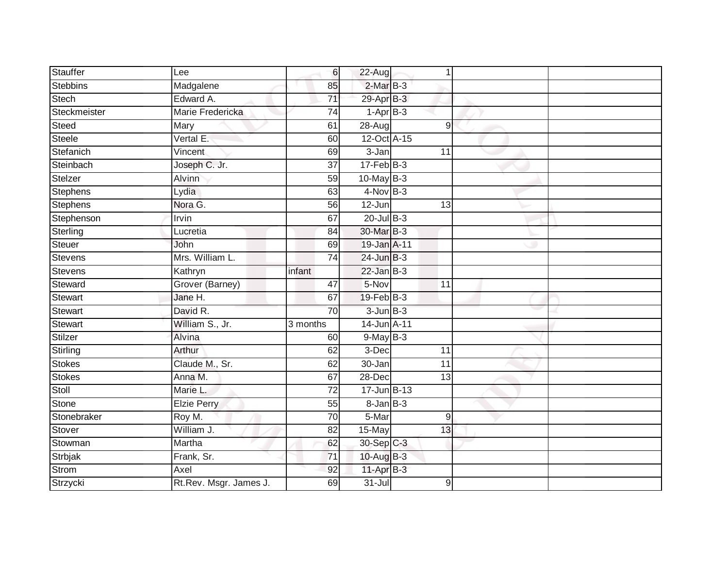| <b>Stauffer</b> | Lee                    | 6               | 22-Aug            | 1               |  |
|-----------------|------------------------|-----------------|-------------------|-----------------|--|
| <b>Stebbins</b> | Madgalene              | 85              | $2-MarB-3$        |                 |  |
| Stech           | Edward A.              | $\overline{71}$ | 29-Apr B-3        |                 |  |
| Steckmeister    | Marie Fredericka       | 74              | $1-Apr$ B-3       |                 |  |
| Steed           | Mary                   | 61              | 28-Aug            | 9               |  |
| Steele          | Vertal E.              | 60              | 12-Oct A-15       |                 |  |
| Stefanich       | Vincent                | 69              | 3-Jan             | 11              |  |
| Steinbach       | Joseph C. Jr.          | $\overline{37}$ | $17 - Feb$ $B-3$  |                 |  |
| Stelzer         | Alvinn                 | 59              | $10$ -May $B-3$   |                 |  |
| <b>Stephens</b> | Lydia                  | 63              | $4-Nov$ B-3       |                 |  |
| Stephens        | Nora G.                | 56              | 12-Jun            | 13              |  |
| Stephenson      | Irvin                  | 67              | $20$ -Jul $B-3$   |                 |  |
| Sterling        | Lucretia               | 84              | 30-Mar B-3        |                 |  |
| Steuer          | John                   | 69              | 19-Jan A-11       |                 |  |
| Stevens         | Mrs. William L.        | $\overline{74}$ | 24-Jun B-3        |                 |  |
| Stevens         | Kathryn                | infant          | $22$ -Jan $B-3$   |                 |  |
| Steward         | Grover (Barney)        | 47              | 5-Nov             | $\overline{11}$ |  |
| Stewart         | Jane H.                | 67              | $19$ -Feb $B-3$   |                 |  |
| <b>Stewart</b>  | David R.               | 70              | $3$ -Jun $B-3$    |                 |  |
| <b>Stewart</b>  | William S., Jr.        | 3 months        | 14-Jun A-11       |                 |  |
| Stilzer         | Alvina                 | 60              | $9$ -May $B-3$    |                 |  |
| Stirling        | Arthur                 | 62              | 3-Dec             | 11              |  |
| Stokes          | Claude M., Sr.         | 62              | 30-Jan            | 11              |  |
| Stokes          | Anna M.                | 67              | 28-Dec            | 13              |  |
| Stoll           | Marie L.               | 72              | 17-Jun B-13       |                 |  |
| Stone           | <b>Elzie Perry</b>     | 55              | $8 - Jan$ $B - 3$ |                 |  |
| Stonebraker     | Roy M.                 | $\overline{70}$ | 5-Mar             | 9               |  |
| Stover          | William J.             | 82              | 15-May            | 13              |  |
| Stowman         | Martha                 | 62              | 30-Sep C-3        |                 |  |
| Strbjak         | Frank, Sr.             | $\overline{71}$ | 10-Aug B-3        |                 |  |
| Strom           | Axel                   | 92              | $11-Apr$ B-3      |                 |  |
| Strzycki        | Rt.Rev. Msgr. James J. | 69              | $31 -$ Jul        | 9               |  |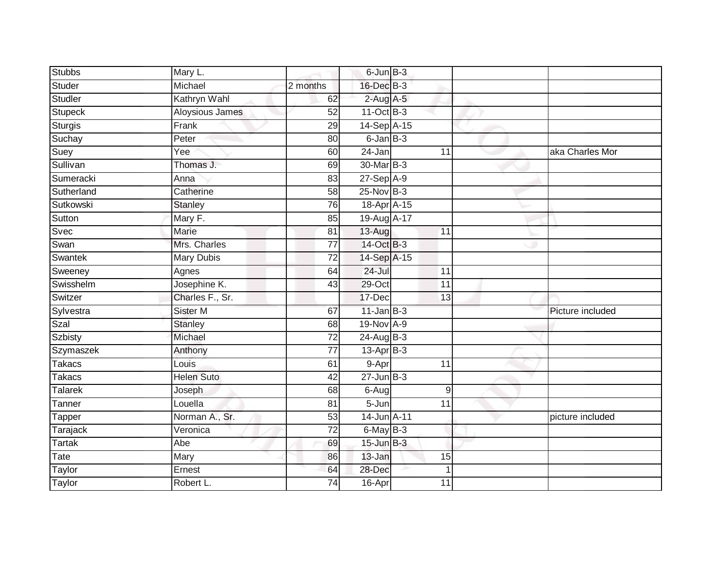| <b>Stubbs</b>  | Mary L.           |                 | 6-Jun B-3       |                 |                  |
|----------------|-------------------|-----------------|-----------------|-----------------|------------------|
| Studer         | Michael           | 2 months        | 16-Dec B-3      |                 |                  |
| Studler        | Kathryn Wahl      | 62              | $2$ -Aug A-5    |                 |                  |
| Stupeck        | Aloysious James   | 52              | 11-Oct B-3      |                 |                  |
| <b>Sturgis</b> | Frank             | 29              | 14-Sep A-15     |                 |                  |
| Suchay         | Peter             | 80              | $6$ -Jan $B$ -3 |                 |                  |
| Suey           | Yee               | 60              | 24-Jan          | 11              | aka Charles Mor  |
| Sullivan       | Thomas J.         | 69              | 30-Mar B-3      |                 |                  |
| Sumeracki      | Anna              | 83              | 27-Sep A-9      |                 |                  |
| Sutherland     | Catherine         | $\overline{58}$ | $25$ -Nov $B-3$ |                 |                  |
| Sutkowski      | <b>Stanley</b>    | 76              | 18-Apr A-15     |                 |                  |
| Sutton         | Mary F.           | 85              | 19-Aug A-17     |                 |                  |
| Svec           | Marie             | 81              | 13-Aug          | 11              |                  |
| Swan           | Mrs. Charles      | $\overline{77}$ | 14-Oct B-3      |                 |                  |
| Swantek        | <b>Mary Dubis</b> | $\overline{72}$ | 14-Sep A-15     |                 |                  |
| Sweeney        | Agnes             | 64              | 24-Jul          | 11              |                  |
| Swisshelm      | Josephine K.      | 43              | 29-Oct          | 11              |                  |
| Switzer        | Charles F., Sr.   |                 | 17-Dec          | 13              |                  |
| Sylvestra      | Sister M          | 67              | $11$ -Jan $B-3$ |                 | Picture included |
| Szal           | <b>Stanley</b>    | 68              | 19-Nov A-9      |                 |                  |
| Szbisty        | Michael           | $\overline{72}$ | $24$ -Aug B-3   |                 |                  |
| Szymaszek      | Anthony           | $\overline{77}$ | $13$ -Apr $B-3$ |                 |                  |
| <b>Takacs</b>  | Louis             | 61              | 9-Apr           | 11              |                  |
| Takacs         | <b>Helen Suto</b> | 42              | $27 - Jun$ B-3  |                 |                  |
| <b>Talarek</b> | Joseph            | 68              | $6-Aug$         | 9               |                  |
| Tanner         | Louella           | 81              | 5-Jun           | 11              |                  |
| Tapper         | Norman A., Sr.    | 53              | 14-Jun A-11     |                 | picture included |
| Tarajack       | Veronica          | 72              | 6-May B-3       |                 |                  |
| <b>Tartak</b>  | Abe               | 69              | $15$ -Jun $B-3$ |                 |                  |
| Tate           | Mary              | 86              | 13-Jan          | 15              |                  |
| Taylor         | Ernest            | 64              | 28-Dec          |                 |                  |
| Taylor         | Robert L.         | $\overline{74}$ | 16-Apr          | $\overline{11}$ |                  |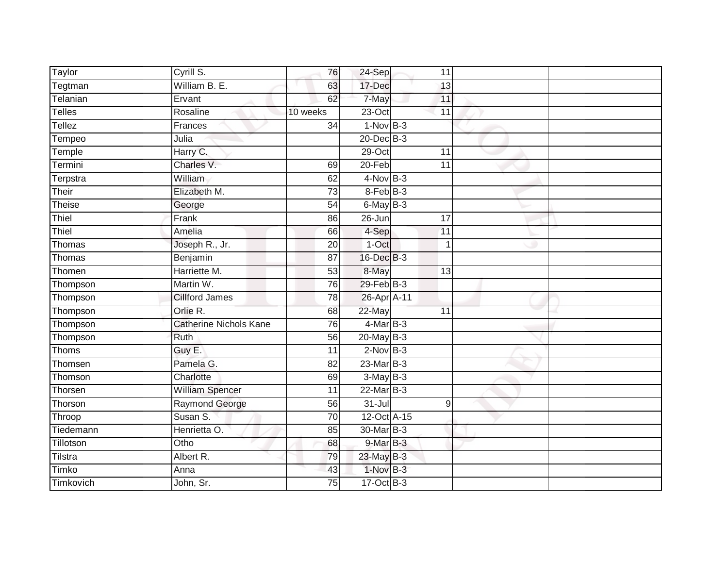| Taylor    | Cyrill S.                     | 76              | 24-Sep          | 11              |  |
|-----------|-------------------------------|-----------------|-----------------|-----------------|--|
| Tegtman   | William B. E.                 | 63              | 17-Dec          | 13              |  |
| Telanian  | Ervant                        | 62              | 7-May           | 11              |  |
| Telles    | Rosaline                      | 10 weeks        | $23-Oct$        | $\overline{11}$ |  |
| Tellez    | Frances                       | $\overline{34}$ | $1-NovB-3$      |                 |  |
| Tempeo    | Julia                         |                 | $20$ -Dec $B-3$ |                 |  |
| Temple    | Harry C.                      |                 | 29-Oct          | 11              |  |
| Termini   | Charles V.                    | 69              | 20-Feb          | 11              |  |
| Terpstra  | William                       | 62              | $4$ -Nov B-3    |                 |  |
| Their     | Elizabeth M.                  | $\overline{73}$ | $8-FebB-3$      |                 |  |
| Theise    | George                        | $\overline{54}$ | $6$ -May $B-3$  |                 |  |
| Thiel     | Frank                         | 86              | $26 - Jun$      | $\overline{17}$ |  |
| Thiel     | Amelia                        | 66              | 4-Sep           | $\overline{11}$ |  |
| Thomas    | Joseph R., Jr.                | 20              | 1-Oct           | $\mathbf{1}$    |  |
| Thomas    | Benjamin                      | $\overline{87}$ | 16-Dec B-3      |                 |  |
| Thomen    | Harriette M.                  | 53              | 8-May           | 13              |  |
| Thompson  | Martin W.                     | 76              | 29-Feb B-3      |                 |  |
| Thompson  | <b>Cillford James</b>         | 78              | 26-Apr A-11     |                 |  |
| Thompson  | Orlie R.                      | 68              | 22-May          | 11              |  |
| Thompson  | <b>Catherine Nichols Kane</b> | 76              | $4$ -Mar B-3    |                 |  |
| Thompson  | <b>Ruth</b>                   | 56              | 20-May B-3      |                 |  |
| Thoms     | Guy E.                        | $\overline{11}$ | $2$ -Nov $B-3$  |                 |  |
| Thomsen   | Pamela G.                     | $\overline{82}$ | 23-Mar B-3      |                 |  |
| Thomson   | Charlotte                     | 69              | $3-MayB-3$      |                 |  |
| Thorsen   | <b>William Spencer</b>        | 11              | 22-Mar B-3      |                 |  |
| Thorson   | <b>Raymond George</b>         | 56              | $31 -$ Jul      | $\overline{9}$  |  |
| Throop    | Susan S.                      | 70              | 12-Oct A-15     |                 |  |
| Tiedemann | Henrietta O.                  | 85              | 30-Mar B-3      |                 |  |
| Tillotson | Otho                          | 68              | 9-Mar B-3       |                 |  |
| Tilstra   | Albert R.                     | 79              | 23-May B-3      |                 |  |
| Timko     | Anna                          | 43              | $1-Nov$ B-3     |                 |  |
| Timkovich | John, Sr.                     | $\overline{75}$ | $17-Oct$ B-3    |                 |  |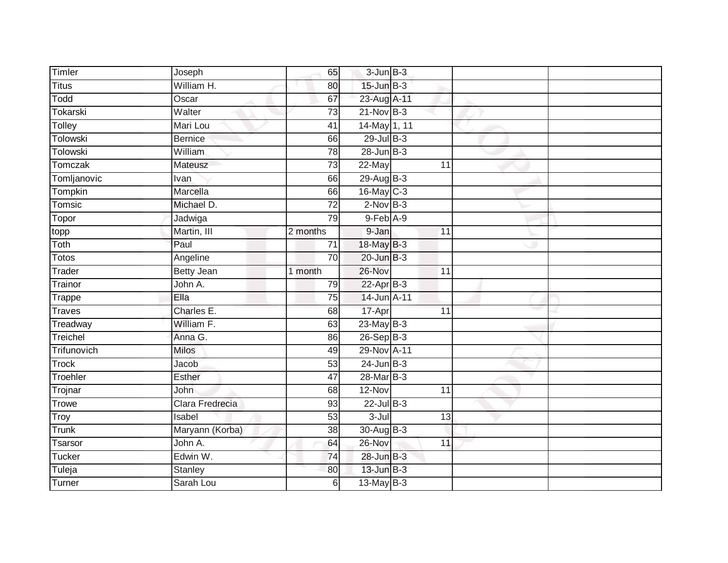| Timler         | Joseph            | 65              | $3$ -Jun $B-3$  |                 |  |
|----------------|-------------------|-----------------|-----------------|-----------------|--|
| <b>Titus</b>   | William H.        | 80              | $15$ -Jun $B-3$ |                 |  |
| Todd           | Oscar             | 67              | 23-Aug A-11     |                 |  |
| Tokarski       | Walter            | 73              | $21-Nov$ B-3    |                 |  |
| Tolley         | Mari Lou          | 41              | 14-May 1, 11    |                 |  |
| Tolowski       | <b>Bernice</b>    | 66              | 29-Jul B-3      |                 |  |
| Tolowski       | William           | 78              | $28$ -Jun $B-3$ |                 |  |
| Tomczak        | Mateusz           | 73              | 22-May          | 11              |  |
| Tomljanovic    | Ivan              | 66              | 29-Aug B-3      |                 |  |
| <b>Tompkin</b> | Marcella          | 66              | 16-May C-3      |                 |  |
| Tomsic         | Michael D.        | $\overline{72}$ | $2$ -Nov $B-3$  |                 |  |
| Topor          | Jadwiga           | 79              | $9$ -Feb $A-9$  |                 |  |
| topp           | Martin, III       | 2 months        | 9-Jan           | 11              |  |
| Toth           | Paul              | $\overline{71}$ | 18-May B-3      |                 |  |
| Totos          | Angeline          | 70              | $20$ -Jun $B-3$ |                 |  |
| Trader         | <b>Betty Jean</b> | 1 month         | $26 - Nov$      | $\overline{11}$ |  |
| Trainor        | John A.           | 79              | $22-AprB-3$     |                 |  |
| Trappe         | Ella              | 75              | 14-Jun A-11     |                 |  |
| <b>Traves</b>  | Charles E.        | 68              | 17-Apr          | 11              |  |
| Treadway       | William F.        | 63              | 23-May B-3      |                 |  |
| Treichel       | Anna G.           | 86              | $26-SepB-3$     |                 |  |
| Trifunovich    | <b>Milos</b>      | 49              | 29-Nov A-11     |                 |  |
| <b>Trock</b>   | Jacob             | 53              | $24$ -Jun B-3   |                 |  |
| Troehler       | <b>Esther</b>     | 47              | 28-Mar B-3      |                 |  |
| Trojnar        | John              | 68              | 12-Nov          | 11              |  |
| <b>Trowe</b>   | Clara Fredrecia   | 93              | $22$ -Jul $B-3$ |                 |  |
| Troy           | Isabel            | 53              | $3 -$ Jul       | 13              |  |
| Trunk          | Maryann (Korba)   | 38              | 30-Aug B-3      |                 |  |
| <b>Tsarsor</b> | John A.           | 64              | 26-Nov          | 11              |  |
| <b>Tucker</b>  | Edwin W.          | 74              | 28-Jun B-3      |                 |  |
| Tuleja         | Stanley           | 80              | 13-Jun B-3      |                 |  |
| Turner         | Sarah Lou         | $6 \mid$        | 13-May B-3      |                 |  |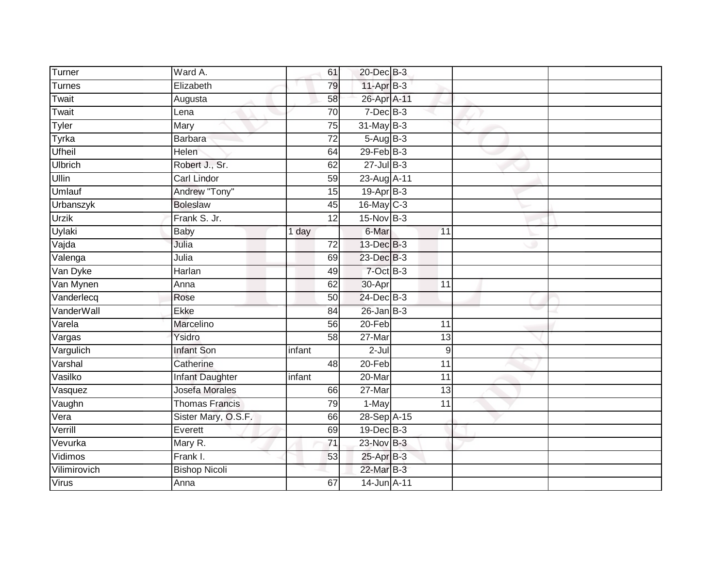| Turner         | Ward A.               |        | 61              | 20-Dec B-3      |                 |  |
|----------------|-----------------------|--------|-----------------|-----------------|-----------------|--|
| Turnes         | Elizabeth             |        | 79              | 11-Apr B-3      |                 |  |
| Twait          | Augusta               |        | 58              | 26-Apr A-11     |                 |  |
| Twait          | Lena                  |        | 70              | $7$ -Dec $B-3$  |                 |  |
| Tyler          | Mary                  |        | 75              | $31$ -May B-3   |                 |  |
| Tyrka          | <b>Barbara</b>        |        | $\overline{72}$ | 5-Aug B-3       |                 |  |
| <b>Ufheil</b>  | Helen                 |        | 64              | $29$ -Feb $B-3$ |                 |  |
| <b>Ulbrich</b> | Robert J., Sr.        |        | 62              | $27 -$ Jul B-3  |                 |  |
| Ullin          | Carl Lindor           |        | 59              | 23-Aug A-11     |                 |  |
| Umlauf         | Andrew "Tony"         |        | 15              | 19-Apr B-3      |                 |  |
| Urbanszyk      | <b>Boleslaw</b>       |        | 45              | 16-May C-3      |                 |  |
| <b>Urzik</b>   | Frank S. Jr.          |        | 12              | 15-Nov B-3      |                 |  |
| Uylaki         | Baby                  | 1 day  |                 | 6-Mar           | $\overline{11}$ |  |
| Vajda          | Julia                 |        | 72              | 13-Dec B-3      |                 |  |
| Valenga        | Julia                 |        | 69              | 23-Dec B-3      |                 |  |
| Van Dyke       | Harlan                |        | 49              | 7-Oct B-3       |                 |  |
| Van Mynen      | Anna                  |        | 62              | 30-Apr          | $\overline{11}$ |  |
| Vanderlecq     | Rose                  |        | 50              | 24-Dec B-3      |                 |  |
| VanderWall     | Ekke                  |        | 84              | $26$ -Jan B-3   |                 |  |
| Varela         | Marcelino             |        | 56              | $20$ -Feb       | $\overline{11}$ |  |
| Vargas         | Ysidro                |        | 58              | 27-Mar          | 13              |  |
| Vargulich      | <b>Infant Son</b>     | infant |                 | $2 -$ Jul       | 9               |  |
| Varshal        | Catherine             |        | 48              | 20-Feb          | 11              |  |
| Vasilko        | Infant Daughter       | infant |                 | 20-Mar          | 11              |  |
| Vasquez        | <b>Josefa Morales</b> |        | 66              | 27-Mar          | 13              |  |
| Vaughn         | <b>Thomas Francis</b> |        | 79              | $1-May$         | $\overline{11}$ |  |
| Vera           | Sister Mary, O.S.F.   |        | 66              | 28-Sep A-15     |                 |  |
| Verrill        | Everett               |        | 69              | 19-Dec B-3      |                 |  |
| Vevurka        | Mary R.               |        | $\overline{71}$ | 23-Nov B-3      |                 |  |
| Vidimos        | Frank I.              |        | 53              | 25-Apr B-3      |                 |  |
| Vilimirovich   | <b>Bishop Nicoli</b>  |        |                 | 22-Mar B-3      |                 |  |
| Virus          | Anna                  |        | 67              | 14-Jun A-11     |                 |  |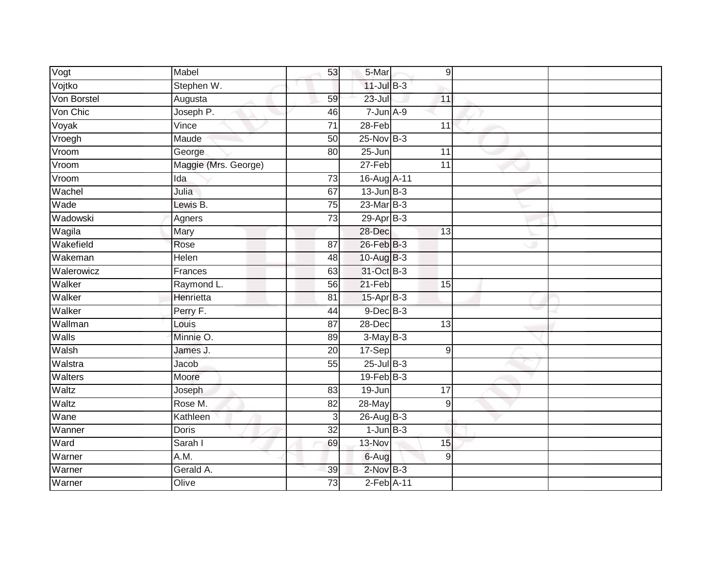| Vogt        | Mabel                | 53              | 5-Mar                      |                 | 9 |  |
|-------------|----------------------|-----------------|----------------------------|-----------------|---|--|
| Vojtko      | Stephen W.           |                 | $11$ -Jul B-3              |                 |   |  |
| Von Borstel | Augusta              | 59              | $23 -$ Jul                 | 11              |   |  |
| Von Chic    | Joseph P.            | 46              | $7 - Jun A - 9$            |                 |   |  |
| Voyak       | Vince                | $\overline{71}$ | $28-Feb$                   | 11              |   |  |
| Vroegh      | Maude                | 50              | 25-Nov B-3                 |                 |   |  |
| Vroom       | George               | 80              | $25 - Jun$                 | 11              |   |  |
| Vroom       | Maggie (Mrs. George) |                 | 27-Feb                     | 11              |   |  |
| Vroom       | Ida                  | $\overline{73}$ | 16-Aug A-11                |                 |   |  |
| Wachel      | Julia                | 67              | $13$ -Jun $B-3$            |                 |   |  |
| Wade        | Lewis B.             | 75              | $23$ -Mar $B-3$            |                 |   |  |
| Wadowski    | Agners               | 73              | $29-Apr$ B-3               |                 |   |  |
| Wagila      | Mary                 |                 | $28 - Dec$                 | 13              |   |  |
| Wakefield   | Rose                 | 87              | 26-Feb B-3                 |                 |   |  |
| Wakeman     | <b>Helen</b>         | 48              | 10-Aug B-3                 |                 |   |  |
| Walerowicz  | Frances              | 63              | 31-Oct B-3                 |                 |   |  |
| Walker      | Raymond L.           | 56              | $21-Feb$                   | 15              |   |  |
| Walker      | Henrietta            | 81              | 15-Apr B-3                 |                 |   |  |
| Walker      | Perry F.             | 44              | $9$ -Dec $B$ -3            |                 |   |  |
| Wallman     | Louis                | $\overline{87}$ | $28 - Dec$                 | $\overline{13}$ |   |  |
| Walls       | Minnie O.            | 89              | $3-MayB-3$                 |                 |   |  |
| Walsh       | James J.             | 20              | 17-Sep                     |                 | 9 |  |
| Walstra     | Jacob                | 55              | $25$ -Jul $B-3$            |                 |   |  |
| Walters     | Moore                |                 | $19$ -Feb $ B-3 $          |                 |   |  |
| Waltz       | Joseph               | 83              | 19-Jun                     | 17              |   |  |
| Waltz       | Rose M.              | 82              | 28-May                     |                 | 9 |  |
| Wane        | Kathleen             | $\overline{3}$  | 26-Aug B-3                 |                 |   |  |
| Wanner      | <b>Doris</b>         | 32              | $1$ -Jun $B-3$             |                 |   |  |
| Ward        | Sarah I              | 69              | 13-Nov                     | 15              |   |  |
| Warner      | A.M.                 |                 | 6-Aug                      |                 | 9 |  |
| Warner      | Gerald A.            | 39              | $2$ -Nov $B-3$             |                 |   |  |
| Warner      | Olive                | 73              | $2$ -Feb $\overline{A-11}$ |                 |   |  |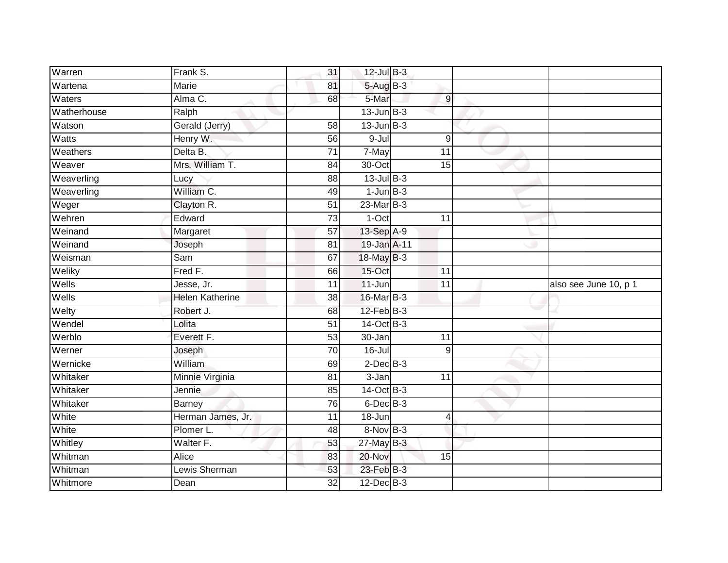| Warren                       | Frank S.               | 31                    | $12$ -Jul B-3            |                 |                       |
|------------------------------|------------------------|-----------------------|--------------------------|-----------------|-----------------------|
| Wartena                      | <b>Marie</b>           | 81                    | 5-Aug B-3                |                 |                       |
| Waters                       | Alma C.                | 68                    | 5-Mar                    | $\overline{9}$  |                       |
| Watherhouse                  | Ralph                  |                       | $13$ -Jun $B-3$          |                 |                       |
| Watson                       | Gerald (Jerry)         | $\overline{58}$       | $13$ -Jun $B-3$          |                 |                       |
| Watts                        | Henry W.               | 56                    | $9 -$ Jul                | $9\,$           |                       |
| Weathers                     | Delta B.               | $\overline{71}$       | 7-May                    | 11              |                       |
| Weaver                       | Mrs. William T.        | 84                    | 30-Oct                   | 15              |                       |
| Weaverling                   | Lucy                   | 88                    | $13$ -Jul $B-3$          |                 |                       |
| Weaverling                   | William C.             | 49                    | $1$ -Jun $B-3$           |                 |                       |
| Weger                        | Clayton R.             | 51                    | $23$ -Mar $B-3$          |                 |                       |
| Wehren                       | Edward                 | 73                    | 1-Oct                    | 11              |                       |
| Weinand                      | Margaret               | 57                    | 13-Sep A-9               |                 |                       |
| Weinand                      | Joseph                 | 81                    | 19-Jan A-11              |                 |                       |
| Weisman                      | Sam                    | 67                    | 18-May B-3               |                 |                       |
| Weliky                       | Fred F.                | 66                    | 15-Oct                   | 11              |                       |
|                              |                        |                       |                          |                 |                       |
| Wells                        | Jesse, Jr.             | $\overline{11}$       | $11 - Jun$               | $\overline{11}$ | also see June 10, p 1 |
|                              | <b>Helen Katherine</b> | 38                    | 16-Mar B-3               |                 |                       |
| Wells<br>Welty               | Robert J.              | 68                    | $12$ -Feb $B-3$          |                 |                       |
| Wendel                       | Lolita                 | $\overline{51}$       | 14-Oct B-3               |                 |                       |
|                              | Everett F.             | 53                    | 30-Jan                   | 11              |                       |
|                              | Joseph                 | $\overline{70}$       | $16 -$ Jul               | $\overline{9}$  |                       |
| Werblo<br>Werner<br>Wernicke | William                | 69                    | $2$ -Dec $B-3$           |                 |                       |
| Whitaker                     | Minnie Virginia        | 81                    | $3 - Jan$                | $\overline{11}$ |                       |
|                              | Jennie                 | 85                    | 14-Oct B-3               |                 |                       |
| Whitaker                     | <b>Barney</b>          | 76                    | $6$ -Dec $B$ -3          |                 |                       |
|                              | Herman James, Jr.      | 11                    | 18-Jun                   | 4               |                       |
| Whitaker<br>White<br>White   | Plomer L.              | 48                    | 8-Nov B-3                |                 |                       |
| Whitley                      | Walter F.              | 53                    | 27-May B-3               |                 |                       |
| Whitman                      | Alice                  | 83                    | 20-Nov                   | 15              |                       |
| Whitman<br>Whitmore          | Lewis Sherman          | 53<br>$\overline{32}$ | 23-Feb B-3<br>12-Dec B-3 |                 |                       |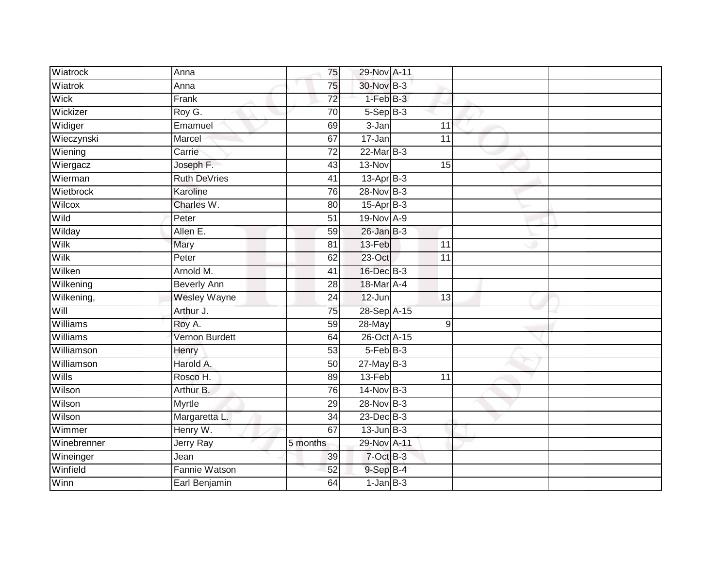| Wiatrock    | Anna                  | 75              | 29-Nov A-11     |                 |  |
|-------------|-----------------------|-----------------|-----------------|-----------------|--|
| Wiatrok     | Anna                  | 75              | 30-Nov B-3      |                 |  |
| Wick        | Frank                 | $\overline{72}$ | $1-FebB-3$      |                 |  |
| Wickizer    | Roy G.                | $\overline{70}$ | $5-$ Sep $B-3$  |                 |  |
| Widiger     | Emamuel               | 69              | $3 - Jan$       | 11              |  |
| Wieczynski  | Marcel                | 67              | 17-Jan          | 11              |  |
| Wiening     | Carrie                | $\overline{72}$ | $22$ -Mar $B-3$ |                 |  |
| Wiergacz    | Joseph F.             | 43              | 13-Nov          | 15              |  |
| Wierman     | <b>Ruth DeVries</b>   | 41              | 13-Apr B-3      |                 |  |
| Wietbrock   | Karoline              | 76              | 28-Nov B-3      |                 |  |
| Wilcox      | Charles W.            | 80              | 15-Apr B-3      |                 |  |
| Wild        | Peter                 | 51              | 19-Nov A-9      |                 |  |
| Wilday      | Allen E.              | 59              | $26$ -Jan $B-3$ |                 |  |
| Wilk        | Mary                  | 81              | 13-Feb          | 11              |  |
| Wilk        | Peter                 | 62              | $23$ -Oct       | $\overline{11}$ |  |
| Wilken      | Arnold M.             | 41              | 16-Dec B-3      |                 |  |
| Wilkening   | <b>Beverly Ann</b>    | $\overline{28}$ | 18-Mar A-4      |                 |  |
| Wilkening,  | <b>Wesley Wayne</b>   | 24              | $12$ -Jun       | 13              |  |
| Will        | Arthur J.             | 75              | 28-Sep A-15     |                 |  |
| Williams    | Roy A.                | 59              | 28-May          | 9               |  |
| Williams    | <b>Vernon Burdett</b> | 64              | 26-Oct A-15     |                 |  |
| Williamson  | Henry                 | 53              | $5-FebB-3$      |                 |  |
| Williamson  | Harold A.             | 50              | $27 - MayB-3$   |                 |  |
| Wills       | Rosco H.              | 89              | 13-Feb          | 11              |  |
| Wilson      | Arthur B.             | 76              | 14-Nov B-3      |                 |  |
| Wilson      | <b>Myrtle</b>         | 29              | 28-Nov B-3      |                 |  |
| Wilson      | Margaretta L.         | $\overline{34}$ | $23$ -Dec $B-3$ |                 |  |
| Wimmer      | Henry W.              | 67              | $13$ -Jun $B-3$ |                 |  |
| Winebrenner | Jerry Ray             | 5 months        | 29-Nov A-11     |                 |  |
| Wineinger   | Jean                  | 39              | 7-Oct B-3       |                 |  |
| Winfield    | Fannie Watson         | 52              | 9-Sep B-4       |                 |  |
| Winn        | Earl Benjamin         | 64              | $1$ -Jan $B-3$  |                 |  |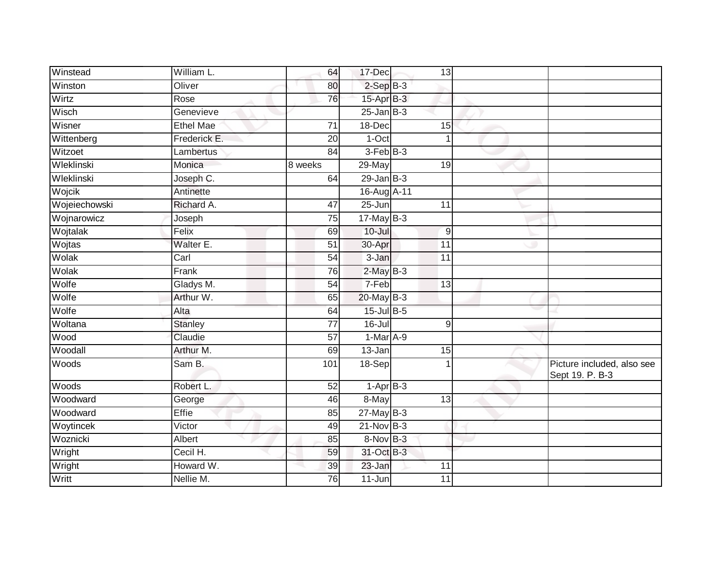| Winstead      | William L.              | 64              | 17-Dec            | 13              |                                               |
|---------------|-------------------------|-----------------|-------------------|-----------------|-----------------------------------------------|
| Winston       | Oliver                  | 80              | $2-SepB-3$        |                 |                                               |
| Wirtz         | Rose                    | 76              | 15-Apr B-3        |                 |                                               |
| Wisch         | Genevieve               |                 | $25 - Jan$ $B-3$  |                 |                                               |
| Wisner        | <b>Ethel Mae</b>        | $\overline{71}$ | 18-Dec            | 15              |                                               |
| Wittenberg    | Frederick E.            | 20              | $1-Oct$           | 1               |                                               |
| Witzoet       | Lambertus               | 84              | 3-Feb B-3         |                 |                                               |
| Wleklinski    | Monica                  | 8 weeks         | 29-May            | 19              |                                               |
| Wleklinski    | Joseph $\overline{C}$ . | 64              | $29$ -Jan $B-3$   |                 |                                               |
| Wojcik        | Antinette               |                 | 16-Aug A-11       |                 |                                               |
| Wojeiechowski | Richard A.              | $\overline{47}$ | $25 - Jun$        | 11              |                                               |
| Wojnarowicz   | Joseph                  | 75              | $17$ -May B-3     |                 |                                               |
| Wojtalak      | Felix                   | 69              | $10 -$ Jul        | 9               |                                               |
| Wojtas        | Walter E.               | 51              | 30-Apr            | 11              |                                               |
| Wolak         | Carl                    | 54              | $3 - Jan$         | $\overline{11}$ |                                               |
| Wolak         | Frank                   | 76              | $2$ -May $B-3$    |                 |                                               |
| Wolfe         | Gladys M.               | $\overline{54}$ | 7-Feb             | $\overline{13}$ |                                               |
| Wolfe         | Arthur W.               | 65              | $20$ -May B-3     |                 |                                               |
| Wolfe         | Alta                    | 64              | 15-Jul B-5        |                 |                                               |
| Woltana       | <b>Stanley</b>          | $\overline{77}$ | $16 -$ Jul        | 9               |                                               |
| Wood          | Claudie                 | 57              | $1-Mar$ A-9       |                 |                                               |
| Woodall       | Arthur M.               | 69              | $13 - Jan$        | 15              |                                               |
| Woods         | Sam B.                  | 101             | $18-Sep$          |                 | Picture included, also see<br>Sept 19. P. B-3 |
| Woods         | Robert L.               | 52              | $1 -$ Apr $B - 3$ |                 |                                               |
| Woodward      | George                  | 46              | 8-May             | $\overline{13}$ |                                               |
| Woodward      | <b>Effie</b>            | 85              | $27$ -May B-3     |                 |                                               |
| Woytincek     | Victor                  | 49              | $21$ -Nov $B-3$   |                 |                                               |
| Woznicki      | Albert                  | 85              | $8-Nov$ B-3       |                 |                                               |
| Wright        | Cecil H.                | 59              | 31-Oct B-3        |                 |                                               |
| Wright        | Howard W.               | 39              | 23-Jan            | 11              |                                               |
| Writt         | Nellie M.               | 76              | 11-Jun            | 11              |                                               |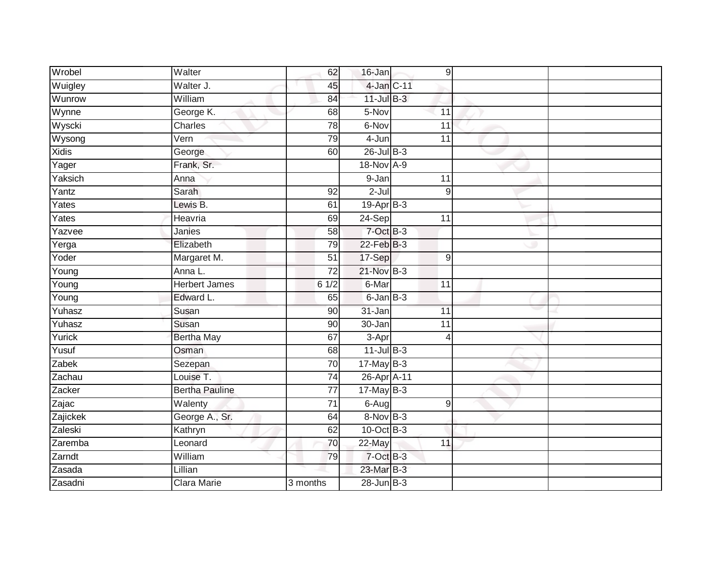| Wrobel              | Walter                       | 62              | 16-Jan          | 9                |  |
|---------------------|------------------------------|-----------------|-----------------|------------------|--|
| Wuigley             | Walter J.                    | 45              | 4-Jan C-11      |                  |  |
| Wunrow              | William                      | 84              | $11$ -Jul B-3   |                  |  |
| Wynne               | George K.                    | 68              | 5-Nov           | 11               |  |
| Wyscki              | Charles                      | $\overline{78}$ | 6-Nov           | 11               |  |
| Wysong              | Vern                         | 79              | 4-Jun           | 11               |  |
| <b>Xidis</b>        | George                       | 60              | $26$ -Jul B-3   |                  |  |
| $\overline{Y}$ ager | Frank, Sr.                   |                 | 18-Nov A-9      |                  |  |
| Yaksich             | Anna                         |                 | 9-Jan           | 11               |  |
| Yantz               | Sarah                        | 92              | $2-Jul$         | $9\,$            |  |
| Yates               | Lewis B.                     | 61              | 19-Apr B-3      |                  |  |
| Yates               | Heavria                      | 69              | 24-Sep          | 11               |  |
| Yazvee              | Janies                       | 58              | $7$ -Oct $B-3$  |                  |  |
| Yerga               | Elizabeth                    | 79              | $22$ -Feb $B-3$ |                  |  |
| Yoder               | Margaret M.                  | $\overline{51}$ | 17-Sep          | $\boldsymbol{9}$ |  |
| Young               | Anna L.                      | 72              | 21-Nov B-3      |                  |  |
| $\overline{Y}$ oung | <b>Herbert James</b>         | $6 \frac{1}{2}$ | 6-Mar           | $\overline{11}$  |  |
| Young               | Edward L.                    | 65              | $6$ -Jan $B$ -3 |                  |  |
| Yuhasz              | Susan                        | 90              | 31-Jan          | 11               |  |
| Yuhasz              | Susan                        | 90              | $30 - Jan$      | $\overline{11}$  |  |
| Yurick              | <b>Bertha May</b>            | 67              | 3-Apr           | 4                |  |
| Yusuf               | Osman                        | $\overline{68}$ | $11$ -Jul $B-3$ |                  |  |
| Zabek               | Sezepan                      | $\overline{70}$ | $17$ -May B-3   |                  |  |
| Zachau              | Louise T.                    | $\overline{74}$ | 26-Apr A-11     |                  |  |
| Zacker              | <b>Bertha Pauline</b>        | 77              | 17-May $B-3$    |                  |  |
| Zajac               | $\overline{\text{W}}$ alenty | 71              | $6 - Aug$       | 9                |  |
| Zajickek            | George A., Sr.               | 64              | 8-Nov B-3       |                  |  |
| Zaleski             | Kathryn                      | 62              | $10$ -Oct $B-3$ |                  |  |
| Zaremba             | Leonard                      | 70              | 22-May          | 11               |  |
| Zarndt              | William                      | 79              | 7-Oct B-3       |                  |  |
| Zasada              | Lillian                      |                 | 23-Mar B-3      |                  |  |
| Zasadni             | <b>Clara Marie</b>           | 3 months        | $28$ -Jun $B-3$ |                  |  |